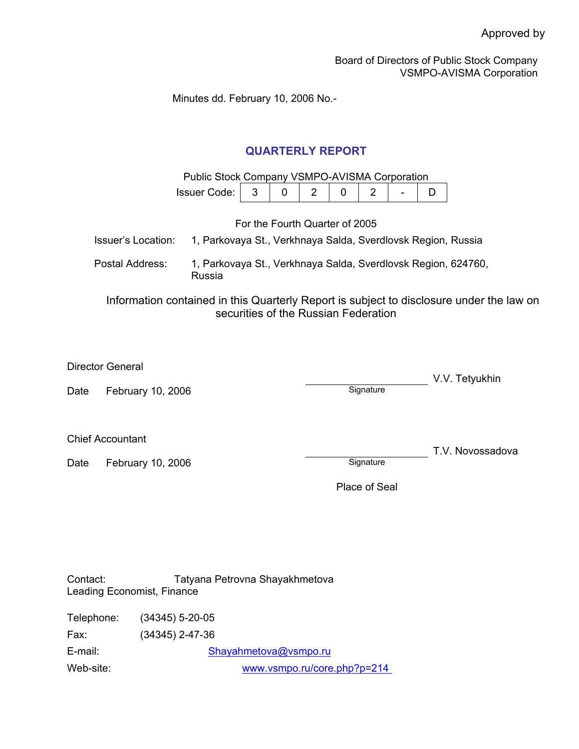<span id="page-0-0"></span>Minutes dd. February 10, 2006 No.-

## **QUARTERLY REPORT**

| Public Stock Company VSMPO-AVISMA Corporation |  |  |  |  |  |  |  |
|-----------------------------------------------|--|--|--|--|--|--|--|
| <b>Issuer Code:</b> 3                         |  |  |  |  |  |  |  |

For the Fourth Quarter of 2005

Issuer's Location: 1, Parkovaya St., Verkhnaya Salda, Sverdlovsk Region, Russia

Postal Address: 1, Parkovaya St., Verkhnaya Salda, Sverdlovsk Region, 624760, Russia

Information contained in this Quarterly Report is subject to disclosure under the law on securities of the Russian Federation

Director General

Date February 10, 2006 Signature

V.V. Tetyukhin

Chief Accountant

Date February 10, 2006 Signature

T.V. Novossadova

Place of Seal

| Leading Economist, Finance |                            |  |  |  |
|----------------------------|----------------------------|--|--|--|
|                            | Telephone: (34345) 5-20-05 |  |  |  |
| Fax:                       | $(34345)$ 2-47-36          |  |  |  |
| E-mail:                    | Shayahmetova@vsmpo.ru      |  |  |  |

Contact: Tatyana Petrovna Shayakhmetova

Web-site: [www.vsmpo.ru](http://www.vsmpo.ru/)/core.php?p=214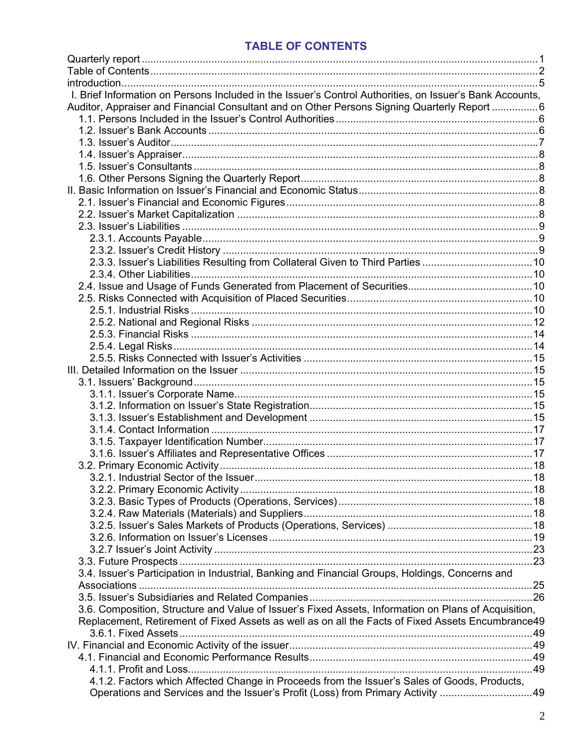# **TABLE OF CONTENTS**

<span id="page-1-0"></span>

| I. Brief Information on Persons Included in the Issuer's Control Authorities, on Issuer's Bank Accounts, |  |
|----------------------------------------------------------------------------------------------------------|--|
| Auditor, Appraiser and Financial Consultant and on Other Persons Signing Quarterly Report  6             |  |
|                                                                                                          |  |
|                                                                                                          |  |
|                                                                                                          |  |
|                                                                                                          |  |
|                                                                                                          |  |
|                                                                                                          |  |
|                                                                                                          |  |
|                                                                                                          |  |
|                                                                                                          |  |
|                                                                                                          |  |
|                                                                                                          |  |
|                                                                                                          |  |
|                                                                                                          |  |
| 2.3.3. Issuer's Liabilities Resulting from Collateral Given to Third Parties 10                          |  |
|                                                                                                          |  |
|                                                                                                          |  |
|                                                                                                          |  |
|                                                                                                          |  |
|                                                                                                          |  |
|                                                                                                          |  |
|                                                                                                          |  |
|                                                                                                          |  |
|                                                                                                          |  |
|                                                                                                          |  |
|                                                                                                          |  |
|                                                                                                          |  |
|                                                                                                          |  |
|                                                                                                          |  |
|                                                                                                          |  |
|                                                                                                          |  |
|                                                                                                          |  |
| 3.2.1. Industrial Sector of the Issuer                                                                   |  |
|                                                                                                          |  |
|                                                                                                          |  |
|                                                                                                          |  |
|                                                                                                          |  |
|                                                                                                          |  |
|                                                                                                          |  |
|                                                                                                          |  |
| 3.4. Issuer's Participation in Industrial, Banking and Financial Groups, Holdings, Concerns and          |  |
|                                                                                                          |  |
|                                                                                                          |  |
|                                                                                                          |  |
| 3.6. Composition, Structure and Value of Issuer's Fixed Assets, Information on Plans of Acquisition,     |  |
| Replacement, Retirement of Fixed Assets as well as on all the Facts of Fixed Assets Encumbrance49        |  |
|                                                                                                          |  |
|                                                                                                          |  |
|                                                                                                          |  |
|                                                                                                          |  |
| 4.1.2. Factors which Affected Change in Proceeds from the Issuer's Sales of Goods, Products,             |  |
| Operations and Services and the Issuer's Profit (Loss) from Primary Activity 49                          |  |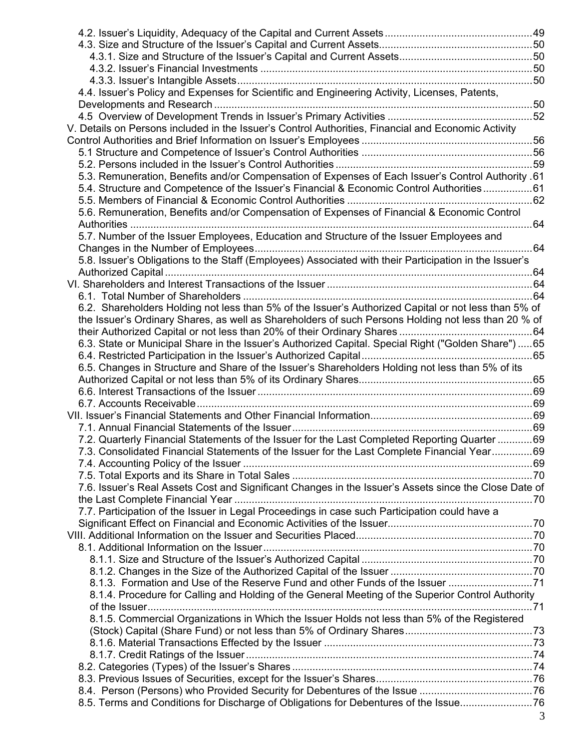| 4.4. Issuer's Policy and Expenses for Scientific and Engineering Activity, Licenses, Patents,          |      |
|--------------------------------------------------------------------------------------------------------|------|
|                                                                                                        |      |
|                                                                                                        |      |
| V. Details on Persons included in the Issuer's Control Authorities, Financial and Economic Activity    |      |
|                                                                                                        |      |
|                                                                                                        |      |
|                                                                                                        |      |
| 5.1. Remuneration, Benefits and/or Compensation of Expenses of Each Issuer's Control Authority .61     |      |
| 5.4. Structure and Competence of the Issuer's Financial & Economic Control Authorities61               |      |
|                                                                                                        |      |
| 5.6. Remuneration, Benefits and/or Compensation of Expenses of Financial & Economic Control            |      |
| Authorities                                                                                            | . 64 |
| 5.7. Number of the Issuer Employees, Education and Structure of the Issuer Employees and               |      |
|                                                                                                        | . 64 |
| 5.8. Issuer's Obligations to the Staff (Employees) Associated with their Participation in the Issuer's |      |
|                                                                                                        |      |
|                                                                                                        |      |
|                                                                                                        |      |
| 6.2. Shareholders Holding not less than 5% of the Issuer's Authorized Capital or not less than 5% of   |      |
| the Issuer's Ordinary Shares, as well as Shareholders of such Persons Holding not less than 20 % of    |      |
|                                                                                                        |      |
| 6.3. State or Municipal Share in the Issuer's Authorized Capital. Special Right ("Golden Share")  65   |      |
|                                                                                                        |      |
| 6.5. Changes in Structure and Share of the Issuer's Shareholders Holding not less than 5% of its       |      |
|                                                                                                        |      |
|                                                                                                        |      |
|                                                                                                        |      |
|                                                                                                        |      |
| 7.2. Quarterly Financial Statements of the Issuer for the Last Completed Reporting Quarter 69          |      |
| 7.3. Consolidated Financial Statements of the Issuer for the Last Complete Financial Year69            |      |
|                                                                                                        |      |
|                                                                                                        |      |
| 7.6. Issuer's Real Assets Cost and Significant Changes in the Issuer's Assets since the Close Date of  |      |
|                                                                                                        |      |
| 7.7. Participation of the Issuer in Legal Proceedings in case such Participation could have a          |      |
|                                                                                                        |      |
|                                                                                                        |      |
|                                                                                                        |      |
|                                                                                                        |      |
|                                                                                                        |      |
| 8.1.3. Formation and Use of the Reserve Fund and other Funds of the Issuer                             |      |
| 8.1.4. Procedure for Calling and Holding of the General Meeting of the Superior Control Authority      |      |
|                                                                                                        |      |
| 8.1.5. Commercial Organizations in Which the Issuer Holds not less than 5% of the Registered           |      |
|                                                                                                        |      |
|                                                                                                        |      |
|                                                                                                        |      |
|                                                                                                        |      |
|                                                                                                        |      |
|                                                                                                        |      |
|                                                                                                        |      |
| 8.5. Terms and Conditions for Discharge of Obligations for Debentures of the Issue76                   | 3    |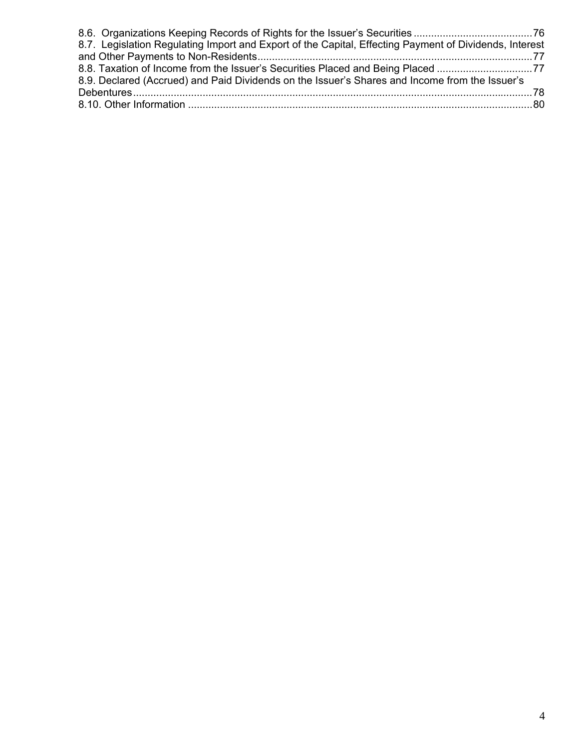| 8.7. Legislation Regulating Import and Export of the Capital, Effecting Payment of Dividends, Interest |  |
|--------------------------------------------------------------------------------------------------------|--|
|                                                                                                        |  |
| 8.8. Taxation of Income from the Issuer's Securities Placed and Being Placed 77                        |  |
| 8.9. Declared (Accrued) and Paid Dividends on the Issuer's Shares and Income from the Issuer's         |  |
|                                                                                                        |  |
|                                                                                                        |  |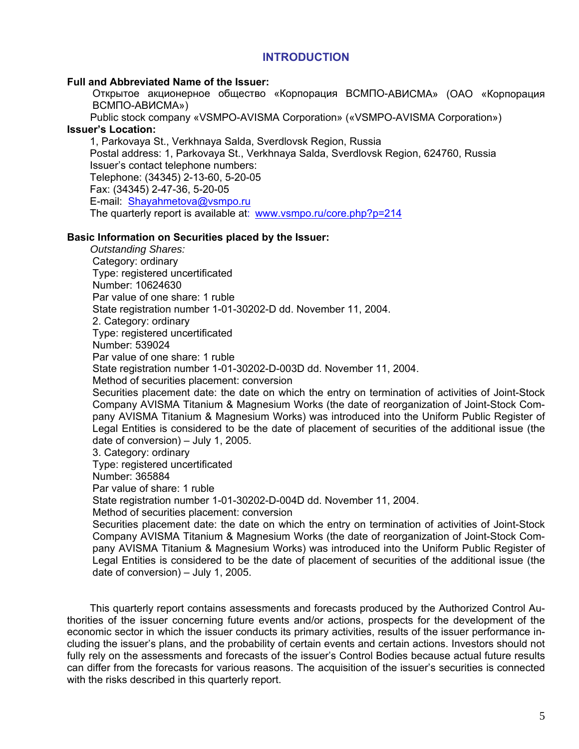## **INTRODUCTION**

#### <span id="page-4-0"></span>**Full and Abbreviated Name of the Issuer:**

Открытое акционерное общество «Корпорация ВСМПО-АВИСМА» (ОАО «Корпорация ВСМПО-АВИСМА»)

Public stock company «VSMPO-AVISMA Corporation» («VSMPO-AVISMA Corporation»)

## **Issuer's Location:**

1, Parkovaya St., Verkhnaya Salda, Sverdlovsk Region, Russia Postal address: 1, Parkovaya St., Verkhnaya Salda, Sverdlovsk Region, 624760, Russia Issuer's contact telephone numbers: Telephone: (34345) 2-13-60, 5-20-05 Fax: (34345) 2-47-36, 5-20-05 E-mail: [Shayahmetova@vsmpo.ru](mailto:Shayahmetova@vsmpo.ru) The quarterly report is available at: [www.vsmpo.ru/core.php?p=214](http://www.vsmpo.ru/core.php?p=214)

#### **Basic Information on Securities placed by the Issuer:**

 *Outstanding Shares:*  Category: ordinary Type: registered uncertificated Number: 10624630 Par value of one share: 1 ruble State registration number 1-01-30202-D dd. November 11, 2004. 2. Category: ordinary Type: registered uncertificated Number: 539024 Par value of one share: 1 ruble State registration number 1-01-30202-D-003D dd. November 11, 2004. Method of securities placement: conversion Securities placement date: the date on which the entry on termination of activities of Joint-Stock Company AVISMA Titanium & Magnesium Works (the date of reorganization of Joint-Stock Company AVISMA Titanium & Magnesium Works) was introduced into the Uniform Public Register of Legal Entities is considered to be the date of placement of securities of the additional issue (the

date of conversion) – July 1, 2005. 3. Category: ordinary

Type: registered uncertificated

Number: 365884

Par value of share: 1 ruble

State registration number 1-01-30202-D-004D dd. November 11, 2004.

Method of securities placement: conversion

Securities placement date: the date on which the entry on termination of activities of Joint-Stock Company AVISMA Titanium & Magnesium Works (the date of reorganization of Joint-Stock Company AVISMA Titanium & Magnesium Works) was introduced into the Uniform Public Register of Legal Entities is considered to be the date of placement of securities of the additional issue (the date of conversion) – July 1, 2005.

This quarterly report contains assessments and forecasts produced by the Authorized Control Authorities of the issuer concerning future events and/or actions, prospects for the development of the economic sector in which the issuer conducts its primary activities, results of the issuer performance including the issuer's plans, and the probability of certain events and certain actions. Investors should not fully rely on the assessments and forecasts of the issuer's Control Bodies because actual future results can differ from the forecasts for various reasons. The acquisition of the issuer's securities is connected with the risks described in this quarterly report.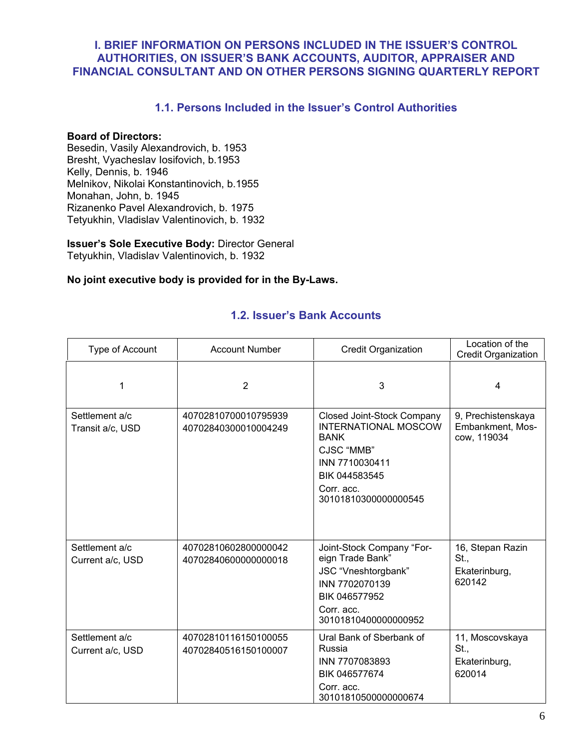## <span id="page-5-0"></span>**I. BRIEF INFORMATION ON PERSONS INCLUDED IN THE ISSUER'S CONTROL AUTHORITIES, ON ISSUER'S BANK ACCOUNTS, AUDITOR, APPRAISER AND FINANCIAL CONSULTANT AND ON OTHER PERSONS SIGNING QUARTERLY REPORT**

## **1.1. Persons Included in the Issuer's Control Authorities**

#### **Board of Directors:**

Besedin, Vasily Alexandrovich, b. 1953 Bresht, Vyacheslav Iosifovich, b.1953 Kelly, Dennis, b. 1946 Melnikov, Nikolai Konstantinovich, b.1955 Monahan, John, b. 1945 Rizanenko Pavel Alexandrovich, b. 1975 Tetyukhin, Vladislav Valentinovich, b. 1932

**Issuer's Sole Executive Body:** Director General Tetyukhin, Vladislav Valentinovich, b. 1932

### **No joint executive body is provided for in the By-Laws.**

| Type of Account                    | <b>Account Number</b>                        | <b>Credit Organization</b>                                                                                                                                             | Location of the<br><b>Credit Organization</b>         |
|------------------------------------|----------------------------------------------|------------------------------------------------------------------------------------------------------------------------------------------------------------------------|-------------------------------------------------------|
| 1                                  | $\overline{2}$                               | 3                                                                                                                                                                      | 4                                                     |
| Settlement a/c<br>Transit a/c, USD | 40702810700010795939<br>40702840300010004249 | <b>Closed Joint-Stock Company</b><br><b>INTERNATIONAL MOSCOW</b><br><b>BANK</b><br>CJSC "MMB"<br>INN 7710030411<br>BIK 044583545<br>Corr. acc.<br>30101810300000000545 | 9, Prechistenskaya<br>Embankment, Mos-<br>cow, 119034 |
| Settlement a/c<br>Current a/c, USD | 40702810602800000042<br>40702840600000000018 | Joint-Stock Company "For-<br>eign Trade Bank"<br>JSC "Vneshtorgbank"<br>INN 7702070139<br>BIK 046577952<br>Corr. acc.<br>30101810400000000952                          | 16, Stepan Razin<br>St.,<br>Ekaterinburg,<br>620142   |
| Settlement a/c<br>Current a/c, USD | 40702810116150100055<br>40702840516150100007 | Ural Bank of Sberbank of<br>Russia<br>INN 7707083893<br>BIK 046577674<br>Corr. acc.<br>30101810500000000674                                                            | 11, Moscovskaya<br>St.,<br>Ekaterinburg,<br>620014    |

## **1.2. Issuer's Bank Accounts**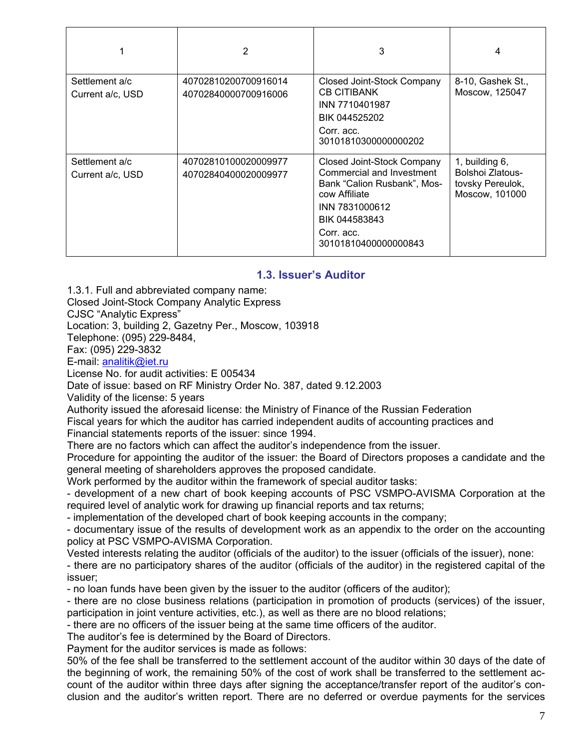<span id="page-6-0"></span>

|                                    | 2                                            | 3                                                                                                                                                                                | 4                                                                        |
|------------------------------------|----------------------------------------------|----------------------------------------------------------------------------------------------------------------------------------------------------------------------------------|--------------------------------------------------------------------------|
| Settlement a/c<br>Current a/c, USD | 40702810200700916014<br>40702840000700916006 | Closed Joint-Stock Company<br><b>CB CITIBANK</b><br>INN 7710401987<br>BIK 044525202<br>Corr. acc.<br>30101810300000000202                                                        | 8-10, Gashek St.,<br>Moscow, 125047                                      |
| Settlement a/c<br>Current a/c, USD | 40702810100020009977<br>40702840400020009977 | Closed Joint-Stock Company<br>Commercial and Investment<br>Bank "Calion Rusbank", Mos-<br>cow Affiliate<br>INN 7831000612<br>BIK 044583843<br>Corr. acc.<br>30101810400000000843 | 1, building 6,<br>Bolshoi Zlatous-<br>tovsky Pereulok,<br>Moscow, 101000 |

## **1.3. Issuer's Auditor**

1.3.1. Full and abbreviated company name: Closed Joint-Stock Company Analytic Express CJSC "Analytic Express" Location: 3, building 2, Gazetny Per., Moscow, 103918 Telephone: (095) 229-8484, Fax: (095) 229-3832 E-mail: [analitik@iet.ru](mailto:analitik@iet.ru) License No. for audit activities: Е 005434 Date of issue: based on RF Ministry Order No. 387, dated 9.12.2003 Validity of the license: 5 years Authority issued the aforesaid license: the Ministry of Finance of the Russian Federation Fiscal years for which the auditor has carried independent audits of accounting practices and Financial statements reports of the issuer: since 1994. There are no factors which can affect the auditor's independence from the issuer. Procedure for appointing the auditor of the issuer: the Board of Directors proposes a candidate and the general meeting of shareholders approves the proposed candidate. Work performed by the auditor within the framework of special auditor tasks: - development of a new chart of book keeping accounts of PSC VSMPO-AVISMA Corporation at the required level of analytic work for drawing up financial reports and tax returns; - implementation of the developed chart of book keeping accounts in the company; - documentary issue of the results of development work as an appendix to the order on the accounting policy at PSC VSMPO-AVISMA Corporation. Vested interests relating the auditor (officials of the auditor) to the issuer (officials of the issuer), none:

- there are no participatory shares of the auditor (officials of the auditor) in the registered capital of the issuer;

- no loan funds have been given by the issuer to the auditor (officers of the auditor);

- there are no close business relations (participation in promotion of products (services) of the issuer, participation in joint venture activities, etc.), as well as there are no blood relations;

- there are no officers of the issuer being at the same time officers of the auditor.

The auditor's fee is determined by the Board of Directors.

Payment for the auditor services is made as follows:

50% of the fee shall be transferred to the settlement account of the auditor within 30 days of the date of the beginning of work, the remaining 50% of the cost of work shall be transferred to the settlement account of the auditor within three days after signing the acceptance/transfer report of the auditor's conclusion and the auditor's written report. There are no deferred or overdue payments for the services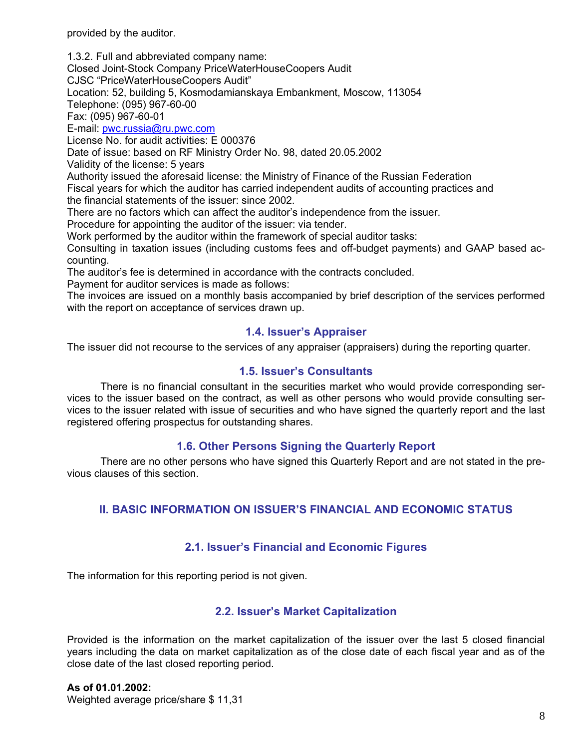<span id="page-7-0"></span>provided by the auditor.

1.3.2. Full and abbreviated company name:

Closed Joint-Stock Company PriceWaterHouseCoopers Audit

CJSC "PriceWaterHouseCoopers Audit"

Location: 52, building 5, Kosmodamianskaya Embankment, Moscow, 113054

Telephone: (095) 967-60-00

Fax: (095) 967-60-01

E-mail: pwc.russia@ru.pwc.com

License No. for audit activities: Е 000376

Date of issue: based on RF Ministry Order No. 98, dated 20.05.2002

Validity of the license: 5 years

Authority issued the aforesaid license: the Ministry of Finance of the Russian Federation Fiscal years for which the auditor has carried independent audits of accounting practices and the financial statements of the issuer: since 2002.

There are no factors which can affect the auditor's independence from the issuer.

Procedure for appointing the auditor of the issuer: via tender.

Work performed by the auditor within the framework of special auditor tasks:

Consulting in taxation issues (including customs fees and off-budget payments) and GAAP based accounting.

The auditor's fee is determined in accordance with the contracts concluded.

Payment for auditor services is made as follows:

The invoices are issued on a monthly basis accompanied by brief description of the services performed with the report on acceptance of services drawn up.

## **1.4. Issuer's Appraiser**

The issuer did not recourse to the services of any appraiser (appraisers) during the reporting quarter.

## **1.5. Issuer's Consultants**

There is no financial consultant in the securities market who would provide corresponding services to the issuer based on the contract, as well as other persons who would provide consulting services to the issuer related with issue of securities and who have signed the quarterly report and the last registered offering prospectus for outstanding shares.

## **1.6. Other Persons Signing the Quarterly Report**

There are no other persons who have signed this Quarterly Report and are not stated in the previous clauses of this section.

## **II. BASIC INFORMATION ON ISSUER'S FINANCIAL AND ECONOMIC STATUS**

## **2.1. Issuer's Financial and Economic Figures**

The information for this reporting period is not given.

## **2.2. Issuer's Market Capitalization**

Provided is the information on the market capitalization of the issuer over the last 5 closed financial years including the data on market capitalization as of the close date of each fiscal year and as of the close date of the last closed reporting period.

**As of 01.01.2002:** 

Weighted average price/share \$ 11,31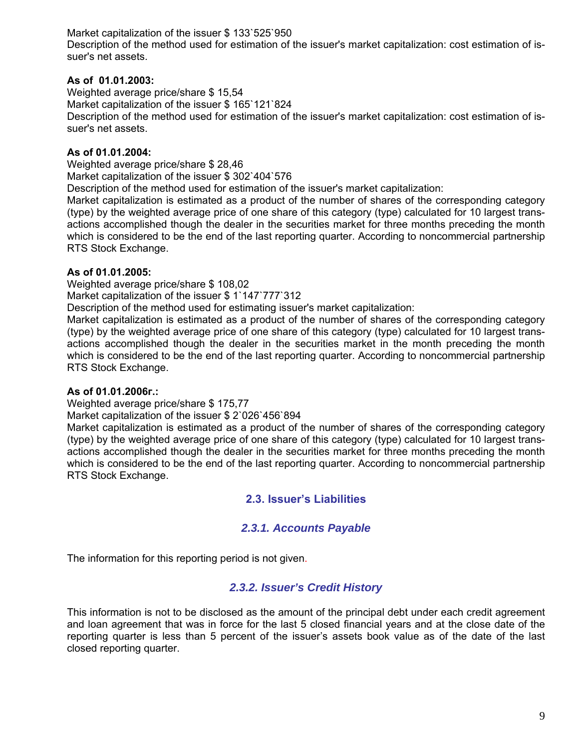<span id="page-8-0"></span>Market capitalization of the issuer \$ 133`525`950

Description of the method used for estimation of the issuer's market capitalization: cost estimation of issuer's net assets.

## **As of 01.01.2003:**

Weighted average price/share \$ 15,54 Market capitalization of the issuer \$ 165`121`824 Description of the method used for estimation of the issuer's market capitalization: cost estimation of issuer's net assets.

## **As of 01.01.2004:**

Weighted average price/share \$ 28,46

Market capitalization of the issuer \$ 302`404`576

Description of the method used for estimation of the issuer's market capitalization:

Market capitalization is estimated as a product of the number of shares of the corresponding category (type) by the weighted average price of one share of this category (type) calculated for 10 largest transactions accomplished though the dealer in the securities market for three months preceding the month which is considered to be the end of the last reporting quarter. According to noncommercial partnership RTS Stock Exchange.

## **As of 01.01.2005:**

Weighted average price/share \$ 108,02

Market capitalization of the issuer \$ 1`147`777`312

Description of the method used for estimating issuer's market capitalization:

Market capitalization is estimated as a product of the number of shares of the corresponding category (type) by the weighted average price of one share of this category (type) calculated for 10 largest transactions accomplished though the dealer in the securities market in the month preceding the month which is considered to be the end of the last reporting quarter. According to noncommercial partnership RTS Stock Exchange.

## **As of 01.01.2006г.:**

Weighted average price/share \$ 175,77

Market capitalization of the issuer \$ 2`026`456`894

Market capitalization is estimated as a product of the number of shares of the corresponding category (type) by the weighted average price of one share of this category (type) calculated for 10 largest transactions accomplished though the dealer in the securities market for three months preceding the month which is considered to be the end of the last reporting quarter. According to noncommercial partnership RTS Stock Exchange.

## **2.3. Issuer's Liabilities**

# *2.3.1. Accounts Payable*

The information for this reporting period is not given.

## *2.3.2. Issuer's Credit History*

This information is not to be disclosed as the amount of the principal debt under each credit agreement and loan agreement that was in force for the last 5 closed financial years and at the close date of the reporting quarter is less than 5 percent of the issuer's assets book value as of the date of the last closed reporting quarter.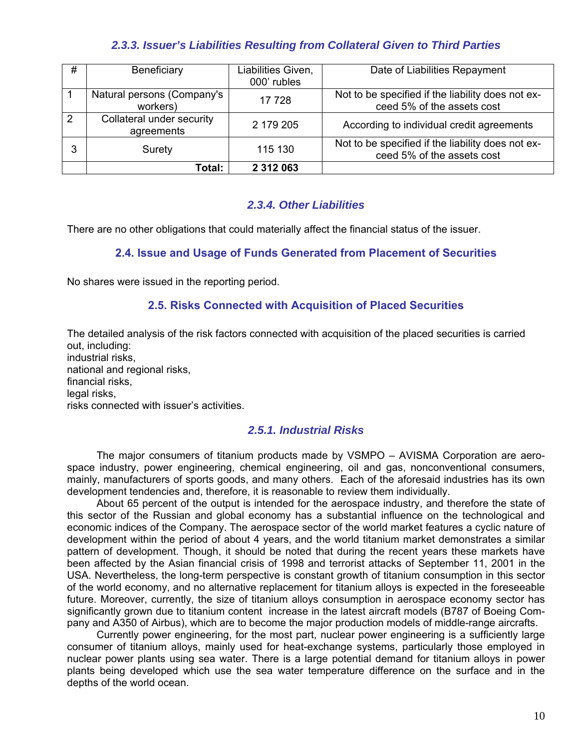# *2.3.3. Issuer's Liabilities Resulting from Collateral Given to Third Parties*

<span id="page-9-0"></span>

| # | Beneficiary                             | Liabilities Given,<br>000' rubles | Date of Liabilities Repayment                                                   |
|---|-----------------------------------------|-----------------------------------|---------------------------------------------------------------------------------|
|   | Natural persons (Company's<br>workers)  | 17 728                            | Not to be specified if the liability does not ex-<br>ceed 5% of the assets cost |
| 2 | Collateral under security<br>agreements | 2 179 205                         | According to individual credit agreements                                       |
|   | Surety                                  | 115 130                           | Not to be specified if the liability does not ex-<br>ceed 5% of the assets cost |
|   | Total:                                  | 2 312 063                         |                                                                                 |

## *2.3.4. Other Liabilities*

There are no other obligations that could materially affect the financial status of the issuer.

## **2.4. Issue and Usage of Funds Generated from Placement of Securities**

No shares were issued in the reporting period.

## **2.5. Risks Connected with Acquisition of Placed Securities**

The detailed analysis of the risk factors connected with acquisition of the placed securities is carried out, including: industrial risks, national and regional risks, financial risks, legal risks. risks connected with issuer's activities.

## *2.5.1. Industrial Risks*

The major consumers of titanium products made by VSMPO – AVISMA Corporation are aerospace industry, power engineering, chemical engineering, oil and gas, nonconventional consumers, mainly, manufacturers of sports goods, and many others. Each of the aforesaid industries has its own development tendencies and, therefore, it is reasonable to review them individually.

About 65 percent of the output is intended for the aerospace industry, and therefore the state of this sector of the Russian and global economy has a substantial influence on the technological and economic indices of the Company. The aerospace sector of the world market features a cyclic nature of development within the period of about 4 years, and the world titanium market demonstrates a similar pattern of development. Though, it should be noted that during the recent years these markets have been affected by the Asian financial crisis of 1998 and terrorist attacks of September 11, 2001 in the USA. Nevertheless, the long-term perspective is constant growth of titanium consumption in this sector of the world economy, and no alternative replacement for titanium alloys is expected in the foreseeable future. Moreover, currently, the size of titanium alloys consumption in aerospace economy sector has significantly grown due to titanium content increase in the latest aircraft models (B787 of Boeing Company and A350 of Airbus), which are to become the major production models of middle-range aircrafts.

Currently power engineering, for the most part, nuclear power engineering is a sufficiently large consumer of titanium alloys, mainly used for heat-exchange systems, particularly those employed in nuclear power plants using sea water. There is a large potential demand for titanium alloys in power plants being developed which use the sea water temperature difference on the surface and in the depths of the world ocean.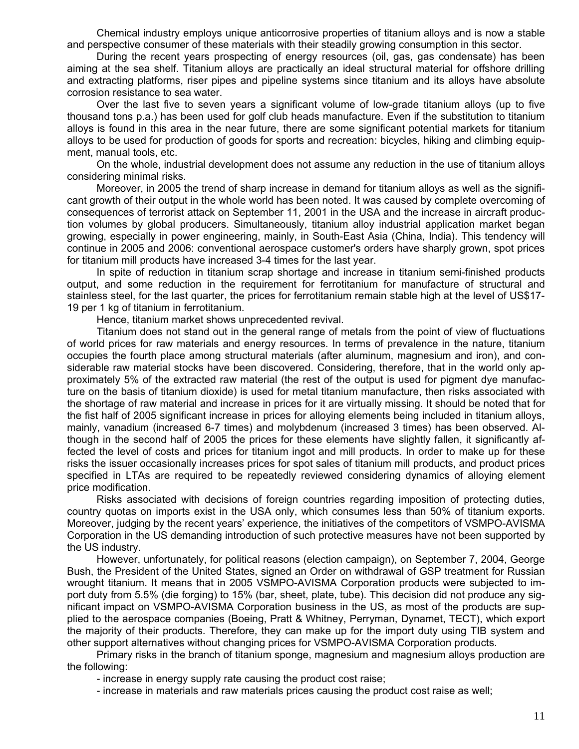Chemical industry employs unique anticorrosive properties of titanium alloys and is now a stable and perspective consumer of these materials with their steadily growing consumption in this sector.

During the recent years prospecting of energy resources (oil, gas, gas condensate) has been aiming at the sea shelf. Titanium alloys are practically an ideal structural material for offshore drilling and extracting platforms, riser pipes and pipeline systems since titanium and its alloys have absolute corrosion resistance to sea water.

Over the last five to seven years a significant volume of low-grade titanium alloys (up to five thousand tons p.a.) has been used for golf club heads manufacture. Even if the substitution to titanium alloys is found in this area in the near future, there are some significant potential markets for titanium alloys to be used for production of goods for sports and recreation: bicycles, hiking and climbing equipment, manual tools, etc.

On the whole, industrial development does not assume any reduction in the use of titanium alloys considering minimal risks.

Moreover, in 2005 the trend of sharp increase in demand for titanium alloys as well as the significant growth of their output in the whole world has been noted. It was caused by complete overcoming of consequences of terrorist attack on September 11, 2001 in the USA and the increase in aircraft production volumes by global producers. Simultaneously, titanium alloy industrial application market began growing, especially in power engineering, mainly, in South-East Asia (China, India). This tendency will continue in 2005 and 2006: conventional aerospace customer's orders have sharply grown, spot prices for titanium mill products have increased 3-4 times for the last year.

In spite of reduction in titanium scrap shortage and increase in titanium semi-finished products output, and some reduction in the requirement for ferrotitanium for manufacture of structural and stainless steel, for the last quarter, the prices for ferrotitanium remain stable high at the level of US\$17- 19 per 1 kg of titanium in ferrotitanium.

Hence, titanium market shows unprecedented revival.

Titanium does not stand out in the general range of metals from the point of view of fluctuations of world prices for raw materials and energy resources. In terms of prevalence in the nature, titanium occupies the fourth place among structural materials (after aluminum, magnesium and iron), and considerable raw material stocks have been discovered. Considering, therefore, that in the world only approximately 5% of the extracted raw material (the rest of the output is used for pigment dye manufacture on the basis of titanium dioxide) is used for metal titanium manufacture, then risks associated with the shortage of raw material and increase in prices for it are virtually missing. It should be noted that for the fist half of 2005 significant increase in prices for alloying elements being included in titanium alloys, mainly, vanadium (increased 6-7 times) and molybdenum (increased 3 times) has been observed. Although in the second half of 2005 the prices for these elements have slightly fallen, it significantly affected the level of costs and prices for titanium ingot and mill products. In order to make up for these risks the issuer occasionally increases prices for spot sales of titanium mill products, and product prices specified in LTAs are required to be repeatedly reviewed considering dynamics of alloying element price modification.

Risks associated with decisions of foreign countries regarding imposition of protecting duties, country quotas on imports exist in the USA only, which consumes less than 50% of titanium exports. Moreover, judging by the recent years' experience, the initiatives of the competitors of VSMPO-AVISMA Corporation in the US demanding introduction of such protective measures have not been supported by the US industry.

However, unfortunately, for political reasons (election campaign), on September 7, 2004, George Bush, the President of the United States, signed an Order on withdrawal of GSP treatment for Russian wrought titanium. It means that in 2005 VSMPO-AVISMA Corporation products were subjected to import duty from 5.5% (die forging) to 15% (bar, sheet, plate, tube). This decision did not produce any significant impact on VSMPO-AVISMA Corporation business in the US, as most of the products are supplied to the aerospace companies (Boeing, Pratt & Whitney, Perryman, Dynamet, TECT), which export the majority of their products. Therefore, they can make up for the import duty using TIB system and other support alternatives without changing prices for VSMPO-AVISMA Corporation products.

Primary risks in the branch of titanium sponge, magnesium and magnesium alloys production are the following:

- increase in energy supply rate causing the product cost raise;

- increase in materials and raw materials prices causing the product cost raise as well;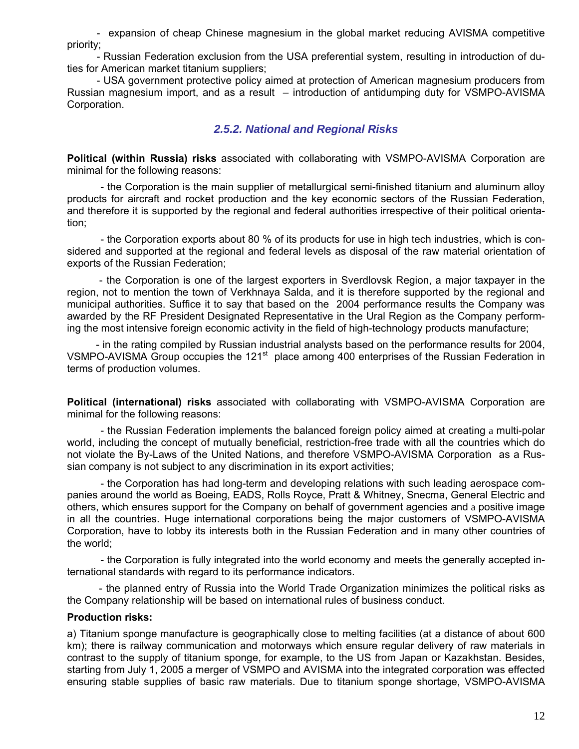<span id="page-11-0"></span>- expansion of cheap Chinese magnesium in the global market reducing AVISMA competitive priority;

- Russian Federation exclusion from the USA preferential system, resulting in introduction of duties for American market titanium suppliers;

- USA government protective policy aimed at protection of American magnesium producers from Russian magnesium import, and as a result – introduction of antidumping duty for VSMPO-AVISMA Corporation.

## *2.5.2. National and Regional Risks*

**Political (within Russia) risks** associated with collaborating with VSMPO-AVISMA Corporation are minimal for the following reasons:

 - the Corporation is the main supplier of metallurgical semi-finished titanium and aluminum alloy products for aircraft and rocket production and the key economic sectors of the Russian Federation, and therefore it is supported by the regional and federal authorities irrespective of their political orientation;

 - the Corporation exports about 80 % of its products for use in high tech industries, which is considered and supported at the regional and federal levels as disposal of the raw material orientation of exports of the Russian Federation;

 - the Corporation is one of the largest exporters in Sverdlovsk Region, a major taxpayer in the region, not to mention the town of Verkhnaya Salda, and it is therefore supported by the regional and municipal authorities. Suffice it to say that based on the 2004 performance results the Company was awarded by the RF President Designated Representative in the Ural Region as the Company performing the most intensive foreign economic activity in the field of high-technology products manufacture;

 - in the rating compiled by Russian industrial analysts based on the performance results for 2004, VSMPO-AVISMA Group occupies the 121<sup>st</sup> place among 400 enterprises of the Russian Federation in terms of production volumes.

**Political (international) risks** associated with collaborating with VSMPO-AVISMA Corporation are minimal for the following reasons:

 - the Russian Federation implements the balanced foreign policy aimed at creating a multi-polar world, including the concept of mutually beneficial, restriction-free trade with all the countries which do not violate the By-Laws of the United Nations, and therefore VSMPO-AVISMA Corporation as a Russian company is not subject to any discrimination in its export activities;

 - the Corporation has had long-term and developing relations with such leading aerospace companies around the world as Boeing, EADS, Rolls Royce, Pratt & Whitney, Snecma, General Electric and others, which ensures support for the Company on behalf of government agencies and a positive image in all the countries. Huge international corporations being the major customers of VSMPO-AVISMA Corporation, have to lobby its interests both in the Russian Federation and in many other countries of the world;

 - the Corporation is fully integrated into the world economy and meets the generally accepted international standards with regard to its performance indicators.

 - the planned entry of Russia into the World Trade Organization minimizes the political risks as the Company relationship will be based on international rules of business conduct.

#### **Production risks:**

а) Titanium sponge manufacture is geographically close to melting facilities (at a distance of about 600 km); there is railway communication and motorways which ensure regular delivery of raw materials in contrast to the supply of titanium sponge, for example, to the US from Japan or Kazakhstan. Besides, starting from July 1, 2005 a merger of VSMPO and AVISMA into the integrated corporation was effected ensuring stable supplies of basic raw materials. Due to titanium sponge shortage, VSMPO-AVISMA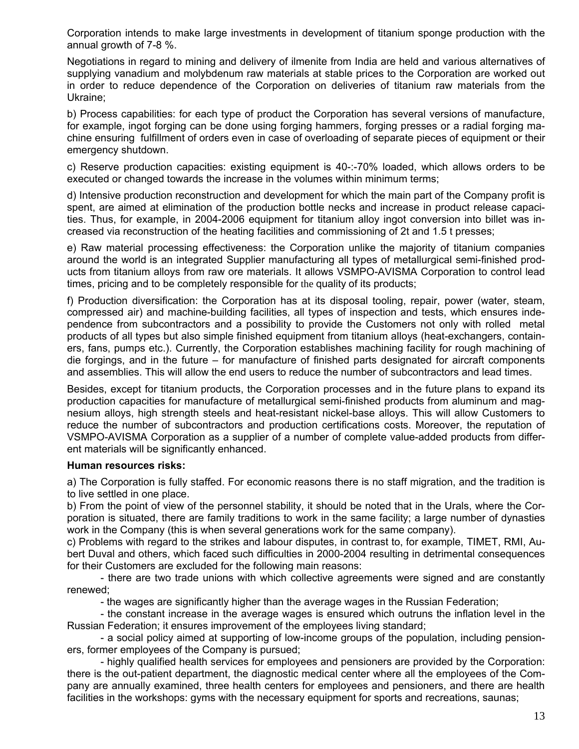Corporation intends to make large investments in development of titanium sponge production with the annual growth of 7-8 %.

Negotiations in regard to mining and delivery of ilmenite from India are held and various alternatives of supplying vanadium and molybdenum raw materials at stable prices to the Corporation are worked out in order to reduce dependence of the Corporation on deliveries of titanium raw materials from the Ukraine;

b) Process capabilities: for each type of product the Corporation has several versions of manufacture, for example, ingot forging can be done using forging hammers, forging presses or a radial forging machine ensuring fulfillment of orders even in case of overloading of separate pieces of equipment or their emergency shutdown.

c) Reserve production capacities: existing equipment is 40-:-70% loaded, which allows orders to be executed or changed towards the increase in the volumes within minimum terms;

d) Intensive production reconstruction and development for which the main part of the Company profit is spent, are aimed at elimination of the production bottle necks and increase in product release capacities. Thus, for example, in 2004-2006 equipment for titanium alloy ingot conversion into billet was increased via reconstruction of the heating facilities and commissioning of 2t and 1.5 t presses;

e) Raw material processing effectiveness: the Corporation unlike the majority of titanium companies around the world is an integrated Supplier manufacturing all types of metallurgical semi-finished products from titanium alloys from raw ore materials. It allows VSMPO-AVISMA Corporation to control lead times, pricing and to be completely responsible for the quality of its products;

f) Production diversification: the Corporation has at its disposal tooling, repair, power (water, steam, compressed air) and machine-building facilities, all types of inspection and tests, which ensures independence from subcontractors and a possibility to provide the Customers not only with rolled metal products of all types but also simple finished equipment from titanium alloys (heat-exchangers, containers, fans, pumps etc.). Currently, the Corporation establishes machining facility for rough machining of die forgings, and in the future – for manufacture of finished parts designated for aircraft components and assemblies. This will allow the end users to reduce the number of subcontractors and lead times.

Besides, except for titanium products, the Corporation processes and in the future plans to expand its production capacities for manufacture of metallurgical semi-finished products from aluminum and magnesium alloys, high strength steels and heat-resistant nickel-base alloys. This will allow Customers to reduce the number of subcontractors and production certifications costs. Moreover, the reputation of VSMPO-AVISMA Corporation as a supplier of a number of complete value-added products from different materials will be significantly enhanced.

### **Human resources risks:**

а) The Corporation is fully staffed. For economic reasons there is no staff migration, and the tradition is to live settled in one place.

b) From the point of view of the personnel stability, it should be noted that in the Urals, where the Corporation is situated, there are family traditions to work in the same facility; a large number of dynasties work in the Company (this is when several generations work for the same company).

c) Problems with regard to the strikes and labour disputes, in contrast to, for example, TIMET, RMI, Aubert Duval and others, which faced such difficulties in 2000-2004 resulting in detrimental consequences for their Customers are excluded for the following main reasons:

 - there are two trade unions with which collective agreements were signed and are constantly renewed;

- the wages are significantly higher than the average wages in the Russian Federation;

 - the constant increase in the average wages is ensured which outruns the inflation level in the Russian Federation; it ensures improvement of the employees living standard;

 - a social policy aimed at supporting of low-income groups of the population, including pensioners, former employees of the Company is pursued;

 - highly qualified health services for employees and pensioners are provided by the Corporation: there is the out-patient department, the diagnostic medical center where all the employees of the Company are annually examined, three health centers for employees and pensioners, and there are health facilities in the workshops: gyms with the necessary equipment for sports and recreations, saunas;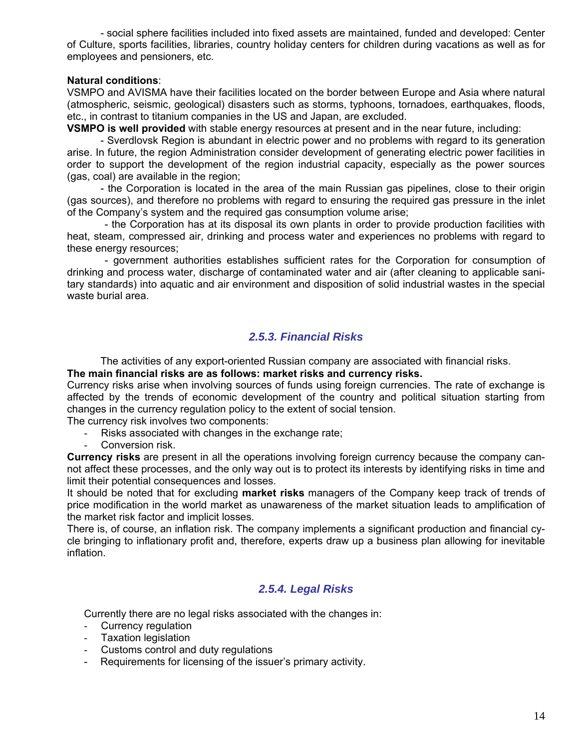<span id="page-13-0"></span> - social sphere facilities included into fixed assets are maintained, funded and developed: Center of Culture, sports facilities, libraries, country holiday centers for children during vacations as well as for employees and pensioners, etc.

#### **Natural conditions**:

VSMPO and AVISMA have their facilities located on the border between Europe and Asia where natural (atmospheric, seismic, geological) disasters such as storms, typhoons, tornadoes, earthquakes, floods, etc., in contrast to titanium companies in the US and Japan, are excluded.

**VSMPO is well provided** with stable energy resources at present and in the near future, including:

 - Sverdlovsk Region is abundant in electric power and no problems with regard to its generation arise. In future, the region Administration consider development of generating electric power facilities in order to support the development of the region industrial capacity, especially as the power sources (gas, coal) are available in the region;

 - the Corporation is located in the area of the main Russian gas pipelines, close to their origin (gas sources), and therefore no problems with regard to ensuring the required gas pressure in the inlet of the Company's system and the required gas consumption volume arise;

 - the Corporation has at its disposal its own plants in order to provide production facilities with heat, steam, compressed air, drinking and process water and experiences no problems with regard to these energy resources;

 - government authorities establishes sufficient rates for the Corporation for consumption of drinking and process water, discharge of contaminated water and air (after cleaning to applicable sanitary standards) into aquatic and air environment and disposition of solid industrial wastes in the special waste burial area.

## *2.5.3. Financial Risks*

The activities of any export-oriented Russian company are associated with financial risks.

**The main financial risks are as follows: market risks and currency risks.** 

Currency risks arise when involving sources of funds using foreign currencies. The rate of exchange is affected by the trends of economic development of the country and political situation starting from changes in the currency regulation policy to the extent of social tension.

The currency risk involves two components:

- Risks associated with changes in the exchange rate;
- Conversion risk.

**Currency risks** are present in all the operations involving foreign currency because the company cannot affect these processes, and the only way out is to protect its interests by identifying risks in time and limit their potential consequences and losses.

It should be noted that for excluding **market risks** managers of the Company keep track of trends of price modification in the world market as unawareness of the market situation leads to amplification of the market risk factor and implicit losses.

There is, of course, an inflation risk. The company implements a significant production and financial cycle bringing to inflationary profit and, therefore, experts draw up a business plan allowing for inevitable inflation.

## *2.5.4. Legal Risks*

Currently there are no legal risks associated with the changes in:

- Currency regulation
- Taxation legislation
- Customs control and duty regulations
- Requirements for licensing of the issuer's primary activity.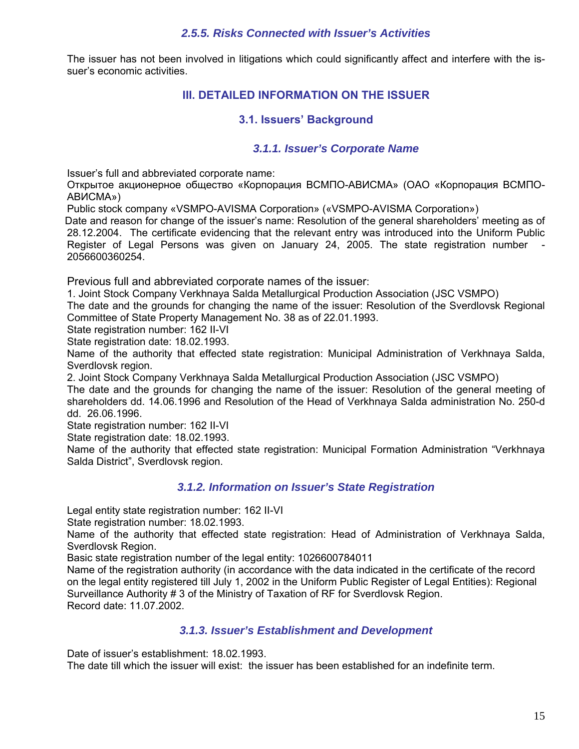## *2.5.5. Risks Connected with Issuer's Activities*

<span id="page-14-0"></span>The issuer has not been involved in litigations which could significantly affect and interfere with the issuer's economic activities.

## **III. DETAILED INFORMATION ON THE ISSUER**

## **3.1. Issuers' Background**

## *3.1.1. Issuer's Corporate Name*

Issuer's full and abbreviated corporate name:

Открытое акционерное общество «Корпорация ВСМПО-АВИСМА» (ОАО «Корпорация ВСМПО-АВИСМА»)

Public stock company «VSMPO-AVISMA Corporation» («VSMPO-AVISMA Corporation»)

Date and reason for change of the issuer's name: Resolution of the general shareholders' meeting as of 28.12.2004. The certificate evidencing that the relevant entry was introduced into the Uniform Public Register of Legal Persons was given on January 24, 2005. The state registration number - 2056600360254.

Previous full and abbreviated corporate names of the issuer:

1. Joint Stock Company Verkhnaya Salda Metallurgical Production Association (JSC VSMPO)

The date and the grounds for changing the name of the issuer: Resolution of the Sverdlovsk Regional Committee of State Property Management No. 38 as of 22.01.1993.

State registration number: 162 II-VI

State registration date: 18.02.1993.

Name of the authority that effected state registration: Municipal Administration of Verkhnaya Salda, Sverdlovsk region.

2. Joint Stock Company Verkhnaya Salda Metallurgical Production Association (JSC VSMPO)

The date and the grounds for changing the name of the issuer: Resolution of the general meeting of shareholders dd. 14.06.1996 and Resolution of the Head of Verkhnaya Salda administration No. 250-d dd. 26.06.1996.

State registration number: 162 II-VI

State registration date: 18.02.1993.

Name of the authority that effected state registration: Municipal Formation Administration "Verkhnaya Salda District", Sverdlovsk region.

### *3.1.2. Information on Issuer's State Registration*

Legal entity state registration number: 162 II-VI

State registration number: 18.02.1993.

Name of the authority that effected state registration: Head of Administration of Verkhnaya Salda, Sverdlovsk Region.

Basic state registration number of the legal entity: 1026600784011

Name of the registration authority (in accordance with the data indicated in the certificate of the record on the legal entity registered till July 1, 2002 in the Uniform Public Register of Legal Entities): Regional Surveillance Authority # 3 of the Ministry of Taxation of RF for Sverdlovsk Region. Record date: 11.07.2002.

### *3.1.3. Issuer's Establishment and Development*

Date of issuer's establishment: 18.02.1993.

The date till which the issuer will exist: the issuer has been established for an indefinite term.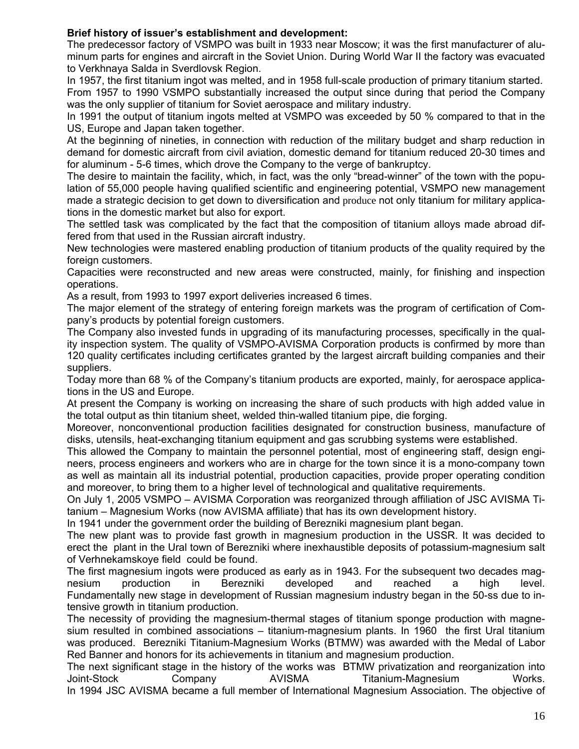## **Brief history of issuer's establishment and development:**

The predecessor factory of VSMPO was built in 1933 near Moscow; it was the first manufacturer of aluminum parts for engines and aircraft in the Soviet Union. During World War II the factory was evacuated to Verkhnaya Salda in Sverdlovsk Region.

In 1957, the first titanium ingot was melted, and in 1958 full-scale production of primary titanium started. From 1957 to 1990 VSMPO substantially increased the output since during that period the Company was the only supplier of titanium for Soviet aerospace and military industry.

In 1991 the output of titanium ingots melted at VSMPO was exceeded by 50 % compared to that in the US, Europe and Japan taken together.

At the beginning of nineties, in connection with reduction of the military budget and sharp reduction in demand for domestic aircraft from civil aviation, domestic demand for titanium reduced 20-30 times and for aluminum - 5-6 times, which drove the Company to the verge of bankruptcy.

The desire to maintain the facility, which, in fact, was the only "bread-winner" of the town with the population of 55,000 people having qualified scientific and engineering potential, VSMPO new management made a strategic decision to get down to diversification and produce not only titanium for military applications in the domestic market but also for export.

The settled task was complicated by the fact that the composition of titanium alloys made abroad differed from that used in the Russian aircraft industry.

New technologies were mastered enabling production of titanium products of the quality required by the foreign customers.

Capacities were reconstructed and new areas were constructed, mainly, for finishing and inspection operations.

As a result, from 1993 to 1997 export deliveries increased 6 times.

The major element of the strategy of entering foreign markets was the program of certification of Company's products by potential foreign customers.

The Company also invested funds in upgrading of its manufacturing processes, specifically in the quality inspection system. The quality of VSMPO-AVISMA Corporation products is confirmed by more than 120 quality certificates including certificates granted by the largest aircraft building companies and their suppliers.

Today more than 68 % of the Company's titanium products are exported, mainly, for aerospace applications in the US and Europe.

At present the Company is working on increasing the share of such products with high added value in the total output as thin titanium sheet, welded thin-walled titanium pipe, die forging.

Moreover, nonconventional production facilities designated for construction business, manufacture of disks, utensils, heat-exchanging titanium equipment and gas scrubbing systems were established.

This allowed the Company to maintain the personnel potential, most of engineering staff, design engineers, process engineers and workers who are in charge for the town since it is a mono-company town as well as maintain all its industrial potential, production capacities, provide proper operating condition and moreover, to bring them to a higher level of technological and qualitative requirements.

On July 1, 2005 VSMPO – AVISMA Corporation was reorganized through affiliation of JSC AVISMA Titanium – Magnesium Works (now AVISMA affiliate) that has its own development history.

In 1941 under the government order the building of Berezniki magnesium plant began.

The new plant was to provide fast growth in magnesium production in the USSR. It was decided to erect the plant in the Ural town of Berezniki where inexhaustible deposits of potassium-magnesium salt of Verhnekamskoye field could be found.

The first magnesium ingots were produced as early as in 1943. For the subsequent two decades magnesium production in Berezniki developed and reached a high level. Fundamentally new stage in development of Russian magnesium industry began in the 50-ss due to intensive growth in titanium production.

The necessity of providing the magnesium-thermal stages of titanium sponge production with magnesium resulted in combined associations – titanium-magnesium plants. In 1960 the first Ural titanium was produced. Berezniki Titanium-Magnesium Works (BTMW) was awarded with the Medal of Labor Red Banner and honors for its achievements in titanium and magnesium production.

The next significant stage in the history of the works was BTMW privatization and reorganization into Joint-Stock Company AVISMA Titanium-Magnesium Works. In 1994 JSC AVISMA became a full member of International Magnesium Association. The objective of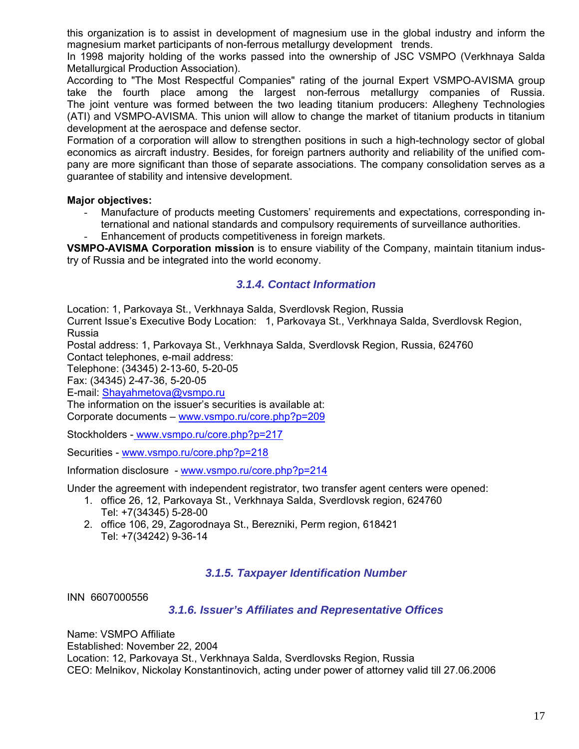<span id="page-16-0"></span>this organization is to assist in development of magnesium use in the global industry and inform the magnesium market participants of non-ferrous metallurgy development trends.

In 1998 majority holding of the works passed into the ownership of JSC VSMPO (Verkhnaya Salda Metallurgical Production Association).

According to "The Most Respectful Companies" rating of the journal Expert VSMPO-AVISMA group take the fourth place among the largest non-ferrous metallurgy companies of Russia. The joint venture was formed between the two leading titanium producers: Allegheny Technologies (ATI) and VSMPO-AVISMA. This union will allow to change the market of titanium products in titanium development at the aerospace and defense sector.

Formation of a corporation will allow to strengthen positions in such a high-technology sector of global economics as aircraft industry. Besides, for foreign partners authority and reliability of the unified company are more significant than those of separate associations. The company consolidation serves as a guarantee of stability and intensive development.

### **Major objectives:**

- Manufacture of products meeting Customers' requirements and expectations, corresponding international and national standards and compulsory requirements of surveillance authorities.
- Enhancement of products competitiveness in foreign markets.

**VSMPO-AVISMA Corporation mission** is to ensure viability of the Company, maintain titanium industry of Russia and be integrated into the world economy.

## *3.1.4. Contact Information*

Location: 1, Parkovaya St., Verkhnaya Salda, Sverdlovsk Region, Russia

Current Issue's Executive Body Location: 1, Parkovaya St., Verkhnaya Salda, Sverdlovsk Region, Russia

Postal address: 1, Parkovaya St., Verkhnaya Salda, Sverdlovsk Region, Russia, 624760 Contact telephones, e-mail address:

Telephone: (34345) 2-13-60, 5-20-05

Fax: (34345) 2-47-36, 5-20-05

E-mail: [Shayahmetova@vsmpo.ru](mailto:Shayahmetova@vsmpo.ru)

The information on the issuer's securities is available at: Corporate documents – [www.vsmpo.ru/core.php?p=209](http://www.vsmpo.ru/core.php?p=209)

Stockholders - [www.vsmpo.ru/core.php?p=217](http://www.vsmpo.ru/core.php?p=217)

Securities - [www.vsmpo.ru/core.php?p=218](http://www.vsmpo.ru/core.php?p=218)

Information disclosure - [www.vsmpo.ru](http://www.vsmpo.ru/)/core.php?p=214

Under the agreement with independent registrator, two transfer agent centers were opened:

- 1. office 26, 12, Parkovaya St., Verkhnaya Salda, Sverdlovsk region, 624760 Tel: +7(34345) 5-28-00
- 2. office 106, 29, Zagorodnaya St., Berezniki, Perm region, 618421 Tel: +7(34242) 9-36-14

# *3.1.5. Taxpayer Identification Number*

INN 6607000556

### *3.1.6. Issuer's Affiliates and Representative Offices*

Name: VSMPO Affiliate Established: November 22, 2004 Location: 12, Parkovaya St., Verkhnaya Salda, Sverdlovsks Region, Russia CEO: Melnikov, Nickolay Konstantinovich, acting under power of attorney valid till 27.06.2006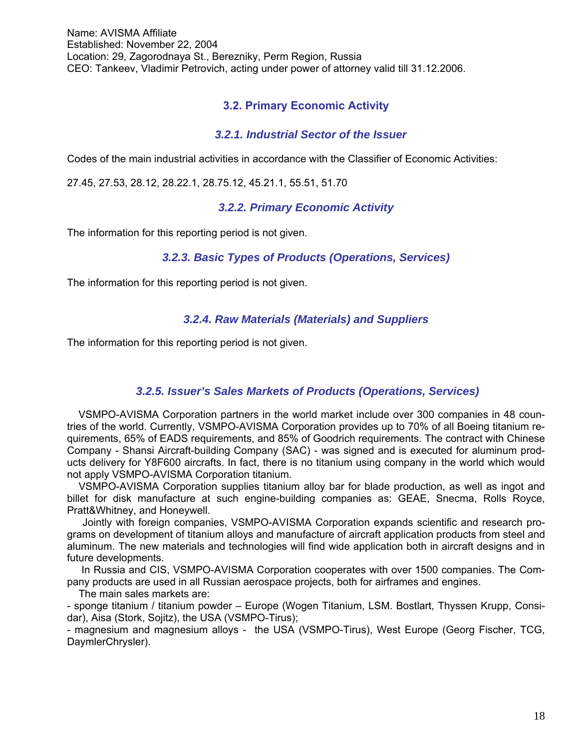<span id="page-17-0"></span>Name: AVISMA Affiliate Established: November 22, 2004 Location: 29, Zagorodnaya St., Berezniky, Perm Region, Russia CEO: Tankeev, Vladimir Petrovich, acting under power of attorney valid till 31.12.2006.

## **3.2. Primary Economic Activity**

## *3.2.1. Industrial Sector of the Issuer*

Codes of the main industrial activities in accordance with the Classifier of Economic Activities:

27.45, 27.53, 28.12, 28.22.1, 28.75.12, 45.21.1, 55.51, 51.70

## *3.2.2. Primary Economic Activity*

The information for this reporting period is not given.

## *3.2.3. Basic Types of Products (Operations, Services)*

The information for this reporting period is not given.

## *3.2.4. Raw Materials (Materials) and Suppliers*

The information for this reporting period is not given.

## *3.2.5. Issuer's Sales Markets of Products (Operations, Services)*

 VSMPO-AVISMA Corporation partners in the world market include over 300 companies in 48 countries of the world. Currently, VSMPO-AVISMA Corporation provides up to 70% of all Boeing titanium requirements, 65% of EADS requirements, and 85% of Goodrich requirements. The contract with Chinese Company - Shansi Aircraft-building Company (SAC) - was signed and is executed for aluminum products delivery for Y8F600 aircrafts. In fact, there is no titanium using company in the world which would not apply VSMPO-AVISMA Corporation titanium.

 VSMPO-AVISMA Corporation supplies titanium alloy bar for blade production, as well as ingot and billet for disk manufacture at such engine-building companies as: GEAE, Snecma, Rolls Royce, Pratt&Whitney, and Honeywell.

 Jointly with foreign companies, VSMPO-AVISMA Corporation expands scientific and research programs on development of titanium alloys and manufacture of aircraft application products from steel and aluminum. The new materials and technologies will find wide application both in aircraft designs and in future developments.

 In Russia and CIS, VSMPO-AVISMA Corporation cooperates with over 1500 companies. The Company products are used in all Russian aerospace projects, both for airframes and engines.

The main sales markets are:

- sponge titanium / titanium powder – Europe (Wogen Titanium, LSM. Bostlart, Thyssen Krupp, Considar), Aisa (Stork, Sojitz), the USA (VSMPO-Tirus);

- magnesium and magnesium alloys - the USA (VSMPO-Tirus), West Europe (Georg Fischer, TCG, DaymlerChrysler).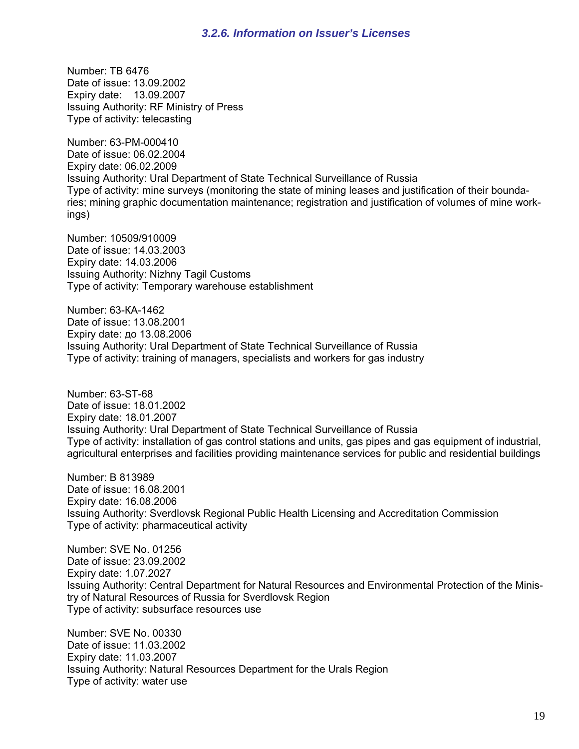<span id="page-18-0"></span>Number: ТВ 6476 Date of issue: 13.09.2002 Expiry date: 13.09.2007 Issuing Authority: RF Ministry of Press Type of activity: telecasting

Number: 63-PМ-000410 Date of issue: 06.02.2004 Expiry date: 06.02.2009 Issuing Authority: Ural Department of State Technical Surveillance of Russia Type of activity: mine surveys (monitoring the state of mining leases and justification of their boundaries; mining graphic documentation maintenance; registration and justification of volumes of mine workings)

Number: 10509/910009 Date of issue: 14.03.2003 Expiry date: 14.03.2006 Issuing Authority: Nizhny Tagil Customs Type of activity: Temporary warehouse establishment

Number: 63-КА-1462 Date of issue: 13.08.2001 Expiry date: до 13.08.2006 Issuing Authority: Ural Department of State Technical Surveillance of Russia Type of activity: training of managers, specialists and workers for gas industry

Number: 63-ST-68 Date of issue: 18.01.2002 Expiry date: 18.01.2007 Issuing Authority: Ural Department of State Technical Surveillance of Russia Type of activity: installation of gas control stations and units, gas pipes and gas equipment of industrial, agricultural enterprises and facilities providing maintenance services for public and residential buildings

Number: B 813989 Date of issue: 16.08.2001 Expiry date: 16.08.2006 Issuing Authority: Sverdlovsk Regional Public Health Licensing and Accreditation Commission Type of activity: pharmaceutical activity

Number: SVE No. 01256 Date of issue: 23.09.2002 Expiry date: 1.07.2027 Issuing Authority: Central Department for Natural Resources and Environmental Protection of the Ministry of Natural Resources of Russia for Sverdlovsk Region Type of activity: subsurface resources use

Number: SVE No. 00330 Date of issue: 11.03.2002 Expiry date: 11.03.2007 Issuing Authority: Natural Resources Department for the Urals Region Type of activity: water use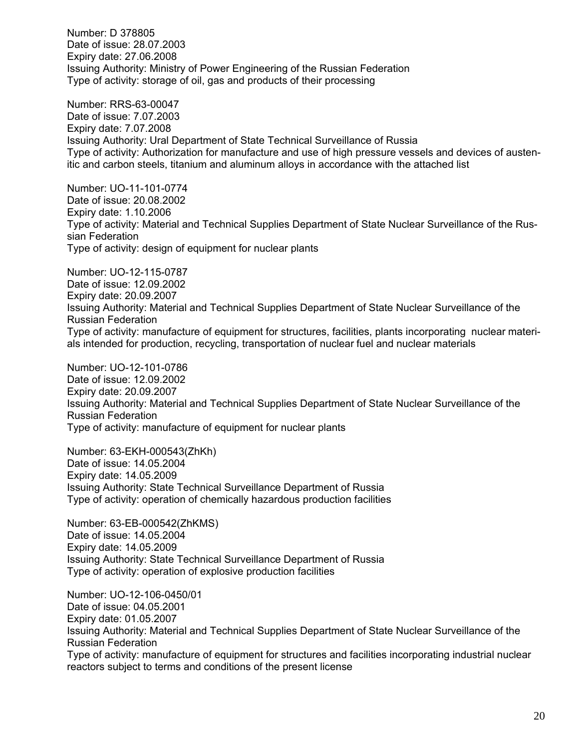Number: D 378805 Date of issue: 28.07.2003 Expiry date: 27.06.2008 Issuing Authority: Ministry of Power Engineering of the Russian Federation Type of activity: storage of oil, gas and products of their processing

Number: RRS-63-00047 Date of issue: 7.07.2003 Expiry date: 7.07.2008 Issuing Authority: Ural Department of State Technical Surveillance of Russia Type of activity: Authorization for manufacture and use of high pressure vessels and devices of austenitic and carbon steels, titanium and aluminum alloys in accordance with the attached list

Number: UО-11-101-0774 Date of issue: 20.08.2002 Expiry date: 1.10.2006 Type of activity: Material and Technical Supplies Department of State Nuclear Surveillance of the Russian Federation Type of activity: design of equipment for nuclear plants

Number: UО-12-115-0787 Date of issue: 12.09.2002 Expiry date: 20.09.2007 Issuing Authority: Material and Technical Supplies Department of State Nuclear Surveillance of the Russian Federation Type of activity: manufacture of equipment for structures, facilities, plants incorporating nuclear materials intended for production, recycling, transportation of nuclear fuel and nuclear materials

Number: UО-12-101-0786 Date of issue: 12.09.2002 Expiry date: 20.09.2007 Issuing Authority: Material and Technical Supplies Department of State Nuclear Surveillance of the Russian Federation Type of activity: manufacture of equipment for nuclear plants

Number: 63-EKH-000543(ZhKh) Date of issue: 14.05.2004 Expiry date: 14.05.2009 Issuing Authority: State Technical Surveillance Department of Russia Type of activity: operation of chemically hazardous production facilities

Number: 63-EВ-000542(ZhKMS) Date of issue: 14.05.2004 Expiry date: 14.05.2009 Issuing Authority: State Technical Surveillance Department of Russia Type of activity: operation of explosive production facilities

Number: UО-12-106-0450/01 Date of issue: 04.05.2001 Expiry date: 01.05.2007 Issuing Authority: Material and Technical Supplies Department of State Nuclear Surveillance of the Russian Federation Type of activity: manufacture of equipment for structures and facilities incorporating industrial nuclear reactors subject to terms and conditions of the present license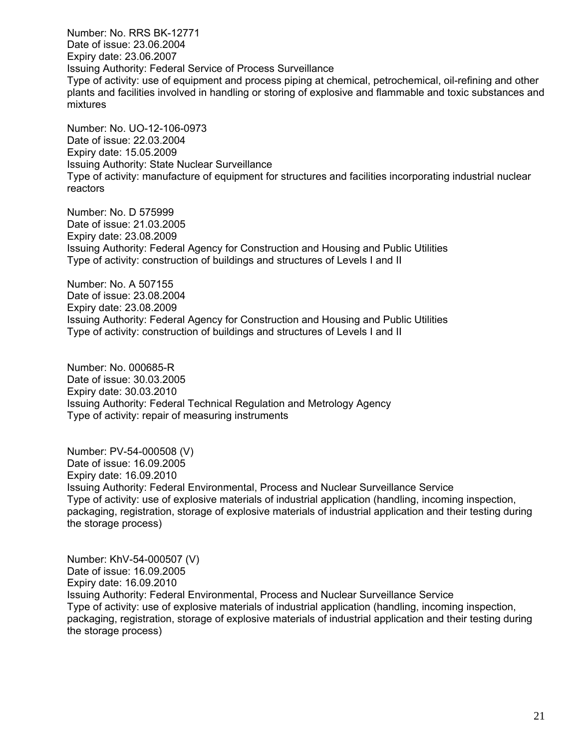Number: No. RRS BK-12771 Date of issue: 23.06.2004 Expiry date: 23.06.2007 Issuing Authority: Federal Service of Process Surveillance Type of activity: use of equipment and process piping at chemical, petrochemical, oil-refining and other plants and facilities involved in handling or storing of explosive and flammable and toxic substances and mixtures

Number: No. UO-12-106-0973 Date of issue: 22.03.2004 Expiry date: 15.05.2009 Issuing Authority: State Nuclear Surveillance Type of activity: manufacture of equipment for structures and facilities incorporating industrial nuclear reactors

Number: No. D 575999 Date of issue: 21.03.2005 Expiry date: 23.08.2009 Issuing Authority: Federal Agency for Construction and Housing and Public Utilities Type of activity: construction of buildings and structures of Levels I and II

Number: No. А 507155 Date of issue: 23.08.2004 Expiry date: 23.08.2009 Issuing Authority: Federal Agency for Construction and Housing and Public Utilities Type of activity: construction of buildings and structures of Levels I and II

Number: No. 000685-R Date of issue: 30.03.2005 Expiry date: 30.03.2010 Issuing Authority: Federal Technical Regulation and Metrology Agency Type of activity: repair of measuring instruments

Number: PV-54-000508 (V) Date of issue: 16.09.2005 Expiry date: 16.09.2010 Issuing Authority: Federal Environmental, Process and Nuclear Surveillance Service Type of activity: use of explosive materials of industrial application (handling, incoming inspection, packaging, registration, storage of explosive materials of industrial application and their testing during the storage process)

Number: KhV-54-000507 (V) Date of issue: 16.09.2005 Expiry date: 16.09.2010 Issuing Authority: Federal Environmental, Process and Nuclear Surveillance Service Type of activity: use of explosive materials of industrial application (handling, incoming inspection, packaging, registration, storage of explosive materials of industrial application and their testing during the storage process)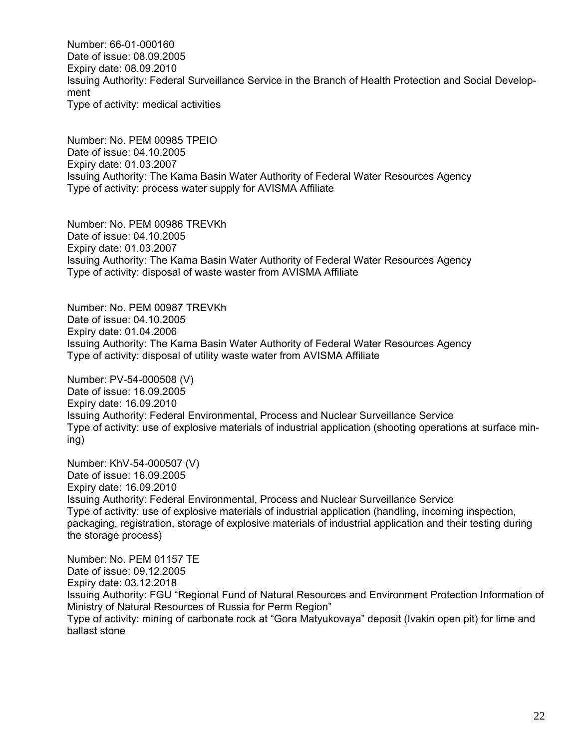Number: 66-01-000160 Date of issue: 08.09.2005 Expiry date: 08.09.2010 Issuing Authority: Federal Surveillance Service in the Branch of Health Protection and Social Development Type of activity: medical activities

Number: No. PEM 00985 TPEIO Date of issue: 04.10.2005 Expiry date: 01.03.2007 Issuing Authority: The Kama Basin Water Authority of Federal Water Resources Agency Type of activity: process water supply for AVISMA Affiliate

Number: No. PEM 00986 TREVKh Date of issue: 04.10.2005 Expiry date: 01.03.2007 Issuing Authority: The Kama Basin Water Authority of Federal Water Resources Agency Type of activity: disposal of waste waster from AVISMA Affiliate

Number: No. PEM 00987 TREVKh Date of issue: 04.10.2005 Expiry date: 01.04.2006 Issuing Authority: The Kama Basin Water Authority of Federal Water Resources Agency Type of activity: disposal of utility waste water from AVISMA Affiliate

Number: PV-54-000508 (V) Date of issue: 16.09.2005 Expiry date: 16.09.2010 Issuing Authority: Federal Environmental, Process and Nuclear Surveillance Service Type of activity: use of explosive materials of industrial application (shooting operations at surface mining)

Number: KhV-54-000507 (V) Date of issue: 16.09.2005 Expiry date: 16.09.2010 Issuing Authority: Federal Environmental, Process and Nuclear Surveillance Service Type of activity: use of explosive materials of industrial application (handling, incoming inspection, packaging, registration, storage of explosive materials of industrial application and their testing during the storage process)

Number: No. PEM 01157 TE Date of issue: 09.12.2005 Expiry date: 03.12.2018 Issuing Authority: FGU "Regional Fund of Natural Resources and Environment Protection Information of Ministry of Natural Resources of Russia for Perm Region" Type of activity: mining of carbonate rock at "Gora Matyukovaya" deposit (Ivakin open pit) for lime and ballast stone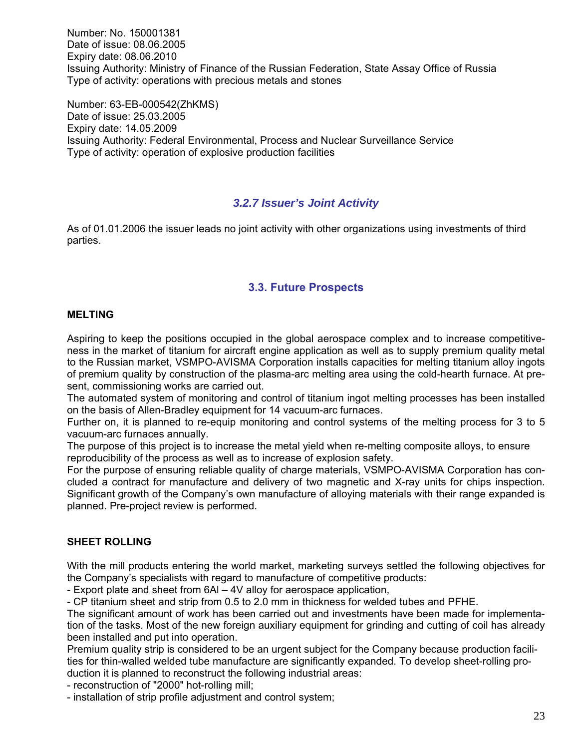<span id="page-22-0"></span>Number: No. 150001381 Date of issue: 08.06.2005 Expiry date: 08.06.2010 Issuing Authority: Ministry of Finance of the Russian Federation, State Assay Office of Russia Type of activity: operations with precious metals and stones

Number: 63-EВ-000542(ZhKMS) Date of issue: 25.03.2005 Expiry date: 14.05.2009 Issuing Authority: Federal Environmental, Process and Nuclear Surveillance Service Type of activity: operation of explosive production facilities

# *3.2.7 Issuer's Joint Activity*

As of 01.01.2006 the issuer leads no joint activity with other organizations using investments of third parties.

# **3.3. Future Prospects**

## **MELTING**

Aspiring to keep the positions occupied in the global aerospace complex and to increase competitiveness in the market of titanium for aircraft engine application as well as to supply premium quality metal to the Russian market, VSMPO-AVISMA Corporation installs capacities for melting titanium alloy ingots of premium quality by construction of the plasma-arc melting area using the cold-hearth furnace. At present, commissioning works are carried out.

The automated system of monitoring and control of titanium ingot melting processes has been installed on the basis of Allen-Bradley equipment for 14 vacuum-arc furnaces.

Further on, it is planned to re-equip monitoring and control systems of the melting process for 3 to 5 vacuum-arc furnaces annually.

The purpose of this project is to increase the metal yield when re-melting composite alloys, to ensure reproducibility of the process as well as to increase of explosion safety.

For the purpose of ensuring reliable quality of charge materials, VSMPO-AVISMA Corporation has concluded a contract for manufacture and delivery of two magnetic and X-ray units for chips inspection. Significant growth of the Company's own manufacture of alloying materials with their range expanded is planned. Pre-project review is performed.

## **SHEET ROLLING**

With the mill products entering the world market, marketing surveys settled the following objectives for the Company's specialists with regard to manufacture of competitive products:

- Export plate and sheet from 6Аl – 4V alloy for aerospace application,

- CP titanium sheet and strip from 0.5 to 2.0 mm in thickness for welded tubes and PFHE.

The significant amount of work has been carried out and investments have been made for implementation of the tasks. Most of the new foreign auxiliary equipment for grinding and cutting of coil has already been installed and put into operation.

Premium quality strip is considered to be an urgent subject for the Company because production facilities for thin-walled welded tube manufacture are significantly expanded. To develop sheet-rolling production it is planned to reconstruct the following industrial areas:

- reconstruction of "2000" hot-rolling mill;

- installation of strip profile adjustment and control system;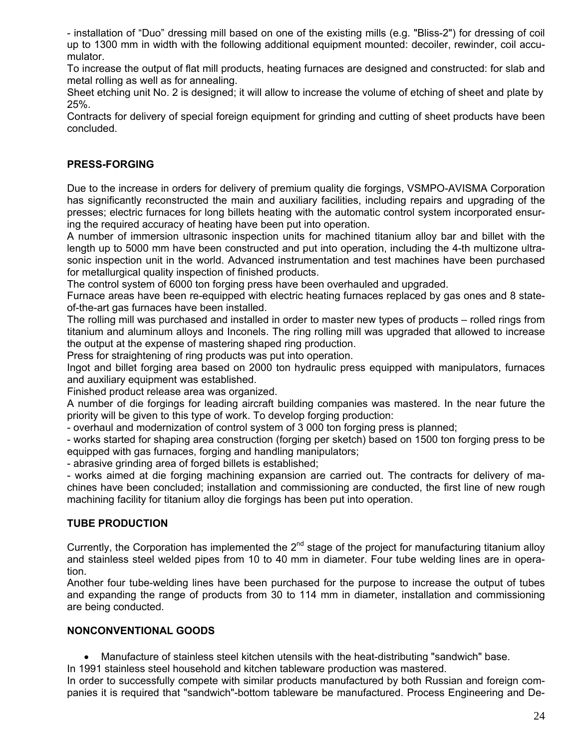- installation of "Duo" dressing mill based on one of the existing mills (e.g. "Bliss-2") for dressing of coil up to 1300 mm in width with the following additional equipment mounted: decoiler, rewinder, coil accumulator.

To increase the output of flat mill products, heating furnaces are designed and constructed: for slab and metal rolling as well as for annealing.

Sheet etching unit No. 2 is designed; it will allow to increase the volume of etching of sheet and plate by 25%.

Contracts for delivery of special foreign equipment for grinding and cutting of sheet products have been concluded.

## **PRESS-FORGING**

Due to the increase in orders for delivery of premium quality die forgings, VSMPO-AVISMA Corporation has significantly reconstructed the main and auxiliary facilities, including repairs and upgrading of the presses; electric furnaces for long billets heating with the automatic control system incorporated ensuring the required accuracy of heating have been put into operation.

A number of immersion ultrasonic inspection units for machined titanium alloy bar and billet with the length up to 5000 mm have been constructed and put into operation, including the 4-th multizone ultrasonic inspection unit in the world. Advanced instrumentation and test machines have been purchased for metallurgical quality inspection of finished products.

The control system of 6000 ton forging press have been overhauled and upgraded.

Furnace areas have been re-equipped with electric heating furnaces replaced by gas ones and 8 stateof-the-art gas furnaces have been installed.

The rolling mill was purchased and installed in order to master new types of products – rolled rings from titanium and aluminum alloys and Inconels. The ring rolling mill was upgraded that allowed to increase the output at the expense of mastering shaped ring production.

Press for straightening of ring products was put into operation.

Ingot and billet forging area based on 2000 ton hydraulic press equipped with manipulators, furnaces and auxiliary equipment was established.

Finished product release area was organized.

A number of die forgings for leading aircraft building companies was mastered. In the near future the priority will be given to this type of work. To develop forging production:

- overhaul and modernization of control system of 3 000 ton forging press is planned;

- works started for shaping area construction (forging per sketch) based on 1500 ton forging press to be equipped with gas furnaces, forging and handling manipulators;

- abrasive grinding area of forged billets is established;

- works aimed at die forging machining expansion are carried out. The contracts for delivery of machines have been concluded; installation and commissioning are conducted, the first line of new rough machining facility for titanium alloy die forgings has been put into operation.

### **TUBE PRODUCTION**

Currently, the Corporation has implemented the  $2^{nd}$  stage of the project for manufacturing titanium alloy and stainless steel welded pipes from 10 to 40 mm in diameter. Four tube welding lines are in operation.

Another four tube-welding lines have been purchased for the purpose to increase the output of tubes and expanding the range of products from 30 to 114 mm in diameter, installation and commissioning are being conducted.

### **NONCONVENTIONAL GOODS**

• Manufacture of stainless steel kitchen utensils with the heat-distributing "sandwich" base.

In 1991 stainless steel household and kitchen tableware production was mastered.

In order to successfully compete with similar products manufactured by both Russian and foreign companies it is required that "sandwich"-bottom tableware be manufactured. Process Engineering and De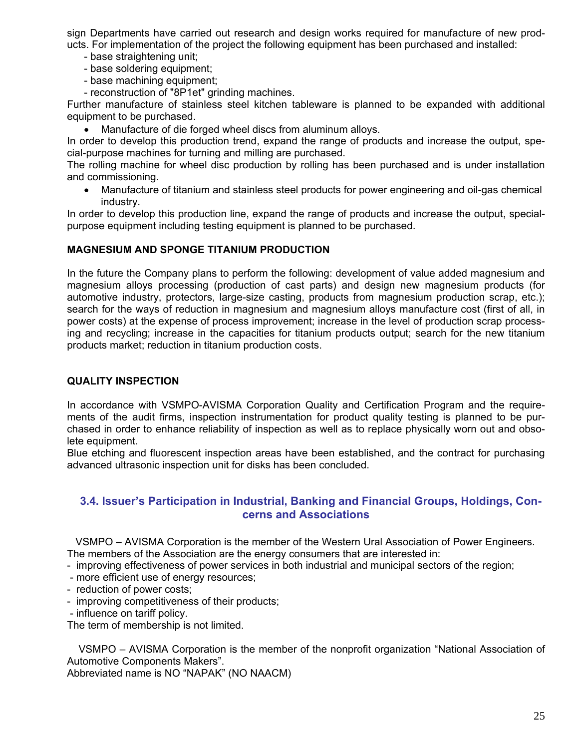<span id="page-24-0"></span>sign Departments have carried out research and design works required for manufacture of new products. For implementation of the project the following equipment has been purchased and installed:

- base straightening unit;
- base soldering equipment;
- base machining equipment;
- reconstruction of "8P1et" grinding machines.

Further manufacture of stainless steel kitchen tableware is planned to be expanded with additional equipment to be purchased.

• Manufacture of die forged wheel discs from aluminum alloys.

In order to develop this production trend, expand the range of products and increase the output, special-purpose machines for turning and milling are purchased.

The rolling machine for wheel disc production by rolling has been purchased and is under installation and commissioning.

• Manufacture of titanium and stainless steel products for power engineering and oil-gas chemical industry.

In order to develop this production line, expand the range of products and increase the output, specialpurpose equipment including testing equipment is planned to be purchased.

### **MAGNESIUM AND SPONGE TITANIUM PRODUCTION**

In the future the Company plans to perform the following: development of value added magnesium and magnesium alloys processing (production of cast parts) and design new magnesium products (for automotive industry, protectors, large-size casting, products from magnesium production scrap, etc.); search for the ways of reduction in magnesium and magnesium alloys manufacture cost (first of all, in power costs) at the expense of process improvement; increase in the level of production scrap processing and recycling; increase in the capacities for titanium products output; search for the new titanium products market; reduction in titanium production costs.

### **QUALITY INSPECTION**

In accordance with VSMPO-AVISMA Corporation Quality and Certification Program and the requirements of the audit firms, inspection instrumentation for product quality testing is planned to be purchased in order to enhance reliability of inspection as well as to replace physically worn out and obsolete equipment.

Blue etching and fluorescent inspection areas have been established, and the contract for purchasing advanced ultrasonic inspection unit for disks has been concluded.

## **3.4. Issuer's Participation in Industrial, Banking and Financial Groups, Holdings, Concerns and Associations**

 VSMPO – AVISMA Corporation is the member of the Western Ural Association of Power Engineers. The members of the Association are the energy consumers that are interested in:

- improving effectiveness of power services in both industrial and municipal sectors of the region;
- more efficient use of energy resources;
- reduction of power costs;
- improving competitiveness of their products;

- influence on tariff policy.

The term of membership is not limited.

 VSMPO – AVISMA Corporation is the member of the nonprofit organization "National Association of Automotive Components Makers".

Abbreviated name is NO "NAPAK" (NO NAACM)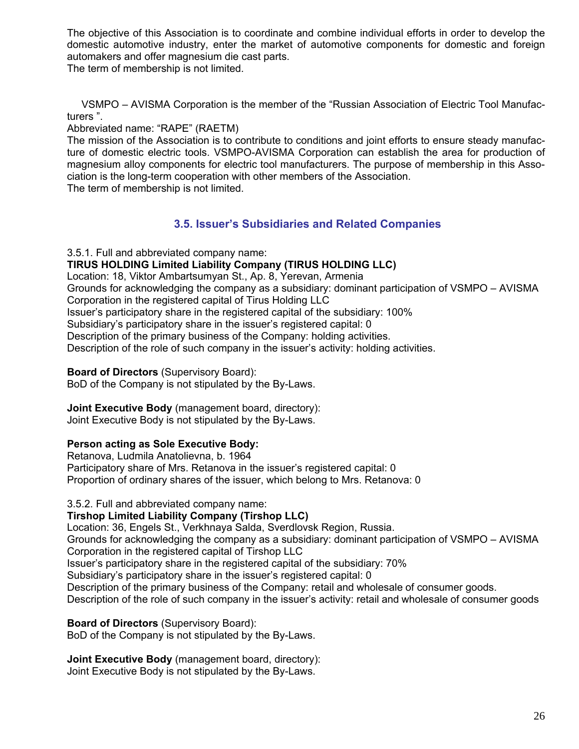<span id="page-25-0"></span>The objective of this Association is to coordinate and combine individual efforts in order to develop the domestic automotive industry, enter the market of automotive components for domestic and foreign automakers and offer magnesium die cast parts.

The term of membership is not limited.

 VSMPO – AVISMA Corporation is the member of the "Russian Association of Electric Tool Manufacturers ".

Abbreviated name: "RAPE" (RAETM)

The mission of the Association is to contribute to conditions and joint efforts to ensure steady manufacture of domestic electric tools. VSMPO-AVISMA Corporation can establish the area for production of magnesium alloy components for electric tool manufacturers. The purpose of membership in this Association is the long-term cooperation with other members of the Association. The term of membership is not limited.

# **3.5. Issuer's Subsidiaries and Related Companies**

3.5.1. Full and abbreviated company name:

**TIRUS HOLDING Limited Liability Company (TIRUS HOLDING LLC)** 

Location: 18, Viktor Ambartsumyan St., Ap. 8, Yerevan, Armenia

Grounds for acknowledging the company as a subsidiary: dominant participation of VSMPO – AVISMA Corporation in the registered capital of Tirus Holding LLC Issuer's participatory share in the registered capital of the subsidiary: 100% Subsidiary's participatory share in the issuer's registered capital: 0

Description of the primary business of the Company: holding activities.

Description of the role of such company in the issuer's activity: holding activities.

### **Board of Directors** (Supervisory Board):

BoD of the Company is not stipulated by the By-Laws.

**Joint Executive Body** (management board, directory): Joint Executive Body is not stipulated by the By-Laws.

## **Person acting as Sole Executive Body:**

Retanova, Ludmila Anatolievna, b. 1964 Participatory share of Mrs. Retanova in the issuer's registered capital: 0 Proportion of ordinary shares of the issuer, which belong to Mrs. Retanova: 0

3.5.2. Full and abbreviated company name:

## **Tirshop Limited Liability Company (Tirshop LLC)**

Location: 36, Engels St., Verkhnaya Salda, Sverdlovsk Region, Russia. Grounds for acknowledging the company as a subsidiary: dominant participation of VSMPO – AVISMA Corporation in the registered capital of Tirshop LLC Issuer's participatory share in the registered capital of the subsidiary: 70%

Subsidiary's participatory share in the issuer's registered capital: 0

Description of the primary business of the Company: retail and wholesale of consumer goods.

Description of the role of such company in the issuer's activity: retail and wholesale of consumer goods

### **Board of Directors** (Supervisory Board):

BoD of the Company is not stipulated by the By-Laws.

**Joint Executive Body** (management board, directory): Joint Executive Body is not stipulated by the By-Laws.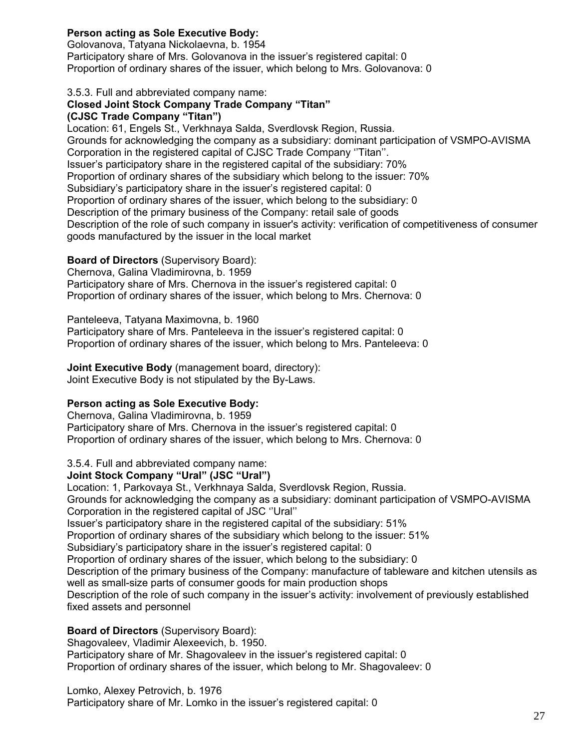## **Person acting as Sole Executive Body:**

Golovanova, Tatyana Nickolaevna, b. 1954 Participatory share of Mrs. Golovanova in the issuer's registered capital: 0 Proportion of ordinary shares of the issuer, which belong to Mrs. Golovanova: 0

3.5.3. Full and abbreviated company name:

**Closed Joint Stock Company Trade Company "Titan"** 

### **(CJSC Trade Company "Titan")**

Location: 61, Engels St., Verkhnaya Salda, Sverdlovsk Region, Russia. Grounds for acknowledging the company as a subsidiary: dominant participation of VSMPO-AVISMA Corporation in the registered capital of CJSC Trade Company ''Titan''. Issuer's participatory share in the registered capital of the subsidiary: 70% Proportion of ordinary shares of the subsidiary which belong to the issuer: 70% Subsidiary's participatory share in the issuer's registered capital: 0 Proportion of ordinary shares of the issuer, which belong to the subsidiary: 0 Description of the primary business of the Company: retail sale of goods Description of the role of such company in issuer's activity: verification of competitiveness of consumer goods manufactured by the issuer in the local market

### **Board of Directors** (Supervisory Board):

Chernova, Galina Vladimirovna, b. 1959 Participatory share of Mrs. Chernova in the issuer's registered capital: 0 Proportion of ordinary shares of the issuer, which belong to Mrs. Chernova: 0

Panteleeva, Tatyana Maximovna, b. 1960 Participatory share of Mrs. Panteleeva in the issuer's registered capital: 0 Proportion of ordinary shares of the issuer, which belong to Mrs. Panteleeva: 0

**Joint Executive Body** (management board, directory): Joint Executive Body is not stipulated by the By-Laws.

## **Person acting as Sole Executive Body:**

Chernova, Galina Vladimirovna, b. 1959 Participatory share of Mrs. Chernova in the issuer's registered capital: 0 Proportion of ordinary shares of the issuer, which belong to Mrs. Chernova: 0

### 3.5.4. Full and abbreviated company name:

### **Joint Stock Company "Ural" (JSC "Ural")**

Location: 1, Parkovaya St., Verkhnaya Salda, Sverdlovsk Region, Russia. Grounds for acknowledging the company as a subsidiary: dominant participation of VSMPO-AVISMA Corporation in the registered capital of JSC ''Ural'' Issuer's participatory share in the registered capital of the subsidiary: 51% Proportion of ordinary shares of the subsidiary which belong to the issuer: 51% Subsidiary's participatory share in the issuer's registered capital: 0 Proportion of ordinary shares of the issuer, which belong to the subsidiary: 0 Description of the primary business of the Company: manufacture of tableware and kitchen utensils as well as small-size parts of consumer goods for main production shops Description of the role of such company in the issuer's activity: involvement of previously established fixed assets and personnel

### **Board of Directors** (Supervisory Board):

Shagovaleev, Vladimir Alexeevich, b. 1950. Participatory share of Mr. Shagovaleev in the issuer's registered capital: 0 Proportion of ordinary shares of the issuer, which belong to Mr. Shagovaleev: 0

### Lomko, Alexey Petrovich, b. 1976

Participatory share of Mr. Lomko in the issuer's registered capital: 0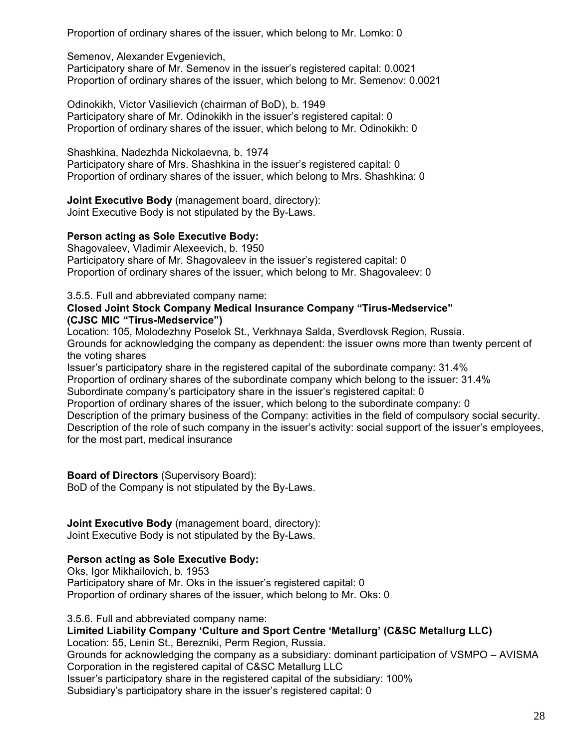Proportion of ordinary shares of the issuer, which belong to Mr. Lomko: 0

Semenov, Alexander Evgenievich,

Participatory share of Mr. Semenov in the issuer's registered capital: 0.0021 Proportion of ordinary shares of the issuer, which belong to Mr. Semenov: 0.0021

Odinokikh, Victor Vasilievich (chairman of BoD), b. 1949 Participatory share of Mr. Odinokikh in the issuer's registered capital: 0 Proportion of ordinary shares of the issuer, which belong to Mr. Odinokikh: 0

Shashkina, Nadezhda Nickolaevna, b. 1974 Participatory share of Mrs. Shashkina in the issuer's registered capital: 0 Proportion of ordinary shares of the issuer, which belong to Mrs. Shashkina: 0

**Joint Executive Body** (management board, directory): Joint Executive Body is not stipulated by the By-Laws.

## **Person acting as Sole Executive Body:**

Shagovaleev, Vladimir Alexeevich, b. 1950 Participatory share of Mr. Shagovaleev in the issuer's registered capital: 0 Proportion of ordinary shares of the issuer, which belong to Mr. Shagovaleev: 0

3.5.5. Full and abbreviated company name:

### **Closed Joint Stock Company Medical Insurance Company "Тirus-Меdservice" (CJSC MIC "Тirus-Меdservice")**

Location: 105, Molodezhny Poselok St., Verkhnaya Salda, Sverdlovsk Region, Russia. Grounds for acknowledging the company as dependent: the issuer owns more than twenty percent of the voting shares

Issuer's participatory share in the registered capital of the subordinate company: 31.4% Proportion of ordinary shares of the subordinate company which belong to the issuer: 31.4% Subordinate company's participatory share in the issuer's registered capital: 0

Proportion of ordinary shares of the issuer, which belong to the subordinate company: 0 Description of the primary business of the Company: activities in the field of compulsory social security. Description of the role of such company in the issuer's activity: social support of the issuer's employees, for the most part, medical insurance

**Board of Directors** (Supervisory Board): BoD of the Company is not stipulated by the By-Laws.

**Joint Executive Body** (management board, directory): Joint Executive Body is not stipulated by the By-Laws.

# **Person acting as Sole Executive Body:**

Oks, Igor Mikhailovich, b. 1953 Participatory share of Mr. Oks in the issuer's registered capital: 0 Proportion of ordinary shares of the issuer, which belong to Mr. Oks: 0

3.5.6. Full and abbreviated company name:

## **Limited Liability Company 'Culture and Sport Centre 'Metallurg' (C&SC Metallurg LLC)**

Location: 55, Lenin St., Berezniki, Perm Region, Russia. Grounds for acknowledging the company as a subsidiary: dominant participation of VSMPO – AVISMA Corporation in the registered capital of C&SC Metallurg LLC Issuer's participatory share in the registered capital of the subsidiary: 100%

Subsidiary's participatory share in the issuer's registered capital: 0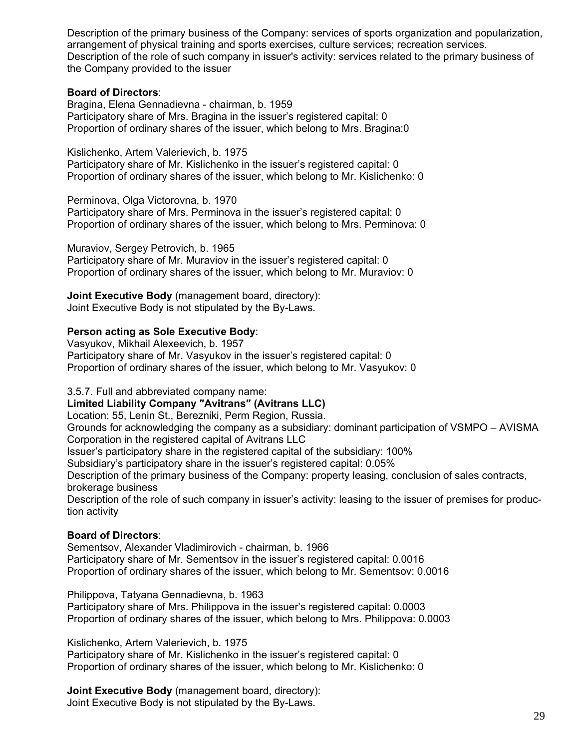Description of the primary business of the Company: services of sports organization and popularization, arrangement of physical training and sports exercises, culture services; recreation services. Description of the role of such company in issuer's activity: services related to the primary business of the Company provided to the issuer

### **Board of Directors**:

Bragina, Elena Gennadievna - chairman, b. 1959 Participatory share of Mrs. Bragina in the issuer's registered capital: 0 Proportion of ordinary shares of the issuer, which belong to Mrs. Bragina:0

Kislichenko, Artem Valerievich, b. 1975 Participatory share of Mr. Kislichenko in the issuer's registered capital: 0 Proportion of ordinary shares of the issuer, which belong to Mr. Kislichenko: 0

Perminova, Olga Victorovna, b. 1970 Participatory share of Mrs. Perminova in the issuer's registered capital: 0 Proportion of ordinary shares of the issuer, which belong to Mrs. Perminova: 0

Muraviov, Sergey Petrovich, b. 1965 Participatory share of Mr. Muraviov in the issuer's registered capital: 0 Proportion of ordinary shares of the issuer, which belong to Mr. Muraviov: 0

**Joint Executive Body** (management board, directory): Joint Executive Body is not stipulated by the By-Laws.

### **Person acting as Sole Executive Body**:

Vasyukov, Mikhail Alexeevich, b. 1957 Participatory share of Mr. Vasyukov in the issuer's registered capital: 0 Proportion of ordinary shares of the issuer, which belong to Mr. Vasyukov: 0

3.5.7. Full and abbreviated company name:

### **Limited Liability Company ″Avitrans″ (Avitrans LLC)**

Location: 55, Lenin St., Berezniki, Perm Region, Russia.

Grounds for acknowledging the company as a subsidiary: dominant participation of VSMPO – AVISMA Corporation in the registered capital of Avitrans LLC

Issuer's participatory share in the registered capital of the subsidiary: 100%

Subsidiary's participatory share in the issuer's registered capital: 0.05%

Description of the primary business of the Company: property leasing, conclusion of sales contracts, brokerage business

Description of the role of such company in issuer's activity: leasing to the issuer of premises for production activity

### **Board of Directors**:

Sementsov, Alexander Vladimirovich - chairman, b. 1966 Participatory share of Mr. Sementsov in the issuer's registered capital: 0.0016 Proportion of ordinary shares of the issuer, which belong to Mr. Sementsov: 0.0016

Philippova, Tatyana Gennadievna, b. 1963

Participatory share of Mrs. Philippova in the issuer's registered capital: 0.0003 Proportion of ordinary shares of the issuer, which belong to Mrs. Philippova: 0.0003

Kislichenko, Artem Valerievich, b. 1975

Participatory share of Mr. Kislichenko in the issuer's registered capital: 0 Proportion of ordinary shares of the issuer, which belong to Mr. Kislichenko: 0

**Joint Executive Body** (management board, directory): Joint Executive Body is not stipulated by the By-Laws.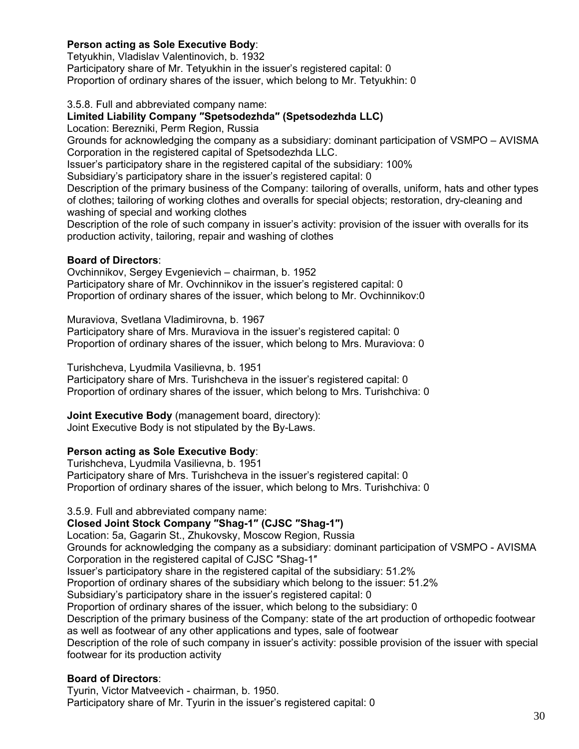## **Person acting as Sole Executive Body**:

Tetyukhin, Vladislav Valentinovich, b. 1932 Participatory share of Mr. Tetyukhin in the issuer's registered capital: 0 Proportion of ordinary shares of the issuer, which belong to Mr. Tetyukhin: 0

3.5.8. Full and abbreviated company name:

## **Limited Liability Company ″Spetsodezhda″ (Spetsodezhda LLC)**

Location: Berezniki, Perm Region, Russia

Grounds for acknowledging the company as a subsidiary: dominant participation of VSMPO – AVISMA Corporation in the registered capital of Spetsodezhda LLC.

Issuer's participatory share in the registered capital of the subsidiary: 100%

Subsidiary's participatory share in the issuer's registered capital: 0

Description of the primary business of the Company: tailoring of overalls, uniform, hats and other types of clothes; tailoring of working clothes and overalls for special objects; restoration, dry-cleaning and washing of special and working clothes

Description of the role of such company in issuer's activity: provision of the issuer with overalls for its production activity, tailoring, repair and washing of clothes

### **Board of Directors**:

Ovchinnikov, Sergey Evgenievich – chairman, b. 1952 Participatory share of Mr. Ovchinnikov in the issuer's registered capital: 0 Proportion of ordinary shares of the issuer, which belong to Mr. Ovchinnikov:0

Muraviova, Svetlana Vladimirovna, b. 1967 Participatory share of Mrs. Muraviova in the issuer's registered capital: 0 Proportion of ordinary shares of the issuer, which belong to Mrs. Muraviova: 0

Turishcheva, Lyudmila Vasilievna, b. 1951

Participatory share of Mrs. Turishcheva in the issuer's registered capital: 0 Proportion of ordinary shares of the issuer, which belong to Mrs. Turishchiva: 0

**Joint Executive Body** (management board, directory): Joint Executive Body is not stipulated by the By-Laws.

### **Person acting as Sole Executive Body**:

Turishcheva, Lyudmila Vasilievna, b. 1951 Participatory share of Mrs. Turishcheva in the issuer's registered capital: 0 Proportion of ordinary shares of the issuer, which belong to Mrs. Turishchiva: 0

3.5.9. Full and abbreviated company name:

### **Closed Joint Stock Company ″Shag-1″ (CJSC ″Shag-1″)**

Location: 5a, Gagarin St., Zhukovsky, Moscow Region, Russia Grounds for acknowledging the company as a subsidiary: dominant participation of VSMPO - AVISMA Corporation in the registered capital of CJSC ″Shag-1″ Issuer's participatory share in the registered capital of the subsidiary: 51.2% Proportion of ordinary shares of the subsidiary which belong to the issuer: 51.2% Subsidiary's participatory share in the issuer's registered capital: 0 Proportion of ordinary shares of the issuer, which belong to the subsidiary: 0 Description of the primary business of the Company: state of the art production of orthopedic footwear as well as footwear of any other applications and types, sale of footwear Description of the role of such company in issuer's activity: possible provision of the issuer with special footwear for its production activity

## **Board of Directors**:

Tyurin, Victor Matveevich - chairman, b. 1950. Participatory share of Mr. Tyurin in the issuer's registered capital: 0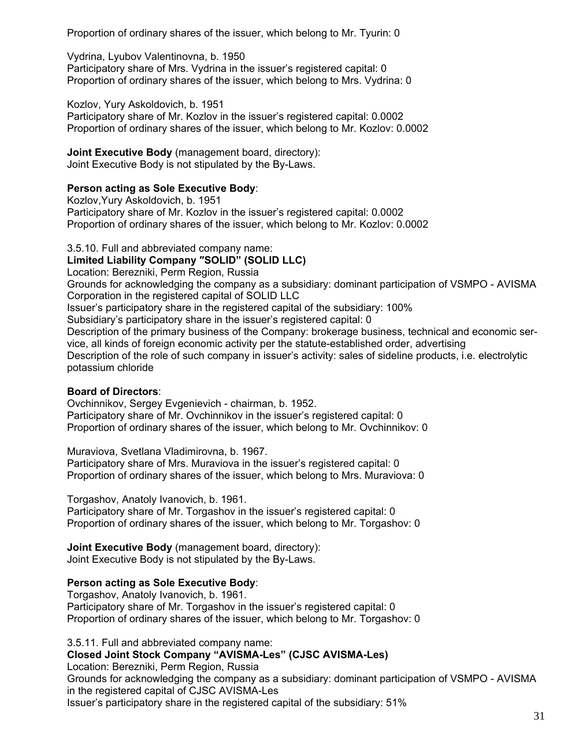Proportion of ordinary shares of the issuer, which belong to Mr. Tyurin: 0

Vydrina, Lyubov Valentinovna, b. 1950 Participatory share of Mrs. Vydrina in the issuer's registered capital: 0 Proportion of ordinary shares of the issuer, which belong to Mrs. Vydrina: 0

Kozlov, Yury Askoldovich, b. 1951 Participatory share of Mr. Kozlov in the issuer's registered capital: 0.0002 Proportion of ordinary shares of the issuer, which belong to Mr. Kozlov: 0.0002

**Joint Executive Body** (management board, directory):

Joint Executive Body is not stipulated by the By-Laws.

## **Person acting as Sole Executive Body**:

Kozlov,Yury Askoldovich, b. 1951 Participatory share of Mr. Kozlov in the issuer's registered capital: 0.0002 Proportion of ordinary shares of the issuer, which belong to Mr. Kozlov: 0.0002

3.5.10. Full and abbreviated company name:

## **Limited Liability Company ″SOLID" (SOLID LLC)**

Location: Berezniki, Perm Region, Russia

Grounds for acknowledging the company as a subsidiary: dominant participation of VSMPO - AVISMA Corporation in the registered capital of SOLID LLC

Issuer's participatory share in the registered capital of the subsidiary: 100%

Subsidiary's participatory share in the issuer's registered capital: 0

Description of the primary business of the Company: brokerage business, technical and economic service, all kinds of foreign economic activity per the statute-established order, advertising Description of the role of such company in issuer's activity: sales of sideline products, i.e. electrolytic potassium chloride

# **Board of Directors**:

Ovchinnikov, Sergey Evgenievich - chairman, b. 1952. Participatory share of Mr. Ovchinnikov in the issuer's registered capital: 0 Proportion of ordinary shares of the issuer, which belong to Mr. Ovchinnikov: 0

Muraviova, Svetlana Vladimirovna, b. 1967.

Participatory share of Mrs. Muraviova in the issuer's registered capital: 0 Proportion of ordinary shares of the issuer, which belong to Mrs. Muraviova: 0

Torgashov, Anatoly Ivanovich, b. 1961.

Participatory share of Mr. Torgashov in the issuer's registered capital: 0 Proportion of ordinary shares of the issuer, which belong to Mr. Torgashov: 0

**Joint Executive Body** (management board, directory): Joint Executive Body is not stipulated by the By-Laws.

# **Person acting as Sole Executive Body**:

Torgashov, Anatoly Ivanovich, b. 1961. Participatory share of Mr. Torgashov in the issuer's registered capital: 0 Proportion of ordinary shares of the issuer, which belong to Mr. Torgashov: 0

3.5.11. Full and abbreviated company name:

**Closed Joint Stock Company "AVISMA-Les" (CJSC AVISMA-Les)** 

Location: Berezniki, Perm Region, Russia Grounds for acknowledging the company as a subsidiary: dominant participation of VSMPO - AVISMA in the registered capital of CJSC AVISMA-Les

Issuer's participatory share in the registered capital of the subsidiary: 51%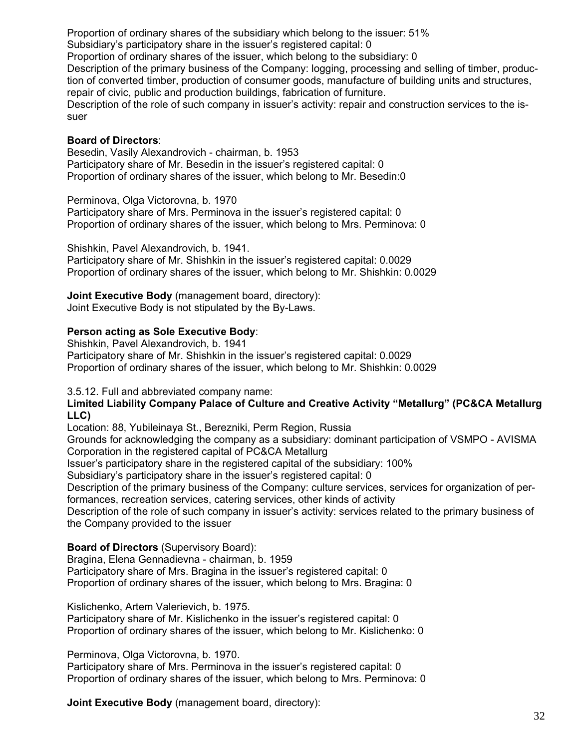Proportion of ordinary shares of the subsidiary which belong to the issuer: 51% Subsidiary's participatory share in the issuer's registered capital: 0 Proportion of ordinary shares of the issuer, which belong to the subsidiary: 0 Description of the primary business of the Company: logging, processing and selling of timber, production of converted timber, production of consumer goods, manufacture of building units and structures, repair of civic, public and production buildings, fabrication of furniture. Description of the role of such company in issuer's activity: repair and construction services to the issuer

### **Board of Directors**:

Besedin, Vasily Alexandrovich - chairman, b. 1953 Participatory share of Mr. Besedin in the issuer's registered capital: 0 Proportion of ordinary shares of the issuer, which belong to Mr. Besedin:0

Perminova, Olga Victorovna, b. 1970 Participatory share of Mrs. Perminova in the issuer's registered capital: 0 Proportion of ordinary shares of the issuer, which belong to Mrs. Perminova: 0

Shishkin, Pavel Alexandrovich, b. 1941. Participatory share of Mr. Shishkin in the issuer's registered capital: 0.0029 Proportion of ordinary shares of the issuer, which belong to Mr. Shishkin: 0.0029

**Joint Executive Body** (management board, directory): Joint Executive Body is not stipulated by the By-Laws.

### **Person acting as Sole Executive Body**:

Shishkin, Pavel Alexandrovich, b. 1941 Participatory share of Mr. Shishkin in the issuer's registered capital: 0.0029 Proportion of ordinary shares of the issuer, which belong to Mr. Shishkin: 0.0029

3.5.12. Full and abbreviated company name:

### **Limited Liability Company Palace of Culture and Creative Activity "Metallurg" (PC&CA Metallurg LLC)**

Location: 88, Yubileinaya St., Berezniki, Perm Region, Russia

Grounds for acknowledging the company as a subsidiary: dominant participation of VSMPO - AVISMA Corporation in the registered capital of PC&CA Metallurg

Issuer's participatory share in the registered capital of the subsidiary: 100%

Subsidiary's participatory share in the issuer's registered capital: 0

Description of the primary business of the Company: culture services, services for organization of performances, recreation services, catering services, other kinds of activity

Description of the role of such company in issuer's activity: services related to the primary business of the Company provided to the issuer

**Board of Directors** (Supervisory Board):

Bragina, Elena Gennadievna - chairman, b. 1959

Participatory share of Mrs. Bragina in the issuer's registered capital: 0 Proportion of ordinary shares of the issuer, which belong to Mrs. Bragina: 0

Kislichenko, Artem Valerievich, b. 1975.

Participatory share of Mr. Kislichenko in the issuer's registered capital: 0 Proportion of ordinary shares of the issuer, which belong to Mr. Kislichenko: 0

Perminova, Olga Victorovna, b. 1970.

Participatory share of Mrs. Perminova in the issuer's registered capital: 0 Proportion of ordinary shares of the issuer, which belong to Mrs. Perminova: 0

**Joint Executive Body** (management board, directory):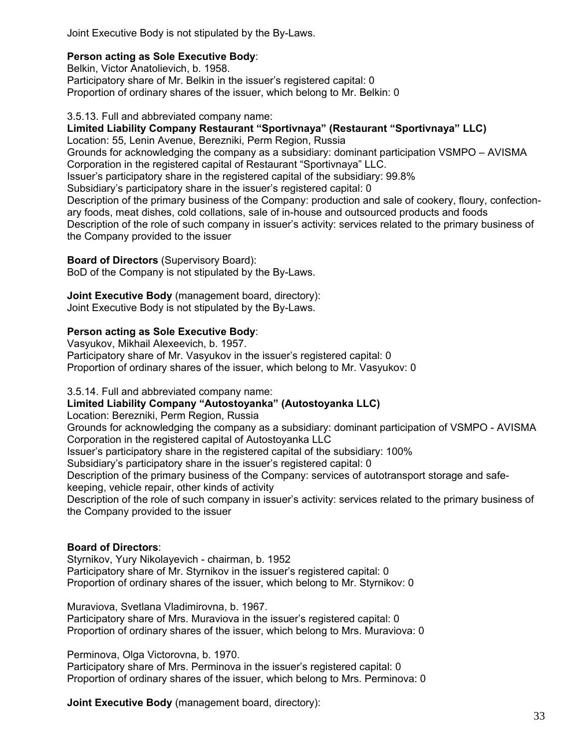Joint Executive Body is not stipulated by the By-Laws.

## **Person acting as Sole Executive Body**:

Belkin, Victor Anatolievich, b. 1958. Participatory share of Mr. Belkin in the issuer's registered capital: 0 Proportion of ordinary shares of the issuer, which belong to Mr. Belkin: 0

### 3.5.13. Full and abbreviated company name:

## **Limited Liability Company Restaurant "Sportivnaya" (Restaurant "Sportivnaya" LLC)**

Location: 55, Lenin Avenue, Berezniki, Perm Region, Russia Grounds for acknowledging the company as a subsidiary: dominant participation VSMPO – AVISMA Corporation in the registered capital of Restaurant "Sportivnaya" LLC. Issuer's participatory share in the registered capital of the subsidiary: 99.8% Subsidiary's participatory share in the issuer's registered capital: 0 Description of the primary business of the Company: production and sale of cookery, floury, confectionary foods, meat dishes, cold collations, sale of in-house and outsourced products and foods Description of the role of such company in issuer's activity: services related to the primary business of the Company provided to the issuer

**Board of Directors** (Supervisory Board): BoD of the Company is not stipulated by the By-Laws.

**Joint Executive Body** (management board, directory): Joint Executive Body is not stipulated by the By-Laws.

### **Person acting as Sole Executive Body**:

Vasyukov, Mikhail Alexeevich, b. 1957. Participatory share of Mr. Vasyukov in the issuer's registered capital: 0 Proportion of ordinary shares of the issuer, which belong to Mr. Vasyukov: 0

3.5.14. Full and abbreviated company name:

**Limited Liability Company "Autostoyanka" (Autostoyanka LLC)** 

Location: Berezniki, Perm Region, Russia

Grounds for acknowledging the company as a subsidiary: dominant participation of VSMPO - AVISMA Corporation in the registered capital of Autostoyanka LLC Issuer's participatory share in the registered capital of the subsidiary: 100% Subsidiary's participatory share in the issuer's registered capital: 0

Description of the primary business of the Company: services of autotransport storage and safe-

keeping, vehicle repair, other kinds of activity

Description of the role of such company in issuer's activity: services related to the primary business of the Company provided to the issuer

### **Board of Directors**:

Styrnikov, Yury Nikolayevich - chairman, b. 1952 Participatory share of Mr. Styrnikov in the issuer's registered capital: 0 Proportion of ordinary shares of the issuer, which belong to Mr. Styrnikov: 0

Muraviova, Svetlana Vladimirovna, b. 1967.

Participatory share of Mrs. Muraviova in the issuer's registered capital: 0 Proportion of ordinary shares of the issuer, which belong to Mrs. Muraviova: 0

Perminova, Olga Victorovna, b. 1970.

Participatory share of Mrs. Perminova in the issuer's registered capital: 0 Proportion of ordinary shares of the issuer, which belong to Mrs. Perminova: 0

**Joint Executive Body** (management board, directory):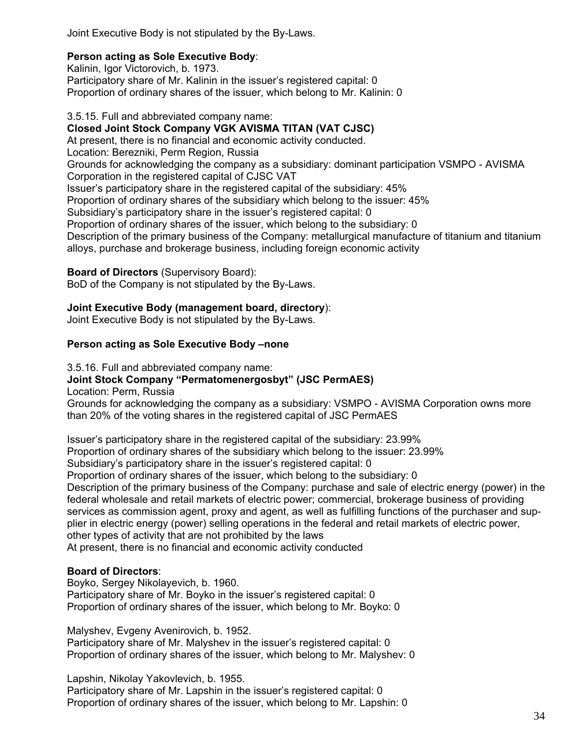Joint Executive Body is not stipulated by the By-Laws.

## **Person acting as Sole Executive Body**:

Kalinin, Igor Victorovich, b. 1973. Participatory share of Mr. Kalinin in the issuer's registered capital: 0 Proportion of ordinary shares of the issuer, which belong to Mr. Kalinin: 0

### 3.5.15. Full and abbreviated company name:

## **Closed Joint Stock Company VGK AVISMA TITAN (VAT CJSC)**

At present, there is no financial and economic activity conducted. Location: Berezniki, Perm Region, Russia Grounds for acknowledging the company as a subsidiary: dominant participation VSMPO - AVISMA Corporation in the registered capital of CJSC VAT Issuer's participatory share in the registered capital of the subsidiary: 45% Proportion of ordinary shares of the subsidiary which belong to the issuer: 45% Subsidiary's participatory share in the issuer's registered capital: 0 Proportion of ordinary shares of the issuer, which belong to the subsidiary: 0 Description of the primary business of the Company: metallurgical manufacture of titanium and titanium alloys, purchase and brokerage business, including foreign economic activity

### **Board of Directors** (Supervisory Board):

BoD of the Company is not stipulated by the By-Laws.

### **Joint Executive Body (management board, directory**):

Joint Executive Body is not stipulated by the By-Laws.

### **Person acting as Sole Executive Body –none**

3.5.16. Full and abbreviated company name:

## **Joint Stock Company "Permatomenergosbyt" (JSC PermAES)**

Location: Perm, Russia

Grounds for acknowledging the company as a subsidiary: VSMPO - AVISMA Corporation owns more than 20% of the voting shares in the registered capital of JSC PermAES

Issuer's participatory share in the registered capital of the subsidiary: 23.99% Proportion of ordinary shares of the subsidiary which belong to the issuer: 23.99% Subsidiary's participatory share in the issuer's registered capital: 0 Proportion of ordinary shares of the issuer, which belong to the subsidiary: 0 Description of the primary business of the Company: purchase and sale of electric energy (power) in the

federal wholesale and retail markets of electric power; commercial, brokerage business of providing services as commission agent, proxy and agent, as well as fulfilling functions of the purchaser and supplier in electric energy (power) selling operations in the federal and retail markets of electric power, other types of activity that are not prohibited by the laws

At present, there is no financial and economic activity conducted

### **Board of Directors**:

Boyko, Sergey Nikolayevich, b. 1960. Participatory share of Mr. Boyko in the issuer's registered capital: 0 Proportion of ordinary shares of the issuer, which belong to Mr. Boyko: 0

Malyshev, Evgeny Avenirovich, b. 1952.

Participatory share of Mr. Malyshev in the issuer's registered capital: 0 Proportion of ordinary shares of the issuer, which belong to Mr. Malyshev: 0

Lapshin, Nikolay Yakovlevich, b. 1955.

Participatory share of Mr. Lapshin in the issuer's registered capital: 0 Proportion of ordinary shares of the issuer, which belong to Mr. Lapshin: 0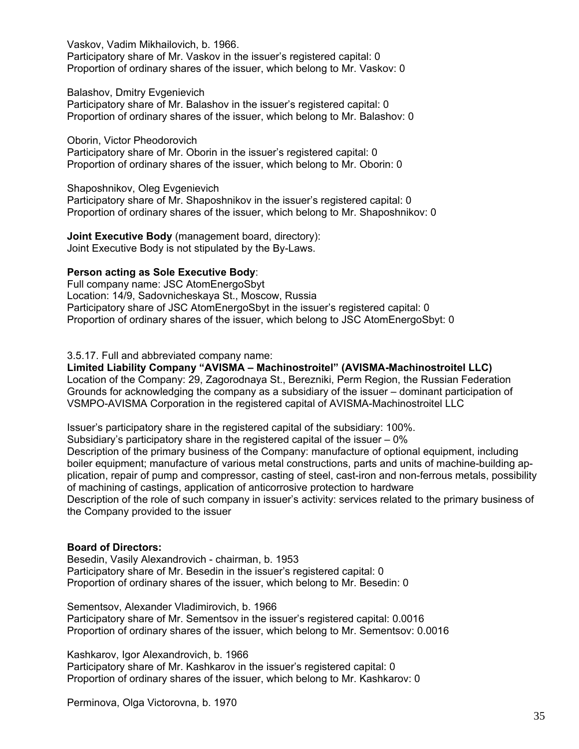Vaskov, Vadim Mikhailovich, b. 1966. Participatory share of Mr. Vaskov in the issuer's registered capital: 0 Proportion of ordinary shares of the issuer, which belong to Mr. Vaskov: 0

Balashov, Dmitry Evgenievich

Participatory share of Mr. Balashov in the issuer's registered capital: 0 Proportion of ordinary shares of the issuer, which belong to Mr. Balashov: 0

Oborin, Victor Pheodorovich

Participatory share of Mr. Oborin in the issuer's registered capital: 0 Proportion of ordinary shares of the issuer, which belong to Mr. Oborin: 0

Shaposhnikov, Oleg Evgenievich

Participatory share of Mr. Shaposhnikov in the issuer's registered capital: 0 Proportion of ordinary shares of the issuer, which belong to Mr. Shaposhnikov: 0

**Joint Executive Body** (management board, directory): Joint Executive Body is not stipulated by the By-Laws.

#### **Person acting as Sole Executive Body**:

Full company name: JSC AtomEnergoSbyt Location: 14/9, Sadovnicheskaya St., Moscow, Russia Participatory share of JSC AtomEnergoSbyt in the issuer's registered capital: 0 Proportion of ordinary shares of the issuer, which belong to JSC AtomEnergoSbyt: 0

#### 3.5.17. Full and abbreviated company name:

**Limited Liability Company "AVISMA – Machinostroitel" (AVISMA-Machinostroitel LLC)**  Location of the Company: 29, Zagorodnaya St., Berezniki, Perm Region, the Russian Federation Grounds for acknowledging the company as a subsidiary of the issuer – dominant participation of VSMPO-AVISMA Corporation in the registered capital of AVISMA-Machinostroitel LLC

Issuer's participatory share in the registered capital of the subsidiary: 100%. Subsidiary's participatory share in the registered capital of the issuer  $-0\%$ Description of the primary business of the Company: manufacture of optional equipment, including boiler equipment; manufacture of various metal constructions, parts and units of machine-building application, repair of pump and compressor, casting of steel, cast-iron and non-ferrous metals, possibility of machining of castings, application of anticorrosive protection to hardware Description of the role of such company in issuer's activity: services related to the primary business of the Company provided to the issuer

#### **Board of Directors:**

Besedin, Vasily Alexandrovich - chairman, b. 1953 Participatory share of Mr. Besedin in the issuer's registered capital: 0 Proportion of ordinary shares of the issuer, which belong to Mr. Besedin: 0

Sementsov, Alexander Vladimirovich, b. 1966 Participatory share of Mr. Sementsov in the issuer's registered capital: 0.0016 Proportion of ordinary shares of the issuer, which belong to Mr. Sementsov: 0.0016

Kashkarov, Igor Alexandrovich, b. 1966 Participatory share of Mr. Kashkarov in the issuer's registered capital: 0 Proportion of ordinary shares of the issuer, which belong to Mr. Kashkarov: 0

Perminova, Olga Victorovna, b. 1970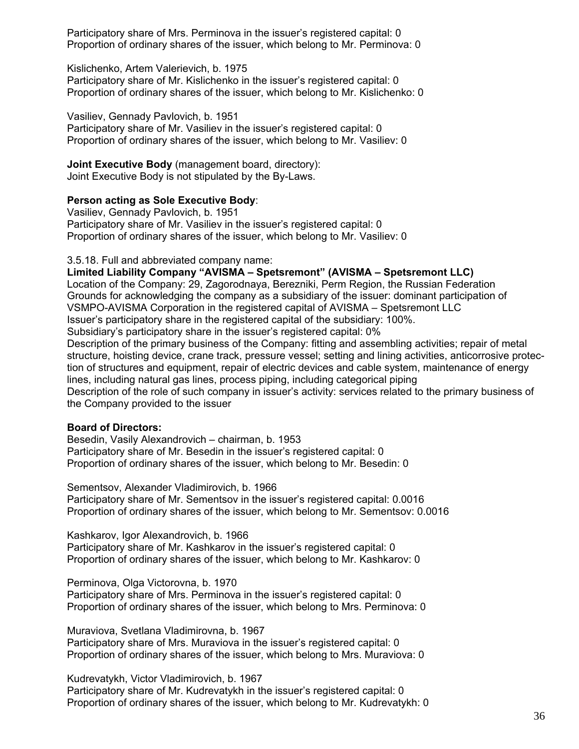Participatory share of Mrs. Perminova in the issuer's registered capital: 0 Proportion of ordinary shares of the issuer, which belong to Mr. Perminova: 0

Kislichenko, Artem Valerievich, b. 1975 Participatory share of Mr. Kislichenko in the issuer's registered capital: 0 Proportion of ordinary shares of the issuer, which belong to Mr. Kislichenko: 0

Vasiliev, Gennady Pavlovich, b. 1951 Participatory share of Mr. Vasiliev in the issuer's registered capital: 0 Proportion of ordinary shares of the issuer, which belong to Mr. Vasiliev: 0

**Joint Executive Body** (management board, directory): Joint Executive Body is not stipulated by the By-Laws.

### **Person acting as Sole Executive Body**:

Vasiliev, Gennady Pavlovich, b. 1951 Participatory share of Mr. Vasiliev in the issuer's registered capital: 0 Proportion of ordinary shares of the issuer, which belong to Mr. Vasiliev: 0

3.5.18. Full and abbreviated company name:

**Limited Liability Company "AVISMA – Spetsremont" (AVISMA – Spetsremont LLC)**  Location of the Company: 29, Zagorodnaya, Berezniki, Perm Region, the Russian Federation Grounds for acknowledging the company as a subsidiary of the issuer: dominant participation of VSMPO-AVISMA Corporation in the registered capital of AVISMA – Spetsremont LLC Issuer's participatory share in the registered capital of the subsidiary: 100%. Subsidiary's participatory share in the issuer's registered capital: 0% Description of the primary business of the Company: fitting and assembling activities; repair of metal structure, hoisting device, crane track, pressure vessel; setting and lining activities, anticorrosive protection of structures and equipment, repair of electric devices and cable system, maintenance of energy lines, including natural gas lines, process piping, including categorical piping Description of the role of such company in issuer's activity: services related to the primary business of the Company provided to the issuer

### **Board of Directors:**

Besedin, Vasily Alexandrovich – chairman, b. 1953 Participatory share of Mr. Besedin in the issuer's registered capital: 0 Proportion of ordinary shares of the issuer, which belong to Mr. Besedin: 0

Sementsov, Alexander Vladimirovich, b. 1966 Participatory share of Mr. Sementsov in the issuer's registered capital: 0.0016 Proportion of ordinary shares of the issuer, which belong to Mr. Sementsov: 0.0016

Kashkarov, Igor Alexandrovich, b. 1966 Participatory share of Mr. Kashkarov in the issuer's registered capital: 0 Proportion of ordinary shares of the issuer, which belong to Mr. Kashkarov: 0

Perminova, Olga Victorovna, b. 1970

Participatory share of Mrs. Perminova in the issuer's registered capital: 0 Proportion of ordinary shares of the issuer, which belong to Mrs. Perminova: 0

Muraviova, Svetlana Vladimirovna, b. 1967 Participatory share of Mrs. Muraviova in the issuer's registered capital: 0 Proportion of ordinary shares of the issuer, which belong to Mrs. Muraviova: 0

Kudrevatykh, Victor Vladimirovich, b. 1967 Participatory share of Mr. Kudrevatykh in the issuer's registered capital: 0 Proportion of ordinary shares of the issuer, which belong to Mr. Kudrevatykh: 0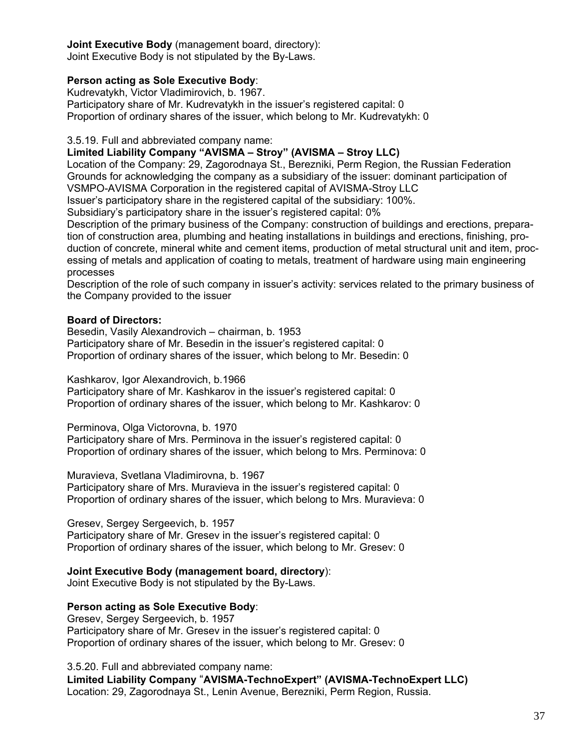**Joint Executive Body** (management board, directory): Joint Executive Body is not stipulated by the By-Laws.

### **Person acting as Sole Executive Body**:

Kudrevatykh, Victor Vladimirovich, b. 1967. Participatory share of Mr. Kudrevatykh in the issuer's registered capital: 0 Proportion of ordinary shares of the issuer, which belong to Mr. Kudrevatykh: 0

3.5.19. Full and abbreviated company name:

### **Limited Liability Company "AVISMA – Stroy" (AVISMA – Stroy LLC)**

Location of the Company: 29, Zagorodnaya St., Berezniki, Perm Region, the Russian Federation Grounds for acknowledging the company as a subsidiary of the issuer: dominant participation of VSMPO-AVISMA Corporation in the registered capital of AVISMA-Stroy LLC

Issuer's participatory share in the registered capital of the subsidiary: 100%.

Subsidiary's participatory share in the issuer's registered capital: 0%

Description of the primary business of the Company: construction of buildings and erections, preparation of construction area, plumbing and heating installations in buildings and erections, finishing, production of concrete, mineral white and cement items, production of metal structural unit and item, processing of metals and application of coating to metals, treatment of hardware using main engineering processes

Description of the role of such company in issuer's activity: services related to the primary business of the Company provided to the issuer

### **Board of Directors:**

Besedin, Vasily Alexandrovich – chairman, b. 1953 Participatory share of Mr. Besedin in the issuer's registered capital: 0 Proportion of ordinary shares of the issuer, which belong to Mr. Besedin: 0

Kashkarov, Igor Alexandrovich, b.1966

Participatory share of Mr. Kashkarov in the issuer's registered capital: 0 Proportion of ordinary shares of the issuer, which belong to Mr. Kashkarov: 0

Perminova, Olga Victorovna, b. 1970

Participatory share of Mrs. Perminova in the issuer's registered capital: 0 Proportion of ordinary shares of the issuer, which belong to Mrs. Perminova: 0

Muravieva, Svetlana Vladimirovna, b. 1967

Participatory share of Mrs. Muravieva in the issuer's registered capital: 0 Proportion of ordinary shares of the issuer, which belong to Mrs. Muravieva: 0

Gresev, Sergey Sergeevich, b. 1957

Participatory share of Mr. Gresev in the issuer's registered capital: 0 Proportion of ordinary shares of the issuer, which belong to Mr. Gresev: 0

#### **Joint Executive Body (management board, directory**):

Joint Executive Body is not stipulated by the By-Laws.

### **Person acting as Sole Executive Body**:

Gresev, Sergey Sergeevich, b. 1957 Participatory share of Mr. Gresev in the issuer's registered capital: 0 Proportion of ordinary shares of the issuer, which belong to Mr. Gresev: 0

3.5.20. Full and abbreviated company name:

**Limited Liability Company** "**AVISMA-TechnoExpert" (AVISMA-TechnoExpert LLC)**  Location: 29, Zagorodnaya St., Lenin Avenue, Berezniki, Perm Region, Russia.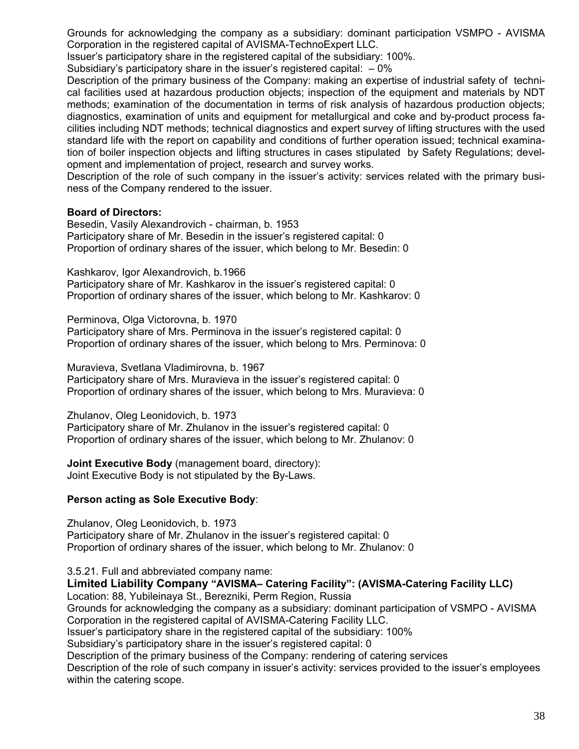Grounds for acknowledging the company as a subsidiary: dominant participation VSMPO - AVISMA Corporation in the registered capital of AVISMA-TechnoExpert LLC.

Issuer's participatory share in the registered capital of the subsidiary: 100%.

Subsidiary's participatory share in the issuer's registered capital:  $-0\%$ 

Description of the primary business of the Company: making an expertise of industrial safety of technical facilities used at hazardous production objects; inspection of the equipment and materials by NDT methods; examination of the documentation in terms of risk analysis of hazardous production objects; diagnostics, examination of units and equipment for metallurgical and coke and by-product process facilities including NDT methods; technical diagnostics and expert survey of lifting structures with the used standard life with the report on capability and conditions of further operation issued; technical examination of boiler inspection objects and lifting structures in cases stipulated by Safety Regulations; development and implementation of project, research and survey works.

Description of the role of such company in the issuer's activity: services related with the primary business of the Company rendered to the issuer.

#### **Board of Directors:**

Besedin, Vasily Alexandrovich - chairman, b. 1953 Participatory share of Mr. Besedin in the issuer's registered capital: 0 Proportion of ordinary shares of the issuer, which belong to Mr. Besedin: 0

Kashkarov, Igor Alexandrovich, b.1966

Participatory share of Mr. Kashkarov in the issuer's registered capital: 0 Proportion of ordinary shares of the issuer, which belong to Mr. Kashkarov: 0

Perminova, Olga Victorovna, b. 1970

Participatory share of Mrs. Perminova in the issuer's registered capital: 0 Proportion of ordinary shares of the issuer, which belong to Mrs. Perminova: 0

Muravieva, Svetlana Vladimirovna, b. 1967

Participatory share of Mrs. Muravieva in the issuer's registered capital: 0 Proportion of ordinary shares of the issuer, which belong to Mrs. Muravieva: 0

Zhulanov, Oleg Leonidovich, b. 1973

Participatory share of Mr. Zhulanov in the issuer's registered capital: 0 Proportion of ordinary shares of the issuer, which belong to Mr. Zhulanov: 0

**Joint Executive Body** (management board, directory): Joint Executive Body is not stipulated by the By-Laws.

### **Person acting as Sole Executive Body**:

Zhulanov, Oleg Leonidovich, b. 1973 Participatory share of Mr. Zhulanov in the issuer's registered capital: 0 Proportion of ordinary shares of the issuer, which belong to Mr. Zhulanov: 0

3.5.21. Full and abbreviated company name:

**Limited Liability Company "AVISMA– Catering Facility": (AVISMA-Catering Facility LLC)**

Location: 88, Yubileinaya St., Berezniki, Perm Region, Russia Grounds for acknowledging the company as a subsidiary: dominant participation of VSMPO - AVISMA Corporation in the registered capital of AVISMA-Catering Facility LLC. Issuer's participatory share in the registered capital of the subsidiary: 100% Subsidiary's participatory share in the issuer's registered capital: 0 Description of the primary business of the Company: rendering of catering services Description of the role of such company in issuer's activity: services provided to the issuer's employees within the catering scope.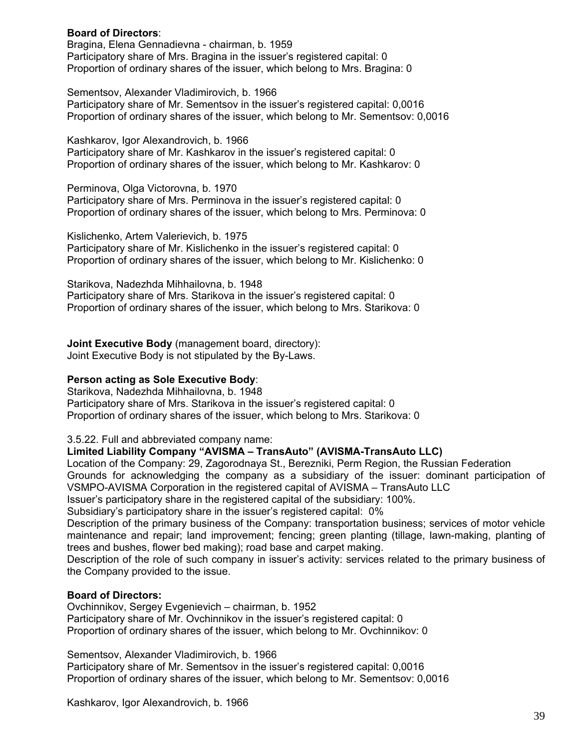#### **Board of Directors**:

Bragina, Elena Gennadievna - chairman, b. 1959 Participatory share of Mrs. Bragina in the issuer's registered capital: 0 Proportion of ordinary shares of the issuer, which belong to Mrs. Bragina: 0

Sementsov, Alexander Vladimirovich, b. 1966 Participatory share of Mr. Sementsov in the issuer's registered capital: 0,0016 Proportion of ordinary shares of the issuer, which belong to Mr. Sementsov: 0,0016

Kashkarov, Igor Alexandrovich, b. 1966 Participatory share of Mr. Kashkarov in the issuer's registered capital: 0 Proportion of ordinary shares of the issuer, which belong to Mr. Kashkarov: 0

Perminova, Olga Victorovna, b. 1970 Participatory share of Mrs. Perminova in the issuer's registered capital: 0 Proportion of ordinary shares of the issuer, which belong to Mrs. Perminova: 0

Kislichenko, Artem Valerievich, b. 1975 Participatory share of Mr. Kislichenko in the issuer's registered capital: 0 Proportion of ordinary shares of the issuer, which belong to Mr. Kislichenko: 0

Starikova, Nadezhda Mihhailovna, b. 1948 Participatory share of Mrs. Starikova in the issuer's registered capital: 0 Proportion of ordinary shares of the issuer, which belong to Mrs. Starikova: 0

**Joint Executive Body** (management board, directory): Joint Executive Body is not stipulated by the By-Laws.

#### **Person acting as Sole Executive Body**:

Starikova, Nadezhda Mihhailovna, b. 1948 Participatory share of Mrs. Starikova in the issuer's registered capital: 0 Proportion of ordinary shares of the issuer, which belong to Mrs. Starikova: 0

3.5.22. Full and abbreviated company name:

#### **Limited Liability Company "AVISMA – TransAuto" (AVISMA-TransAuto LLC)**

Location of the Company: 29, Zagorodnaya St., Berezniki, Perm Region, the Russian Federation Grounds for acknowledging the company as a subsidiary of the issuer: dominant participation of VSMPO-AVISMA Corporation in the registered capital of AVISMA – TransAuto LLC

Issuer's participatory share in the registered capital of the subsidiary: 100%.

Subsidiary's participatory share in the issuer's registered capital: 0%

Description of the primary business of the Company: transportation business; services of motor vehicle maintenance and repair; land improvement; fencing; green planting (tillage, lawn-making, planting of trees and bushes, flower bed making); road base and carpet making.

Description of the role of such company in issuer's activity: services related to the primary business of the Company provided to the issue.

#### **Board of Directors:**

Ovchinnikov, Sergey Evgenievich – chairman, b. 1952 Participatory share of Mr. Ovchinnikov in the issuer's registered capital: 0 Proportion of ordinary shares of the issuer, which belong to Mr. Ovchinnikov: 0

Sementsov, Alexander Vladimirovich, b. 1966 Participatory share of Mr. Sementsov in the issuer's registered capital: 0,0016 Proportion of ordinary shares of the issuer, which belong to Mr. Sementsov: 0,0016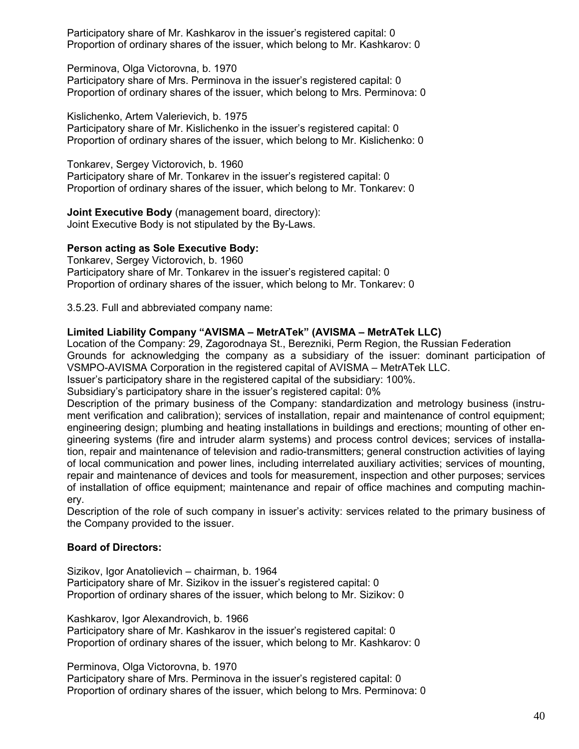Participatory share of Mr. Kashkarov in the issuer's registered capital: 0 Proportion of ordinary shares of the issuer, which belong to Mr. Kashkarov: 0

Perminova, Olga Victorovna, b. 1970 Participatory share of Mrs. Perminova in the issuer's registered capital: 0 Proportion of ordinary shares of the issuer, which belong to Mrs. Perminova: 0

Kislichenko, Artem Valerievich, b. 1975 Participatory share of Mr. Kislichenko in the issuer's registered capital: 0 Proportion of ordinary shares of the issuer, which belong to Mr. Kislichenko: 0

Tonkarev, Sergey Victorovich, b. 1960 Participatory share of Mr. Tonkarev in the issuer's registered capital: 0 Proportion of ordinary shares of the issuer, which belong to Mr. Tonkarev: 0

**Joint Executive Body** (management board, directory): Joint Executive Body is not stipulated by the By-Laws.

### **Person acting as Sole Executive Body:**

Tonkarev, Sergey Victorovich, b. 1960 Participatory share of Mr. Tonkarev in the issuer's registered capital: 0 Proportion of ordinary shares of the issuer, which belong to Mr. Tonkarev: 0

3.5.23. Full and abbreviated company name:

### **Limited Liability Company "AVISMA – MetrATek" (AVISMA – MetrATek LLC)**

Location of the Company: 29, Zagorodnaya St., Berezniki, Perm Region, the Russian Federation Grounds for acknowledging the company as a subsidiary of the issuer: dominant participation of VSMPO-AVISMA Corporation in the registered capital of AVISMA – MetrATek LLC.

Issuer's participatory share in the registered capital of the subsidiary: 100%.

Subsidiary's participatory share in the issuer's registered capital: 0%

Description of the primary business of the Company: standardization and metrology business (instrument verification and calibration); services of installation, repair and maintenance of control equipment; engineering design; plumbing and heating installations in buildings and erections; mounting of other engineering systems (fire and intruder alarm systems) and process control devices; services of installation, repair and maintenance of television and radio-transmitters; general construction activities of laying of local communication and power lines, including interrelated auxiliary activities; services of mounting, repair and maintenance of devices and tools for measurement, inspection and other purposes; services of installation of office equipment; maintenance and repair of office machines and computing machinery.

Description of the role of such company in issuer's activity: services related to the primary business of the Company provided to the issuer.

### **Board of Directors:**

Sizikov, Igor Anatolievich – chairman, b. 1964 Participatory share of Mr. Sizikov in the issuer's registered capital: 0 Proportion of ordinary shares of the issuer, which belong to Mr. Sizikov: 0

Kashkarov, Igor Alexandrovich, b. 1966 Participatory share of Mr. Kashkarov in the issuer's registered capital: 0 Proportion of ordinary shares of the issuer, which belong to Mr. Kashkarov: 0

Perminova, Olga Victorovna, b. 1970

Participatory share of Mrs. Perminova in the issuer's registered capital: 0 Proportion of ordinary shares of the issuer, which belong to Mrs. Perminova: 0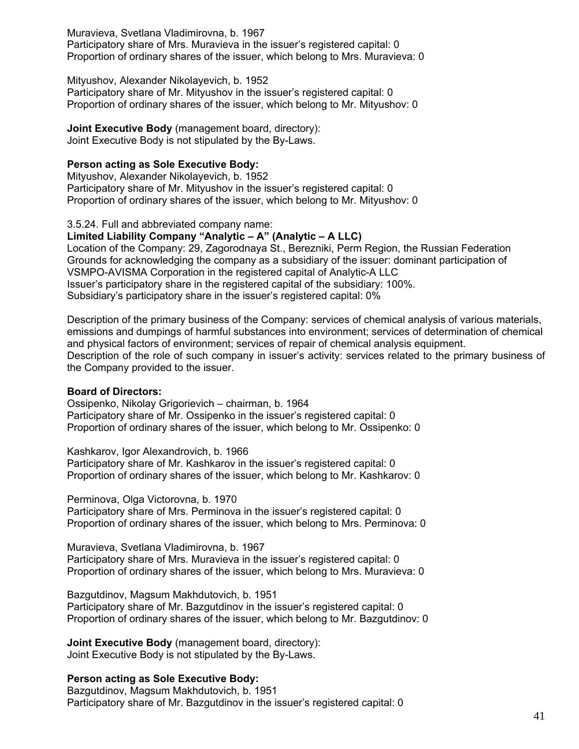Muravieva, Svetlana Vladimirovna, b. 1967 Participatory share of Mrs. Muravieva in the issuer's registered capital: 0 Proportion of ordinary shares of the issuer, which belong to Mrs. Muravieva: 0

Mityushov, Alexander Nikolayevich, b. 1952 Participatory share of Mr. Mityushov in the issuer's registered capital: 0 Proportion of ordinary shares of the issuer, which belong to Mr. Mityushov: 0

**Joint Executive Body** (management board, directory): Joint Executive Body is not stipulated by the By-Laws.

### **Person acting as Sole Executive Body:**

Mityushov, Alexander Nikolayevich, b. 1952 Participatory share of Mr. Mityushov in the issuer's registered capital: 0 Proportion of ordinary shares of the issuer, which belong to Mr. Mityushov: 0

3.5.24. Full and abbreviated company name:

### **Limited Liability Company "Analytic – A" (Analytic – A LLC)**

Location of the Company: 29, Zagorodnaya St., Berezniki, Perm Region, the Russian Federation Grounds for acknowledging the company as a subsidiary of the issuer: dominant participation of VSMPO-AVISMA Corporation in the registered capital of Analytic-A LLC Issuer's participatory share in the registered capital of the subsidiary: 100%. Subsidiary's participatory share in the issuer's registered capital: 0%

Description of the primary business of the Company: services of chemical analysis of various materials, emissions and dumpings of harmful substances into environment; services of determination of chemical and physical factors of environment; services of repair of chemical analysis equipment. Description of the role of such company in issuer's activity: services related to the primary business of the Company provided to the issuer.

#### **Board of Directors:**

Ossipenko, Nikolay Grigorievich – chairman, b. 1964 Participatory share of Mr. Ossipenko in the issuer's registered capital: 0 Proportion of ordinary shares of the issuer, which belong to Mr. Ossipenko: 0

Kashkarov, Igor Alexandrovich, b. 1966 Participatory share of Mr. Kashkarov in the issuer's registered capital: 0 Proportion of ordinary shares of the issuer, which belong to Mr. Kashkarov: 0

Perminova, Olga Victorovna, b. 1970

Participatory share of Mrs. Perminova in the issuer's registered capital: 0 Proportion of ordinary shares of the issuer, which belong to Mrs. Perminova: 0

Muravieva, Svetlana Vladimirovna, b. 1967 Participatory share of Mrs. Muravieva in the issuer's registered capital: 0

Proportion of ordinary shares of the issuer, which belong to Mrs. Muravieva: 0

Bazgutdinov, Magsum Makhdutovich, b. 1951

Participatory share of Mr. Bazgutdinov in the issuer's registered capital: 0 Proportion of ordinary shares of the issuer, which belong to Mr. Bazgutdinov: 0

**Joint Executive Body** (management board, directory): Joint Executive Body is not stipulated by the By-Laws.

### **Person acting as Sole Executive Body:**

Bazgutdinov, Magsum Makhdutovich, b. 1951 Participatory share of Mr. Bazgutdinov in the issuer's registered capital: 0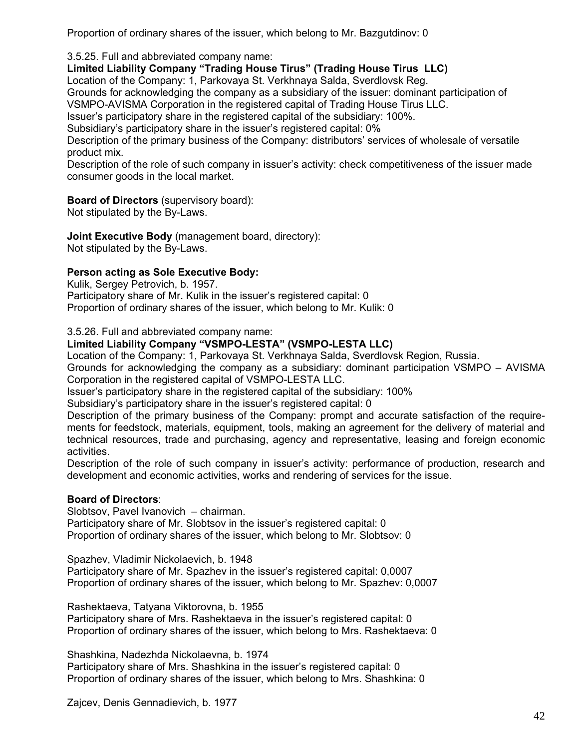Proportion of ordinary shares of the issuer, which belong to Mr. Bazgutdinov: 0

3.5.25. Full and abbreviated company name:

### **Limited Liability Company "Trading House Tirus" (Trading House Tirus LLC)**

Location of the Company: 1, Parkovaya St. Verkhnaya Salda, Sverdlovsk Reg.

Grounds for acknowledging the company as a subsidiary of the issuer: dominant participation of

VSMPO-AVISMA Corporation in the registered capital of Trading House Tirus LLC. Issuer's participatory share in the registered capital of the subsidiary: 100%.

Subsidiary's participatory share in the issuer's registered capital: 0%

Description of the primary business of the Company: distributors' services of wholesale of versatile product mix.

Description of the role of such company in issuer's activity: check competitiveness of the issuer made consumer goods in the local market.

# **Board of Directors** (supervisory board):

Not stipulated by the By-Laws.

**Joint Executive Body** (management board, directory): Not stipulated by the By-Laws.

# **Person acting as Sole Executive Body:**

Kulik, Sergey Petrovich, b. 1957. Participatory share of Mr. Kulik in the issuer's registered capital: 0 Proportion of ordinary shares of the issuer, which belong to Mr. Kulik: 0

3.5.26. Full and abbreviated company name:

# **Limited Liability Company "VSMPO-LESTA" (VSMPO-LESTA LLC)**

Location of the Company: 1, Parkovaya St. Verkhnaya Salda, Sverdlovsk Region, Russia.

Grounds for acknowledging the company as a subsidiary: dominant participation VSMPO – AVISMA Corporation in the registered capital of VSMPO-LESTA LLC.

Issuer's participatory share in the registered capital of the subsidiary: 100%

Subsidiary's participatory share in the issuer's registered capital: 0

Description of the primary business of the Company: prompt and accurate satisfaction of the requirements for feedstock, materials, equipment, tools, making an agreement for the delivery of material and technical resources, trade and purchasing, agency and representative, leasing and foreign economic activities.

Description of the role of such company in issuer's activity: performance of production, research and development and economic activities, works and rendering of services for the issue.

# **Board of Directors**:

Slobtsov, Pavel Ivanovich – chairman. Participatory share of Mr. Slobtsov in the issuer's registered capital: 0 Proportion of ordinary shares of the issuer, which belong to Mr. Slobtsov: 0

Spazhev, Vladimir Nickolaevich, b. 1948

Participatory share of Mr. Spazhev in the issuer's registered capital: 0,0007 Proportion of ordinary shares of the issuer, which belong to Mr. Spazhev: 0,0007

Rashektaeva, Tatyana Viktorovna, b. 1955

Participatory share of Mrs. Rashektaeva in the issuer's registered capital: 0 Proportion of ordinary shares of the issuer, which belong to Mrs. Rashektaeva: 0

Shashkina, Nadezhda Nickolaevna, b. 1974

Participatory share of Mrs. Shashkina in the issuer's registered capital: 0 Proportion of ordinary shares of the issuer, which belong to Mrs. Shashkina: 0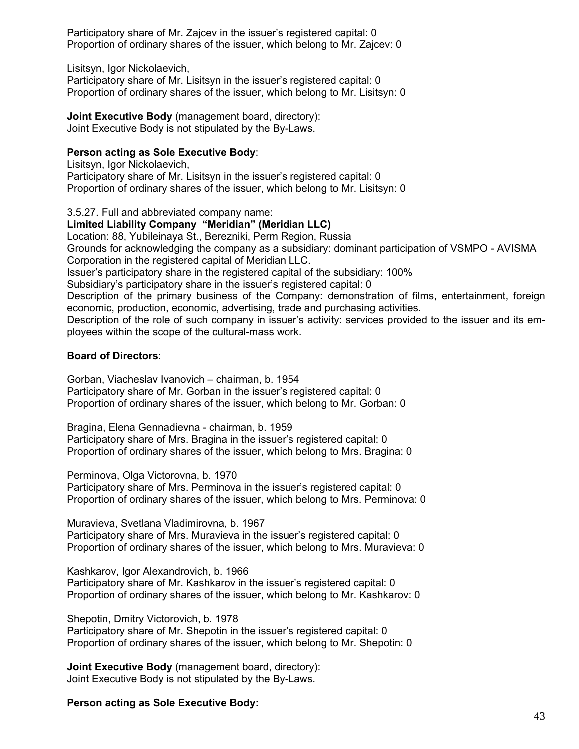Participatory share of Mr. Zajcev in the issuer's registered capital: 0 Proportion of ordinary shares of the issuer, which belong to Mr. Zajcev: 0

Lisitsyn, Igor Nickolaevich,

Participatory share of Mr. Lisitsyn in the issuer's registered capital: 0 Proportion of ordinary shares of the issuer, which belong to Mr. Lisitsyn: 0

**Joint Executive Body** (management board, directory): Joint Executive Body is not stipulated by the By-Laws.

### **Person acting as Sole Executive Body**:

Lisitsyn, Igor Nickolaevich, Participatory share of Mr. Lisitsyn in the issuer's registered capital: 0 Proportion of ordinary shares of the issuer, which belong to Mr. Lisitsyn: 0

3.5.27. Full and abbreviated company name:

### **Limited Liability Company "Meridian" (Meridian LLC)**

Location: 88, Yubileinaya St., Berezniki, Perm Region, Russia Grounds for acknowledging the company as a subsidiary: dominant participation of VSMPO - AVISMA Corporation in the registered capital of Meridian LLC. Issuer's participatory share in the registered capital of the subsidiary: 100% Subsidiary's participatory share in the issuer's registered capital: 0 Description of the primary business of the Company: demonstration of films, entertainment, foreign economic, production, economic, advertising, trade and purchasing activities.

Description of the role of such company in issuer's activity: services provided to the issuer and its employees within the scope of the cultural-mass work.

#### **Board of Directors**:

Gorban, Viacheslav Ivanovich – chairman, b. 1954 Participatory share of Mr. Gorban in the issuer's registered capital: 0 Proportion of ordinary shares of the issuer, which belong to Mr. Gorban: 0

Bragina, Elena Gennadievna - chairman, b. 1959 Participatory share of Mrs. Bragina in the issuer's registered capital: 0 Proportion of ordinary shares of the issuer, which belong to Mrs. Bragina: 0

Perminova, Olga Victorovna, b. 1970

Participatory share of Mrs. Perminova in the issuer's registered capital: 0 Proportion of ordinary shares of the issuer, which belong to Mrs. Perminova: 0

Muravieva, Svetlana Vladimirovna, b. 1967 Participatory share of Mrs. Muravieva in the issuer's registered capital: 0

Proportion of ordinary shares of the issuer, which belong to Mrs. Muravieva: 0

Kashkarov, Igor Alexandrovich, b. 1966 Participatory share of Mr. Kashkarov in the issuer's registered capital: 0 Proportion of ordinary shares of the issuer, which belong to Mr. Kashkarov: 0

Shepotin, Dmitry Victorovich, b. 1978 Participatory share of Mr. Shepotin in the issuer's registered capital: 0 Proportion of ordinary shares of the issuer, which belong to Mr. Shepotin: 0

**Joint Executive Body** (management board, directory): Joint Executive Body is not stipulated by the By-Laws.

### **Person acting as Sole Executive Body:**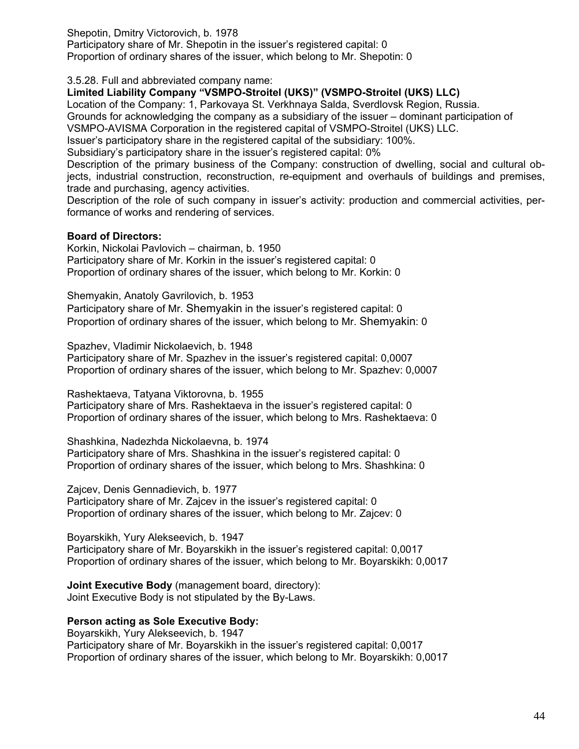Shepotin, Dmitry Victorovich, b. 1978

Participatory share of Mr. Shepotin in the issuer's registered capital: 0 Proportion of ordinary shares of the issuer, which belong to Mr. Shepotin: 0

3.5.28. Full and abbreviated company name:

### **Limited Liability Company "VSMPO-Stroitel (UKS)" (VSMPO-Stroitel (UKS) LLC)**

Location of the Company: 1, Parkovaya St. Verkhnaya Salda, Sverdlovsk Region, Russia. Grounds for acknowledging the company as a subsidiary of the issuer – dominant participation of VSMPO-AVISMA Corporation in the registered capital of VSMPO-Stroitel (UKS) LLC.

Issuer's participatory share in the registered capital of the subsidiary: 100%.

Subsidiary's participatory share in the issuer's registered capital: 0%

Description of the primary business of the Company: construction of dwelling, social and cultural objects, industrial construction, reconstruction, re-equipment and overhauls of buildings and premises, trade and purchasing, agency activities.

Description of the role of such company in issuer's activity: production and commercial activities, performance of works and rendering of services.

### **Board of Directors:**

Korkin, Nickolai Pavlovich – chairman, b. 1950 Participatory share of Mr. Korkin in the issuer's registered capital: 0 Proportion of ordinary shares of the issuer, which belong to Mr. Korkin: 0

Shemyakin, Anatoly Gavrilovich, b. 1953 Participatory share of Mr. Shemyakin in the issuer's registered capital: 0 Proportion of ordinary shares of the issuer, which belong to Mr. Shemyakin: 0

Spazhev, Vladimir Nickolaevich, b. 1948

Participatory share of Mr. Spazhev in the issuer's registered capital: 0,0007 Proportion of ordinary shares of the issuer, which belong to Mr. Spazhev: 0,0007

Rashektaeva, Tatyana Viktorovna, b. 1955

Participatory share of Mrs. Rashektaeva in the issuer's registered capital: 0 Proportion of ordinary shares of the issuer, which belong to Mrs. Rashektaeva: 0

Shashkina, Nadezhda Nickolaevna, b. 1974 Participatory share of Mrs. Shashkina in the issuer's registered capital: 0 Proportion of ordinary shares of the issuer, which belong to Mrs. Shashkina: 0

Zajcev, Denis Gennadievich, b. 1977 Participatory share of Mr. Zajcev in the issuer's registered capital: 0 Proportion of ordinary shares of the issuer, which belong to Mr. Zajcev: 0

Boyarskikh, Yury Alekseevich, b. 1947 Participatory share of Mr. Boyarskikh in the issuer's registered capital: 0,0017 Proportion of ordinary shares of the issuer, which belong to Mr. Boyarskikh: 0,0017

**Joint Executive Body** (management board, directory): Joint Executive Body is not stipulated by the By-Laws.

### **Person acting as Sole Executive Body:**

Boyarskikh, Yury Alekseevich, b. 1947 Participatory share of Mr. Boyarskikh in the issuer's registered capital: 0,0017 Proportion of ordinary shares of the issuer, which belong to Mr. Boyarskikh: 0,0017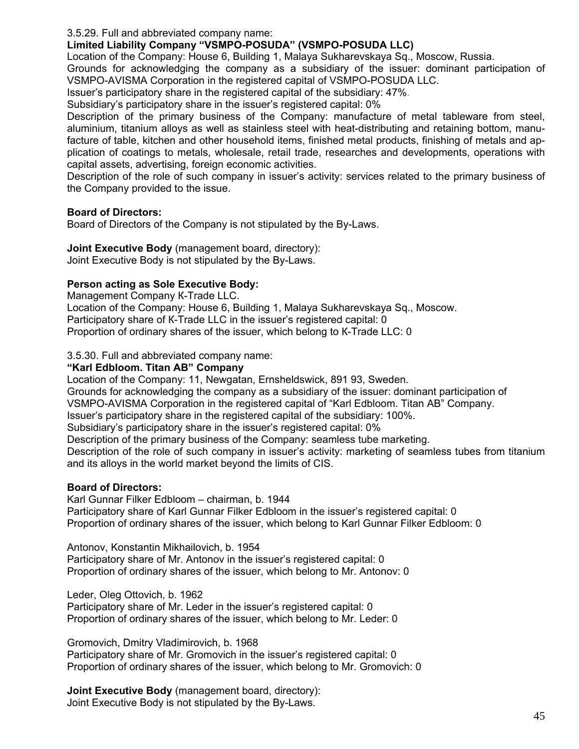3.5.29. Full and abbreviated company name:

# **Limited Liability Company "VSMPO-POSUDA" (VSMPO-POSUDA LLC)**

Location of the Company: House 6, Building 1, Malaya Sukharevskaya Sq., Moscow, Russia.

Grounds for acknowledging the company as a subsidiary of the issuer: dominant participation of VSMPO-AVISMA Corporation in the registered capital of VSMPO-POSUDA LLC.

Issuer's participatory share in the registered capital of the subsidiary: 47%.

Subsidiary's participatory share in the issuer's registered capital: 0%

Description of the primary business of the Company: manufacture of metal tableware from steel, aluminium, titanium alloys as well as stainless steel with heat-distributing and retaining bottom, manufacture of table, kitchen and other household items, finished metal products, finishing of metals and application of coatings to metals, wholesale, retail trade, researches and developments, operations with capital assets, advertising, foreign economic activities.

Description of the role of such company in issuer's activity: services related to the primary business of the Company provided to the issue.

### **Board of Directors:**

Board of Directors of the Company is not stipulated by the By-Laws.

**Joint Executive Body** (management board, directory):

Joint Executive Body is not stipulated by the By-Laws.

### **Person acting as Sole Executive Body:**

Management Company К-Trade LLC.

Location of the Company: House 6, Building 1, Malaya Sukharevskaya Sq., Moscow. Participatory share of К-Trade LLC in the issuer's registered capital: 0 Proportion of ordinary shares of the issuer, which belong to К-Trade LLC: 0

### 3.5.30. Full and abbreviated company name:

### **"Karl Edbloom. Titan AB" Company**

Location of the Company: 11, Newgatan, Ernsheldswick, 891 93, Sweden. Grounds for acknowledging the company as a subsidiary of the issuer: dominant participation of VSMPO-AVISMA Corporation in the registered capital of "Karl Edbloom. Titan AB" Company. Issuer's participatory share in the registered capital of the subsidiary: 100%.

Subsidiary's participatory share in the issuer's registered capital: 0%

Description of the primary business of the Company: seamless tube marketing.

Description of the role of such company in issuer's activity: marketing of seamless tubes from titanium and its alloys in the world market beyond the limits of CIS.

### **Board of Directors:**

Karl Gunnar Filker Edbloom – chairman, b. 1944 Participatory share of Karl Gunnar Filker Edbloom in the issuer's registered capital: 0 Proportion of ordinary shares of the issuer, which belong to Karl Gunnar Filker Edbloom: 0

Antonov, Konstantin Mikhailovich, b. 1954 Participatory share of Mr. Antonov in the issuer's registered capital: 0 Proportion of ordinary shares of the issuer, which belong to Mr. Antonov: 0

Leder, Oleg Ottovich, b. 1962

Participatory share of Mr. Leder in the issuer's registered capital: 0 Proportion of ordinary shares of the issuer, which belong to Mr. Leder: 0

Gromovich, Dmitry Vladimirovich, b. 1968

Participatory share of Mr. Gromovich in the issuer's registered capital: 0 Proportion of ordinary shares of the issuer, which belong to Mr. Gromovich: 0

**Joint Executive Body** (management board, directory): Joint Executive Body is not stipulated by the By-Laws.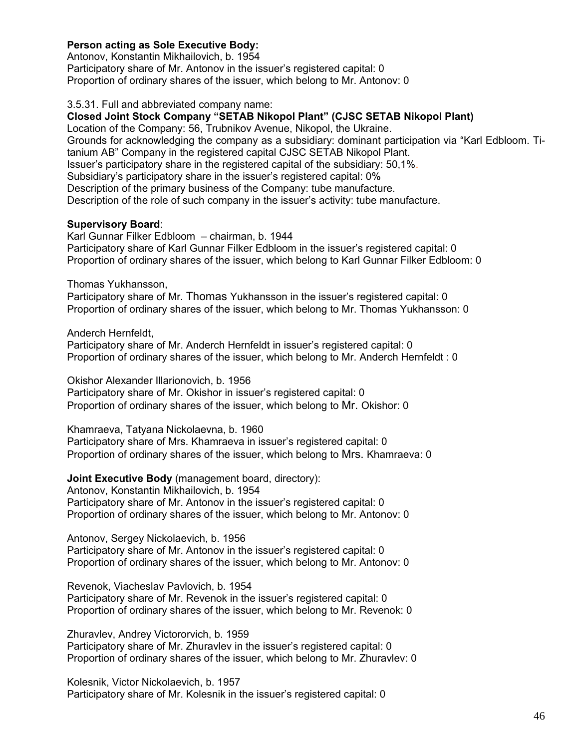### **Person acting as Sole Executive Body:**

Antonov, Konstantin Mikhailovich, b. 1954 Participatory share of Mr. Antonov in the issuer's registered capital: 0 Proportion of ordinary shares of the issuer, which belong to Mr. Antonov: 0

3.5.31. Full and abbreviated company name:

### **Closed Joint Stock Company "SETAB Nikopol Plant" (CJSC SETAB Nikopol Plant)**

Location of the Company: 56, Trubnikov Avenue, Nikopol, the Ukraine. Grounds for acknowledging the company as a subsidiary: dominant participation via "Karl Edbloom. Titanium AB" Company in the registered capital CJSC SETAB Nikopol Plant. Issuer's participatory share in the registered capital of the subsidiary: 50,1%. Subsidiary's participatory share in the issuer's registered capital: 0% Description of the primary business of the Company: tube manufacture. Description of the role of such company in the issuer's activity: tube manufacture.

#### **Supervisory Board**:

Karl Gunnar Filker Edbloom – chairman, b. 1944 Participatory share of Karl Gunnar Filker Edbloom in the issuer's registered capital: 0 Proportion of ordinary shares of the issuer, which belong to Karl Gunnar Filker Edbloom: 0

Thomas Yukhansson,

Participatory share of Mr. Thomas Yukhansson in the issuer's registered capital: 0 Proportion of ordinary shares of the issuer, which belong to Mr. Thomas Yukhansson: 0

Anderch Hernfeldt,

Participatory share of Mr. Anderch Hernfeldt in issuer's registered capital: 0 Proportion of ordinary shares of the issuer, which belong to Mr. Anderch Hernfeldt : 0

Okishor Alexander Illarionovich, b. 1956

Participatory share of Mr. Okishor in issuer's registered capital: 0 Proportion of ordinary shares of the issuer, which belong to Mr. Okishor: 0

Khamraeva, Tatyana Nickolaevna, b. 1960

Participatory share of Mrs. Khamraeva in issuer's registered capital: 0 Proportion of ordinary shares of the issuer, which belong to Mrs. Khamraeva: 0

**Joint Executive Body** (management board, directory): Antonov, Konstantin Mikhailovich, b. 1954 Participatory share of Mr. Antonov in the issuer's registered capital: 0 Proportion of ordinary shares of the issuer, which belong to Mr. Antonov: 0

Antonov, Sergey Nickolaevich, b. 1956 Participatory share of Mr. Antonov in the issuer's registered capital: 0 Proportion of ordinary shares of the issuer, which belong to Mr. Antonov: 0

Revenok, Viacheslav Pavlovich, b. 1954 Participatory share of Mr. Revenok in the issuer's registered capital: 0 Proportion of ordinary shares of the issuer, which belong to Mr. Revenok: 0

Zhuravlev, Andrey Victororvich, b. 1959 Participatory share of Mr. Zhuravlev in the issuer's registered capital: 0 Proportion of ordinary shares of the issuer, which belong to Mr. Zhuravlev: 0

Kolesnik, Victor Nickolaevich, b. 1957 Participatory share of Mr. Kolesnik in the issuer's registered capital: 0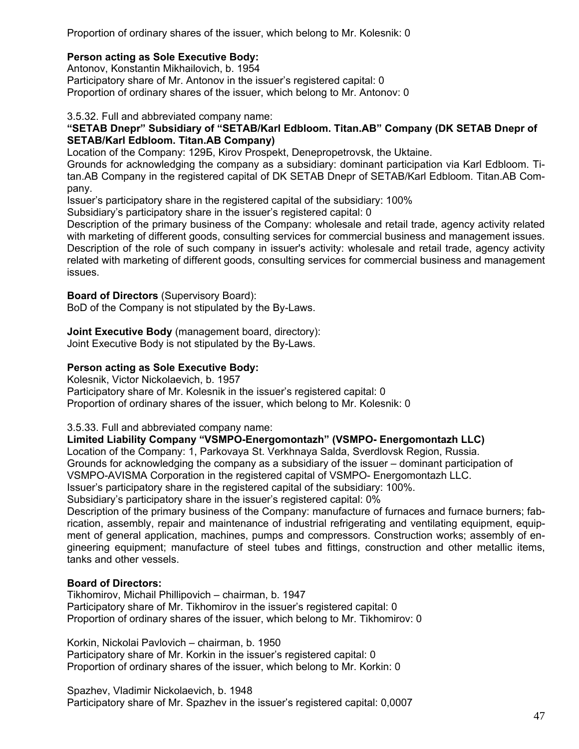Proportion of ordinary shares of the issuer, which belong to Mr. Kolesnik: 0

### **Person acting as Sole Executive Body:**

Antonov, Konstantin Mikhailovich, b. 1954 Participatory share of Mr. Antonov in the issuer's registered capital: 0 Proportion of ordinary shares of the issuer, which belong to Mr. Antonov: 0

3.5.32. Full and abbreviated company name:

### **"SETAB Dnepr" Subsidiary of "SETAB/Karl Edbloom. Titan.АB" Company (DK SETAB Dnepr of SETAB/Karl Edbloom. Titan.АB Company)**

Location of the Company: 129Б, Kirov Prospekt, Denepropetrovsk, the Uktaine.

Grounds for acknowledging the company as a subsidiary: dominant participation via Karl Edbloom. Titan.АB Company in the registered capital of DK SETAB Dnepr of SETAB/Karl Edbloom. Titan.АB Company.

Issuer's participatory share in the registered capital of the subsidiary: 100%

Subsidiary's participatory share in the issuer's registered capital: 0

Description of the primary business of the Company: wholesale and retail trade, agency activity related with marketing of different goods, consulting services for commercial business and management issues. Description of the role of such company in issuer's activity: wholesale and retail trade, agency activity related with marketing of different goods, consulting services for commercial business and management issues.

### **Board of Directors** (Supervisory Board):

BoD of the Company is not stipulated by the By-Laws.

**Joint Executive Body** (management board, directory): Joint Executive Body is not stipulated by the By-Laws.

### **Person acting as Sole Executive Body:**

Kolesnik, Victor Nickolaevich, b. 1957 Participatory share of Mr. Kolesnik in the issuer's registered capital: 0 Proportion of ordinary shares of the issuer, which belong to Mr. Kolesnik: 0

3.5.33. Full and abbreviated company name:

# **Limited Liability Company "VSMPO-Energomontazh" (VSMPO- Energomontazh LLC)**

Location of the Company: 1, Parkovaya St. Verkhnaya Salda, Sverdlovsk Region, Russia. Grounds for acknowledging the company as a subsidiary of the issuer – dominant participation of

VSMPO-AVISMA Corporation in the registered capital of VSMPO- Energomontazh LLC.

Issuer's participatory share in the registered capital of the subsidiary: 100%.

Subsidiary's participatory share in the issuer's registered capital: 0%

Description of the primary business of the Company: manufacture of furnaces and furnace burners; fabrication, assembly, repair and maintenance of industrial refrigerating and ventilating equipment, equipment of general application, machines, pumps and compressors. Construction works; assembly of engineering equipment; manufacture of steel tubes and fittings, construction and other metallic items, tanks and other vessels.

# **Board of Directors:**

Tikhomirov, Michail Phillipovich – chairman, b. 1947 Participatory share of Mr. Tikhomirov in the issuer's registered capital: 0 Proportion of ordinary shares of the issuer, which belong to Mr. Tikhomirov: 0

Korkin, Nickolai Pavlovich – chairman, b. 1950 Participatory share of Mr. Korkin in the issuer's registered capital: 0 Proportion of ordinary shares of the issuer, which belong to Mr. Korkin: 0

Spazhev, Vladimir Nickolaevich, b. 1948 Participatory share of Mr. Spazhev in the issuer's registered capital: 0,0007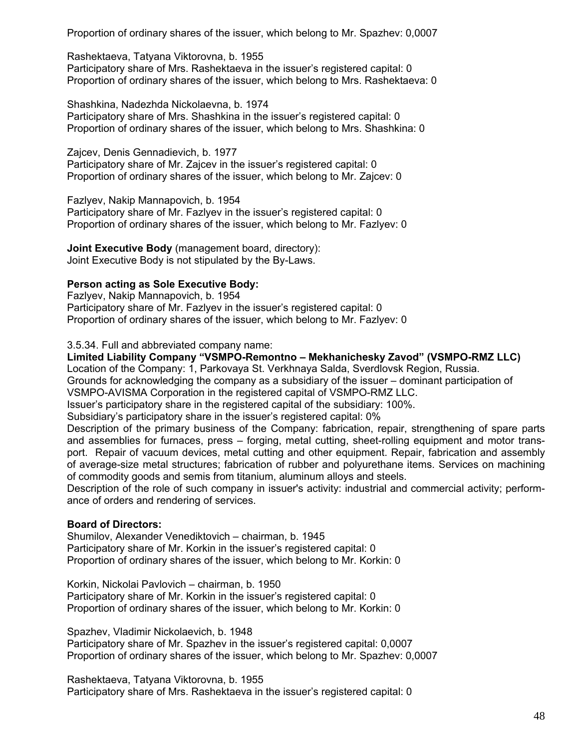Proportion of ordinary shares of the issuer, which belong to Mr. Spazhev: 0,0007

Rashektaeva, Tatyana Viktorovna, b. 1955 Participatory share of Mrs. Rashektaeva in the issuer's registered capital: 0 Proportion of ordinary shares of the issuer, which belong to Mrs. Rashektaeva: 0

Shashkina, Nadezhda Nickolaevna, b. 1974 Participatory share of Mrs. Shashkina in the issuer's registered capital: 0 Proportion of ordinary shares of the issuer, which belong to Mrs. Shashkina: 0

Zajcev, Denis Gennadievich, b. 1977 Participatory share of Mr. Zajcev in the issuer's registered capital: 0 Proportion of ordinary shares of the issuer, which belong to Mr. Zajcev: 0

Fazlyev, Nakip Mannapovich, b. 1954 Participatory share of Mr. Fazlyev in the issuer's registered capital: 0 Proportion of ordinary shares of the issuer, which belong to Mr. Fazlyev: 0

**Joint Executive Body** (management board, directory): Joint Executive Body is not stipulated by the By-Laws.

# **Person acting as Sole Executive Body:**

Fazlyev, Nakip Mannapovich, b. 1954 Participatory share of Mr. Fazlyev in the issuer's registered capital: 0 Proportion of ordinary shares of the issuer, which belong to Mr. Fazlyev: 0

### 3.5.34. Full and abbreviated company name:

**Limited Liability Company "VSMPO-Remontno – Mekhanichesky Zavod" (VSMPO-RMZ LLC)**  Location of the Company: 1, Parkovaya St. Verkhnaya Salda, Sverdlovsk Region, Russia. Grounds for acknowledging the company as a subsidiary of the issuer – dominant participation of

VSMPO-AVISMA Corporation in the registered capital of VSMPO-RMZ LLC.

Issuer's participatory share in the registered capital of the subsidiary: 100%.

Subsidiary's participatory share in the issuer's registered capital: 0%

Description of the primary business of the Company: fabrication, repair, strengthening of spare parts and assemblies for furnaces, press – forging, metal cutting, sheet-rolling equipment and motor transport. Repair of vacuum devices, metal cutting and other equipment. Repair, fabrication and assembly of average-size metal structures; fabrication of rubber and polyurethane items. Services on machining of commodity goods and semis from titanium, aluminum alloys and steels.

Description of the role of such company in issuer's activity: industrial and commercial activity; performance of orders and rendering of services.

### **Board of Directors:**

Shumilov, Alexander Venediktovich – chairman, b. 1945 Participatory share of Mr. Korkin in the issuer's registered capital: 0 Proportion of ordinary shares of the issuer, which belong to Mr. Korkin: 0

Korkin, Nickolai Pavlovich – chairman, b. 1950 Participatory share of Mr. Korkin in the issuer's registered capital: 0 Proportion of ordinary shares of the issuer, which belong to Mr. Korkin: 0

Spazhev, Vladimir Nickolaevich, b. 1948

Participatory share of Mr. Spazhev in the issuer's registered capital: 0,0007 Proportion of ordinary shares of the issuer, which belong to Mr. Spazhev: 0,0007

Rashektaeva, Tatyana Viktorovna, b. 1955 Participatory share of Mrs. Rashektaeva in the issuer's registered capital: 0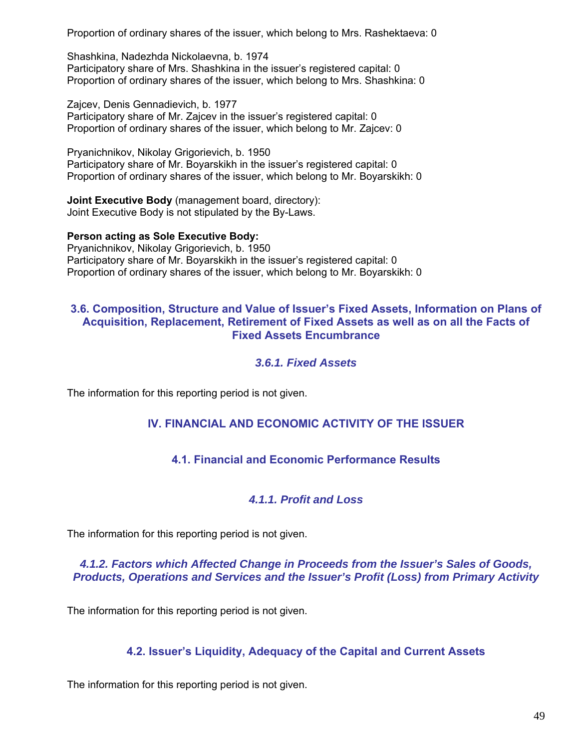Proportion of ordinary shares of the issuer, which belong to Mrs. Rashektaeva: 0

Shashkina, Nadezhda Nickolaevna, b. 1974 Participatory share of Mrs. Shashkina in the issuer's registered capital: 0 Proportion of ordinary shares of the issuer, which belong to Mrs. Shashkina: 0

Zajcev, Denis Gennadievich, b. 1977 Participatory share of Mr. Zajcev in the issuer's registered capital: 0 Proportion of ordinary shares of the issuer, which belong to Mr. Zajcev: 0

Pryanichnikov, Nikolay Grigorievich, b. 1950 Participatory share of Mr. Boyarskikh in the issuer's registered capital: 0 Proportion of ordinary shares of the issuer, which belong to Mr. Boyarskikh: 0

**Joint Executive Body** (management board, directory): Joint Executive Body is not stipulated by the By-Laws.

**Person acting as Sole Executive Body:** 

Pryanichnikov, Nikolay Grigorievich, b. 1950 Participatory share of Mr. Boyarskikh in the issuer's registered capital: 0 Proportion of ordinary shares of the issuer, which belong to Mr. Boyarskikh: 0

# **3.6. Composition, Structure and Value of Issuer's Fixed Assets, Information on Plans of Acquisition, Replacement, Retirement of Fixed Assets as well as on all the Facts of Fixed Assets Encumbrance**

# *3.6.1. Fixed Assets*

The information for this reporting period is not given.

# **IV. FINANCIAL AND ECONOMIC ACTIVITY OF THE ISSUER**

# **4.1. Financial and Economic Performance Results**

# *4.1.1. Profit and Loss*

The information for this reporting period is not given.

# *4.1.2. Factors which Affected Change in Proceeds from the Issuer's Sales of Goods, Products, Operations and Services and the Issuer's Profit (Loss) from Primary Activity*

The information for this reporting period is not given.

# **4.2. Issuer's Liquidity, Adequacy of the Capital and Current Assets**

The information for this reporting period is not given.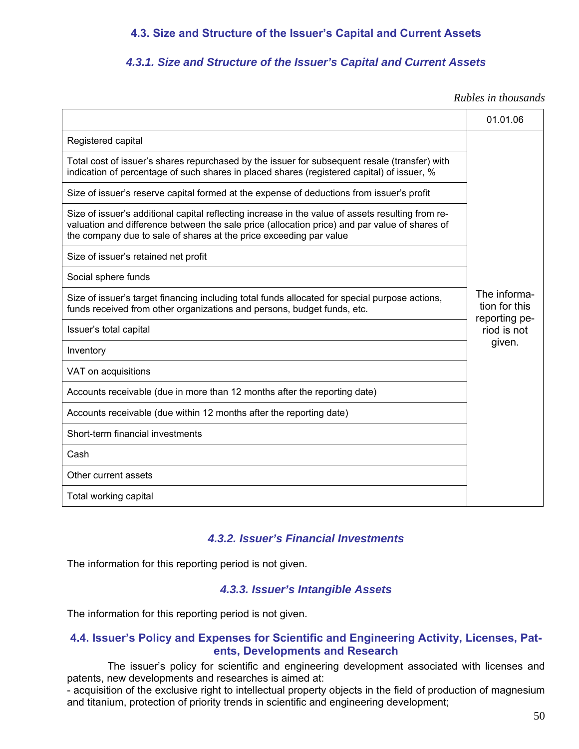# **4.3. Size and Structure of the Issuer's Capital and Current Assets**

# *4.3.1. Size and Structure of the Issuer's Capital and Current Assets*

*Rubles in thousands* 

|                                                                                                                                                                                                                                                                          | 01.01.06                                       |
|--------------------------------------------------------------------------------------------------------------------------------------------------------------------------------------------------------------------------------------------------------------------------|------------------------------------------------|
| Registered capital                                                                                                                                                                                                                                                       |                                                |
| Total cost of issuer's shares repurchased by the issuer for subsequent resale (transfer) with<br>indication of percentage of such shares in placed shares (registered capital) of issuer, %                                                                              |                                                |
| Size of issuer's reserve capital formed at the expense of deductions from issuer's profit                                                                                                                                                                                |                                                |
| Size of issuer's additional capital reflecting increase in the value of assets resulting from re-<br>valuation and difference between the sale price (allocation price) and par value of shares of<br>the company due to sale of shares at the price exceeding par value |                                                |
| Size of issuer's retained net profit                                                                                                                                                                                                                                     |                                                |
| Social sphere funds                                                                                                                                                                                                                                                      |                                                |
| Size of issuer's target financing including total funds allocated for special purpose actions,<br>funds received from other organizations and persons, budget funds, etc.                                                                                                | The informa-<br>tion for this<br>reporting pe- |
| Issuer's total capital                                                                                                                                                                                                                                                   | riod is not                                    |
| Inventory                                                                                                                                                                                                                                                                | given.                                         |
| VAT on acquisitions                                                                                                                                                                                                                                                      |                                                |
| Accounts receivable (due in more than 12 months after the reporting date)                                                                                                                                                                                                |                                                |
| Accounts receivable (due within 12 months after the reporting date)                                                                                                                                                                                                      |                                                |
| Short-term financial investments                                                                                                                                                                                                                                         |                                                |
| Cash                                                                                                                                                                                                                                                                     |                                                |
| Other current assets                                                                                                                                                                                                                                                     |                                                |
| Total working capital                                                                                                                                                                                                                                                    |                                                |

# *4.3.2. Issuer's Financial Investments*

The information for this reporting period is not given.

## *4.3.3. Issuer's Intangible Assets*

The information for this reporting period is not given.

### **4.4. Issuer's Policy and Expenses for Scientific and Engineering Activity, Licenses, Patents, Developments and Research**

 The issuer's policy for scientific and engineering development associated with licenses and patents, new developments and researches is aimed at:

- acquisition of the exclusive right to intellectual property objects in the field of production of magnesium and titanium, protection of priority trends in scientific and engineering development;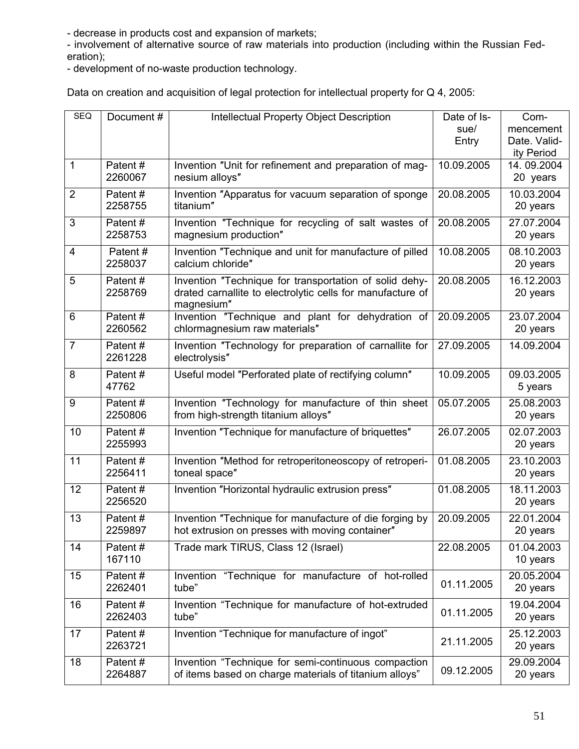- decrease in products cost and expansion of markets;

- involvement of alternative source of raw materials into production (including within the Russian Federation);

- development of no-waste production technology.

Data on creation and acquisition of legal protection for intellectual property for Q 4, 2005:

| <b>SEQ</b>     | Document#          | <b>Intellectual Property Object Description</b>                                                                                    | Date of Is- | Com-                     |
|----------------|--------------------|------------------------------------------------------------------------------------------------------------------------------------|-------------|--------------------------|
|                |                    |                                                                                                                                    | sue/        | mencement                |
|                |                    |                                                                                                                                    | Entry       | Date. Valid-             |
| 1              | Patent#            | Invention "Unit for refinement and preparation of mag-                                                                             | 10.09.2005  | ity Period<br>14.09.2004 |
|                | 2260067            | nesium alloys"                                                                                                                     |             | 20 years                 |
| $\overline{2}$ | Patent#<br>2258755 | Invention "Apparatus for vacuum separation of sponge<br>titanium"                                                                  | 20.08.2005  | 10.03.2004<br>20 years   |
| 3              | Patent#<br>2258753 | Invention "Technique for recycling of salt wastes of<br>magnesium production"                                                      | 20.08.2005  | 27.07.2004<br>20 years   |
| 4              | Patent#<br>2258037 | Invention "Technique and unit for manufacture of pilled<br>calcium chloride"                                                       | 10.08.2005  | 08.10.2003<br>20 years   |
| 5              | Patent#<br>2258769 | Invention "Technique for transportation of solid dehy-<br>drated carnallite to electrolytic cells for manufacture of<br>magnesium" | 20.08.2005  | 16.12.2003<br>20 years   |
| 6              | Patent#<br>2260562 | Invention "Technique and plant for dehydration of<br>chlormagnesium raw materials"                                                 | 20.09.2005  | 23.07.2004<br>20 years   |
| $\overline{7}$ | Patent#<br>2261228 | Invention "Technology for preparation of carnallite for<br>electrolysis"                                                           | 27.09.2005  | 14.09.2004               |
| 8              | Patent#<br>47762   | Useful model "Perforated plate of rectifying column"                                                                               | 10.09.2005  | 09.03.2005<br>5 years    |
| 9              | Patent#<br>2250806 | Invention "Technology for manufacture of thin sheet<br>from high-strength titanium alloys"                                         | 05.07.2005  | 25.08.2003<br>20 years   |
| 10             | Patent#<br>2255993 | Invention "Technique for manufacture of briquettes"                                                                                | 26.07.2005  | 02.07.2003<br>20 years   |
| 11             | Patent#<br>2256411 | Invention "Method for retroperitoneoscopy of retroperi-<br>toneal space"                                                           | 01.08.2005  | 23.10.2003<br>20 years   |
| 12             | Patent#<br>2256520 | Invention "Horizontal hydraulic extrusion press"                                                                                   | 01.08.2005  | 18.11.2003<br>20 years   |
| 13             | Patent#<br>2259897 | Invention "Technique for manufacture of die forging by<br>hot extrusion on presses with moving container"                          | 20.09.2005  | 22.01.2004<br>20 years   |
| 14             | Patent#<br>167110  | Trade mark TIRUS, Class 12 (Israel)                                                                                                | 22.08.2005  | 01.04.2003<br>10 years   |
| 15             | Patent#<br>2262401 | Invention "Technique for manufacture of hot-rolled<br>tube"                                                                        | 01.11.2005  | 20.05.2004<br>20 years   |
| 16             | Patent#<br>2262403 | Invention "Technique for manufacture of hot-extruded<br>tube"                                                                      | 01.11.2005  | 19.04.2004<br>20 years   |
| 17             | Patent#<br>2263721 | Invention "Technique for manufacture of ingot"                                                                                     | 21.11.2005  | 25.12.2003<br>20 years   |
| 18             | Patent#<br>2264887 | Invention "Technique for semi-continuous compaction<br>of items based on charge materials of titanium alloys"                      | 09.12.2005  | 29.09.2004<br>20 years   |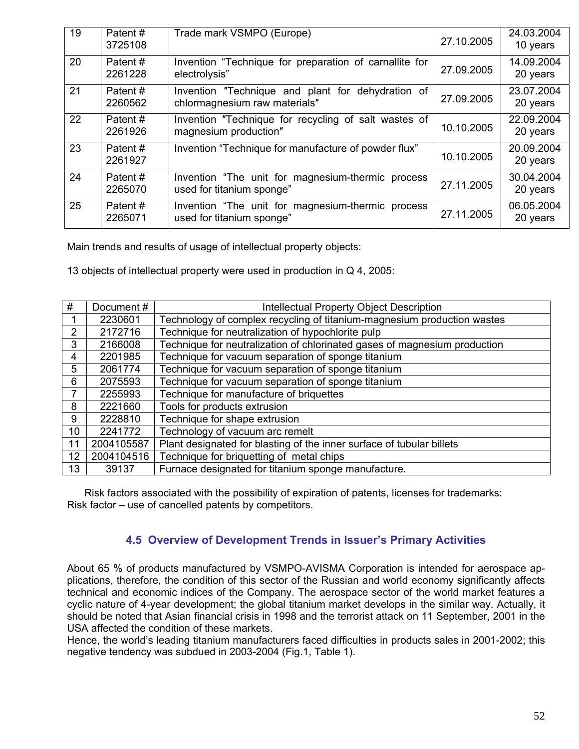| 19 | Patent#<br>3725108 | Trade mark VSMPO (Europe)                                                          | 27.10.2005 | 24.03.2004<br>10 years |
|----|--------------------|------------------------------------------------------------------------------------|------------|------------------------|
| 20 | Patent#<br>2261228 | Invention "Technique for preparation of carnallite for<br>electrolysis"            | 27.09.2005 | 14.09.2004<br>20 years |
| 21 | Patent#<br>2260562 | Invention "Technique and plant for dehydration of<br>chlormagnesium raw materials" | 27.09.2005 | 23.07.2004<br>20 years |
| 22 | Patent#<br>2261926 | Invention "Technique for recycling of salt wastes of<br>magnesium production"      | 10.10.2005 | 22.09.2004<br>20 years |
| 23 | Patent#<br>2261927 | Invention "Technique for manufacture of powder flux"                               | 10.10.2005 | 20.09.2004<br>20 years |
| 24 | Patent#<br>2265070 | Invention "The unit for magnesium-thermic process<br>used for titanium sponge"     | 27.11.2005 | 30.04.2004<br>20 years |
| 25 | Patent#<br>2265071 | Invention "The unit for magnesium-thermic process<br>used for titanium sponge"     | 27.11.2005 | 06.05.2004<br>20 years |

Main trends and results of usage of intellectual property objects:

13 objects of intellectual property were used in production in Q 4, 2005:

| #              | Document#  | <b>Intellectual Property Object Description</b>                           |
|----------------|------------|---------------------------------------------------------------------------|
|                | 2230601    | Technology of complex recycling of titanium-magnesium production wastes   |
| 2              | 2172716    | Technique for neutralization of hypochlorite pulp                         |
| 3              | 2166008    | Technique for neutralization of chlorinated gases of magnesium production |
| $\overline{4}$ | 2201985    | Technique for vacuum separation of sponge titanium                        |
| 5              | 2061774    | Technique for vacuum separation of sponge titanium                        |
| 6              | 2075593    | Technique for vacuum separation of sponge titanium                        |
| $\overline{7}$ | 2255993    | Technique for manufacture of briquettes                                   |
| 8              | 2221660    | Tools for products extrusion                                              |
| 9              | 2228810    | Technique for shape extrusion                                             |
| 10             | 2241772    | Technology of vacuum arc remelt                                           |
| 11             | 2004105587 | Plant designated for blasting of the inner surface of tubular billets     |
| 12             | 2004104516 | Technique for briquetting of metal chips                                  |
| 13             | 39137      | Furnace designated for titanium sponge manufacture.                       |

 Risk factors associated with the possibility of expiration of patents, licenses for trademarks: Risk factor – use of cancelled patents by competitors.

# **4.5 Overview of Development Trends in Issuer's Primary Activities**

About 65 % of products manufactured by VSMPO-AVISMA Corporation is intended for aerospace applications, therefore, the condition of this sector of the Russian and world economy significantly affects technical and economic indices of the Company. The aerospace sector of the world market features a cyclic nature of 4-year development; the global titanium market develops in the similar way. Actually, it should be noted that Asian financial crisis in 1998 and the terrorist attack on 11 September, 2001 in the USA affected the condition of these markets.

Hence, the world's leading titanium manufacturers faced difficulties in products sales in 2001-2002; this negative tendency was subdued in 2003-2004 (Fig.1, Table 1).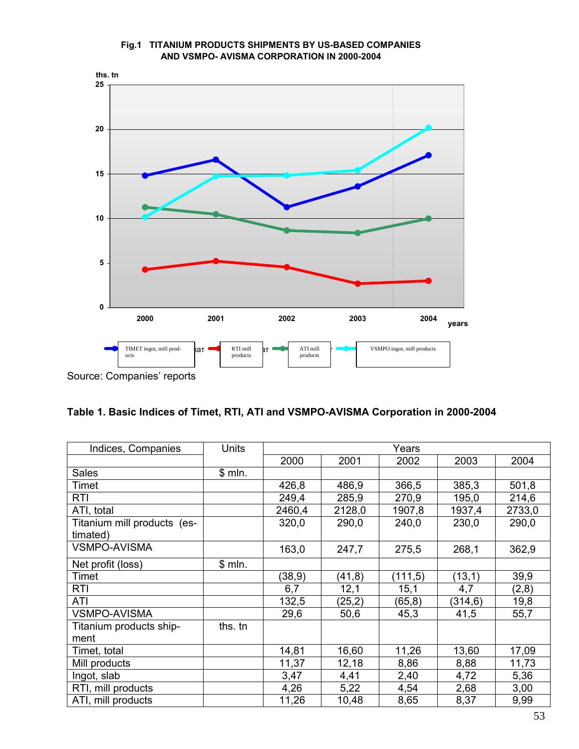

#### **Fig.1 TITANIUM PRODUCTS SHIPMENTS BY US-BASED COMPANIES AND VSMPO- AVISMA CORPORATION IN 2000-2004**

|  | Table 1. Basic Indices of Timet, RTI, ATI and VSMPO-AVISMA Corporation in 2000-2004 |  |
|--|-------------------------------------------------------------------------------------|--|
|--|-------------------------------------------------------------------------------------|--|

| Indices, Companies                      | Units    | Years   |         |         |          |        |
|-----------------------------------------|----------|---------|---------|---------|----------|--------|
|                                         |          | 2000    | 2001    | 2002    | 2003     | 2004   |
| <b>Sales</b>                            | $$$ mln. |         |         |         |          |        |
| Timet                                   |          | 426,8   | 486,9   | 366,5   | 385,3    | 501,8  |
| <b>RTI</b>                              |          | 249,4   | 285,9   | 270,9   | 195,0    | 214,6  |
| ATI, total                              |          | 2460,4  | 2128,0  | 1907,8  | 1937,4   | 2733,0 |
| Titanium mill products (es-<br>timated) |          | 320,0   | 290,0   | 240,0   | 230,0    | 290,0  |
| <b>VSMPO-AVISMA</b>                     |          | 163,0   | 247,7   | 275,5   | 268,1    | 362,9  |
| Net profit (loss)                       | $$$ mln. |         |         |         |          |        |
| Timet                                   |          | (38, 9) | (41, 8) | (111,5) | (13,1)   | 39,9   |
| RTI                                     |          | 6,7     | 12,1    | 15,1    | 4,7      | (2,8)  |
| ATI                                     |          | 132,5   | (25,2)  | (65, 8) | (314, 6) | 19,8   |
| <b>VSMPO-AVISMA</b>                     |          | 29,6    | 50,6    | 45,3    | 41,5     | 55,7   |
| Titanium products ship-                 | ths. tn  |         |         |         |          |        |
| ment                                    |          |         |         |         |          |        |
| Timet, total                            |          | 14,81   | 16,60   | 11,26   | 13,60    | 17,09  |
| Mill products                           |          | 11,37   | 12,18   | 8,86    | 8,88     | 11,73  |
| Ingot, slab                             |          | 3,47    | 4,41    | 2,40    | 4,72     | 5,36   |
| RTI, mill products                      |          | 4,26    | 5,22    | 4,54    | 2,68     | 3,00   |
| ATI, mill products                      |          | 11,26   | 10,48   | 8,65    | 8,37     | 9,99   |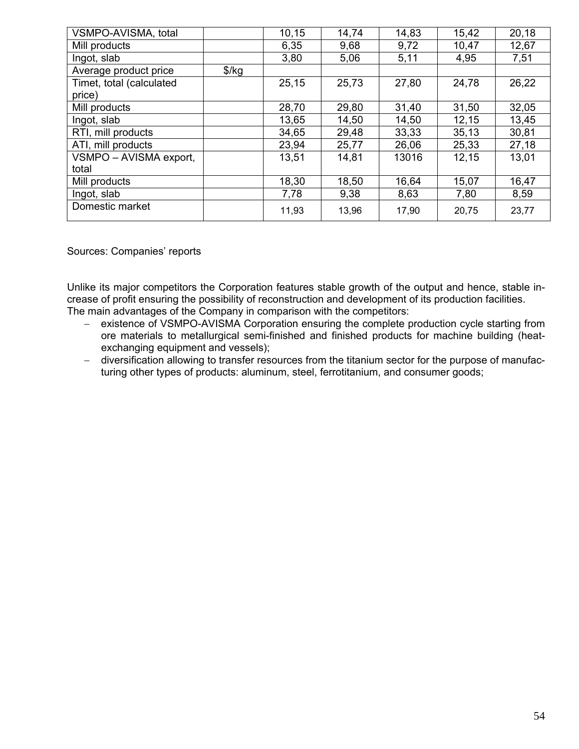| VSMPO-AVISMA, total      |               | 10,15 | 14,74 | 14,83 | 15,42 | 20,18 |
|--------------------------|---------------|-------|-------|-------|-------|-------|
| Mill products            |               | 6,35  | 9,68  | 9,72  | 10,47 | 12,67 |
| Ingot, slab              |               | 3,80  | 5,06  | 5,11  | 4,95  | 7,51  |
| Average product price    | $\frac{f}{g}$ |       |       |       |       |       |
| Timet, total (calculated |               | 25,15 | 25,73 | 27,80 | 24,78 | 26,22 |
| price)                   |               |       |       |       |       |       |
| Mill products            |               | 28,70 | 29,80 | 31,40 | 31,50 | 32,05 |
| Ingot, slab              |               | 13,65 | 14,50 | 14,50 | 12,15 | 13,45 |
| RTI, mill products       |               | 34,65 | 29,48 | 33,33 | 35,13 | 30,81 |
| ATI, mill products       |               | 23,94 | 25,77 | 26,06 | 25,33 | 27,18 |
| VSMPO - AVISMA export,   |               | 13,51 | 14,81 | 13016 | 12,15 | 13,01 |
| total                    |               |       |       |       |       |       |
| Mill products            |               | 18,30 | 18,50 | 16,64 | 15,07 | 16,47 |
| Ingot, slab              |               | 7,78  | 9,38  | 8,63  | 7,80  | 8,59  |
| Domestic market          |               | 11,93 | 13,96 | 17,90 | 20,75 | 23,77 |

Sources: Companies' reports

Unlike its major competitors the Corporation features stable growth of the output and hence, stable increase of profit ensuring the possibility of reconstruction and development of its production facilities. The main advantages of the Company in comparison with the competitors:

- − existence of VSMPO-AVISMA Corporation ensuring the complete production cycle starting from ore materials to metallurgical semi-finished and finished products for machine building (heatexchanging equipment and vessels);
- − diversification allowing to transfer resources from the titanium sector for the purpose of manufacturing other types of products: aluminum, steel, ferrotitanium, and consumer goods;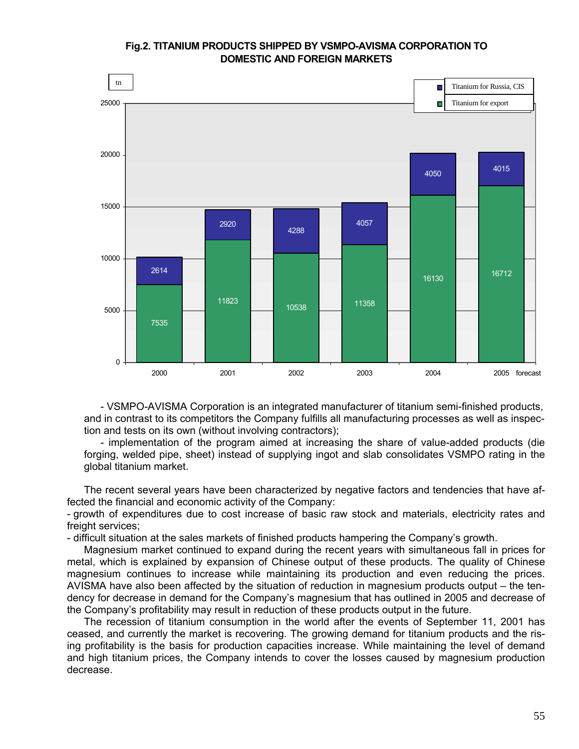### **Fig.2. TITANIUM PRODUCTS SHIPPED BY VSMPO-AVISMA CORPORATION TO DOMESTIC AND FOREIGN MARKETS**



- VSMPO-AVISMA Corporation is an integrated manufacturer of titanium semi-finished products, and in contrast to its competitors the Company fulfills all manufacturing processes as well as inspection and tests on its own (without involving contractors);

- implementation of the program aimed at increasing the share of value-added products (die forging, welded pipe, sheet) instead of supplying ingot and slab consolidates VSMPO rating in the global titanium market.

The recent several years have been characterized by negative factors and tendencies that have affected the financial and economic activity of the Company:

- growth of expenditures due to cost increase of basic raw stock and materials, electricity rates and freight services;

- difficult situation at the sales markets of finished products hampering the Company's growth.

Magnesium market continued to expand during the recent years with simultaneous fall in prices for metal, which is explained by expansion of Chinese output of these products. The quality of Chinese magnesium continues to increase while maintaining its production and even reducing the prices. AVISMA have also been affected by the situation of reduction in magnesium products output – the tendency for decrease in demand for the Company's magnesium that has outlined in 2005 and decrease of the Company's profitability may result in reduction of these products output in the future.

The recession of titanium consumption in the world after the events of September 11, 2001 has ceased, and currently the market is recovering. The growing demand for titanium products and the rising profitability is the basis for production capacities increase. While maintaining the level of demand and high titanium prices, the Company intends to cover the losses caused by magnesium production decrease.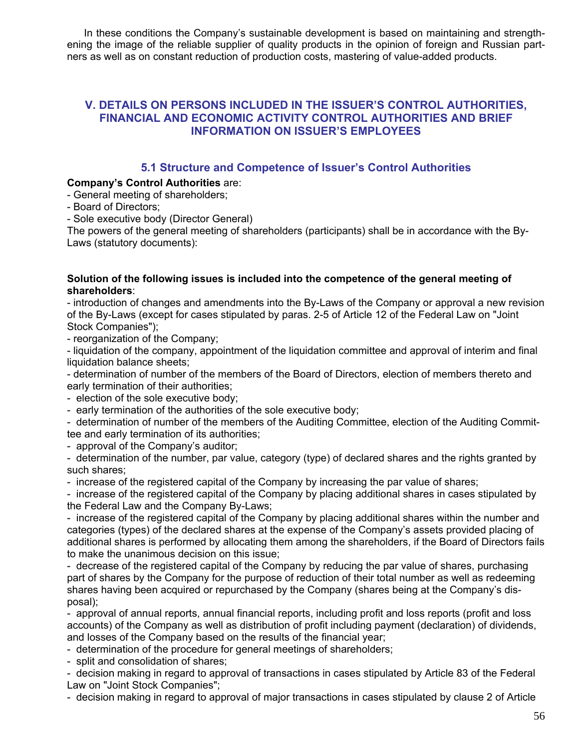In these conditions the Company's sustainable development is based on maintaining and strengthening the image of the reliable supplier of quality products in the opinion of foreign and Russian partners as well as on constant reduction of production costs, mastering of value-added products.

### **V. DETAILS ON PERSONS INCLUDED IN THE ISSUER'S CONTROL AUTHORITIES, FINANCIAL AND ECONOMIC ACTIVITY CONTROL AUTHORITIES AND BRIEF INFORMATION ON ISSUER'S EMPLOYEES**

### **5.1 Structure and Competence of Issuer's Control Authorities**

#### **Company's Control Authorities** are:

- General meeting of shareholders;

- Board of Directors;

- Sole executive body (Director General)

The powers of the general meeting of shareholders (participants) shall be in accordance with the By-Laws (statutory documents):

#### **Solution of the following issues is included into the competence of the general meeting of shareholders**:

- introduction of changes and amendments into the By-Laws of the Company or approval a new revision of the By-Laws (except for cases stipulated by paras. 2-5 of Article 12 of the Federal Law on "Joint Stock Companies");

- reorganization of the Company;

- liquidation of the company, appointment of the liquidation committee and approval of interim and final liquidation balance sheets;

- determination of number of the members of the Board of Directors, election of members thereto and early termination of their authorities;

- election of the sole executive body;

- early termination of the authorities of the sole executive body;

- determination of number of the members of the Auditing Committee, election of the Auditing Committee and early termination of its authorities;

- approval of the Company's auditor;

- determination of the number, par value, category (type) of declared shares and the rights granted by such shares;

- increase of the registered capital of the Company by increasing the par value of shares;

- increase of the registered capital of the Company by placing additional shares in cases stipulated by the Federal Law and the Company By-Laws;

- increase of the registered capital of the Company by placing additional shares within the number and categories (types) of the declared shares at the expense of the Company's assets provided placing of additional shares is performed by allocating them among the shareholders, if the Board of Directors fails to make the unanimous decision on this issue;

- decrease of the registered capital of the Company by reducing the par value of shares, purchasing part of shares by the Company for the purpose of reduction of their total number as well as redeeming shares having been acquired or repurchased by the Company (shares being at the Company's disposal);

- approval of annual reports, annual financial reports, including profit and loss reports (profit and loss accounts) of the Company as well as distribution of profit including payment (declaration) of dividends, and losses of the Company based on the results of the financial year;

- determination of the procedure for general meetings of shareholders;

- split and consolidation of shares;

- decision making in regard to approval of transactions in cases stipulated by Article 83 of the Federal Law on "Joint Stock Companies";

- decision making in regard to approval of major transactions in cases stipulated by clause 2 of Article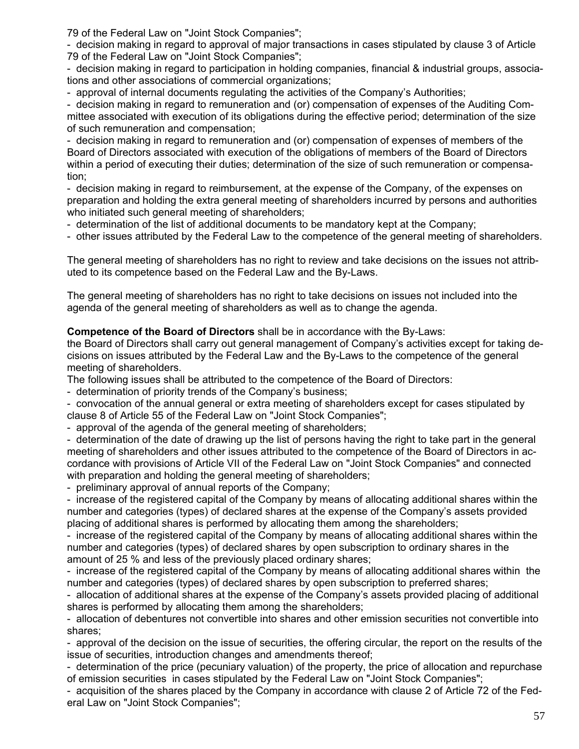79 of the Federal Law on "Joint Stock Companies";

- decision making in regard to approval of major transactions in cases stipulated by clause 3 of Article 79 of the Federal Law on "Joint Stock Companies";

- decision making in regard to participation in holding companies, financial & industrial groups, associations and other associations of commercial organizations;

- approval of internal documents regulating the activities of the Company's Authorities;

- decision making in regard to remuneration and (or) compensation of expenses of the Auditing Committee associated with execution of its obligations during the effective period; determination of the size of such remuneration and compensation;

- decision making in regard to remuneration and (or) compensation of expenses of members of the Board of Directors associated with execution of the obligations of members of the Board of Directors within a period of executing their duties; determination of the size of such remuneration or compensation;

- decision making in regard to reimbursement, at the expense of the Company, of the expenses on preparation and holding the extra general meeting of shareholders incurred by persons and authorities who initiated such general meeting of shareholders;

- determination of the list of additional documents to be mandatory kept at the Company;

- other issues attributed by the Federal Law to the competence of the general meeting of shareholders.

The general meeting of shareholders has no right to review and take decisions on the issues not attributed to its competence based on the Federal Law and the By-Laws.

The general meeting of shareholders has no right to take decisions on issues not included into the agenda of the general meeting of shareholders as well as to change the agenda.

### **Competence of the Board of Directors** shall be in accordance with the By-Laws:

the Board of Directors shall carry out general management of Company's activities except for taking decisions on issues attributed by the Federal Law and the By-Laws to the competence of the general meeting of shareholders.

The following issues shall be attributed to the competence of the Board of Directors:

- determination of priority trends of the Company's business;

- convocation of the annual general or extra meeting of shareholders except for cases stipulated by clause 8 of Article 55 of the Federal Law on "Joint Stock Companies";

- approval of the agenda of the general meeting of shareholders;

- determination of the date of drawing up the list of persons having the right to take part in the general meeting of shareholders and other issues attributed to the competence of the Board of Directors in accordance with provisions of Article VII of the Federal Law on "Joint Stock Companies" and connected with preparation and holding the general meeting of shareholders;

- preliminary approval of annual reports of the Company;

- increase of the registered capital of the Company by means of allocating additional shares within the number and categories (types) of declared shares at the expense of the Company's assets provided placing of additional shares is performed by allocating them among the shareholders;

- increase of the registered capital of the Company by means of allocating additional shares within the number and categories (types) of declared shares by open subscription to ordinary shares in the amount of 25 % and less of the previously placed ordinary shares;

- increase of the registered capital of the Company by means of allocating additional shares within the number and categories (types) of declared shares by open subscription to preferred shares;

- allocation of additional shares at the expense of the Company's assets provided placing of additional shares is performed by allocating them among the shareholders;

- allocation of debentures not convertible into shares and other emission securities not convertible into shares;

- approval of the decision on the issue of securities, the offering circular, the report on the results of the issue of securities, introduction changes and amendments thereof;

- determination of the price (pecuniary valuation) of the property, the price of allocation and repurchase of emission securities in cases stipulated by the Federal Law on "Joint Stock Companies";

- acquisition of the shares placed by the Company in accordance with clause 2 of Article 72 of the Federal Law on "Joint Stock Companies";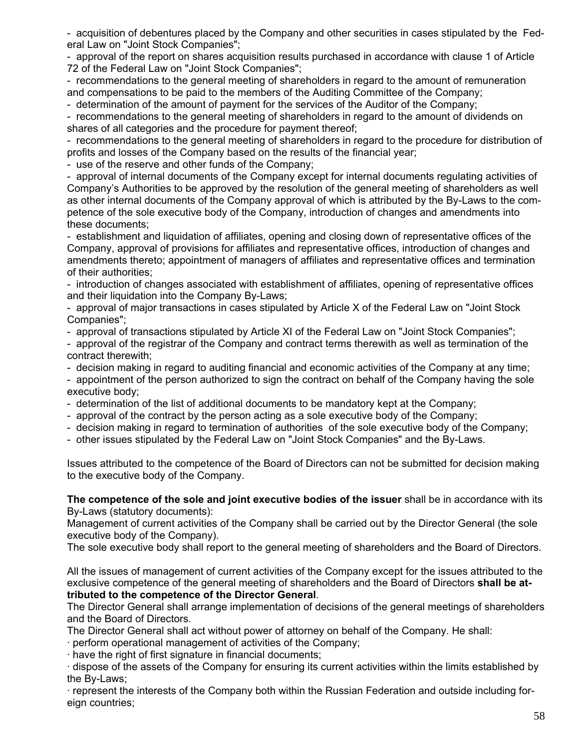- acquisition of debentures placed by the Company and other securities in cases stipulated by the Federal Law on "Joint Stock Companies";

- approval of the report on shares acquisition results purchased in accordance with clause 1 of Article 72 of the Federal Law on "Joint Stock Companies";

- recommendations to the general meeting of shareholders in regard to the amount of remuneration and compensations to be paid to the members of the Auditing Committee of the Company;

- determination of the amount of payment for the services of the Auditor of the Company;

- recommendations to the general meeting of shareholders in regard to the amount of dividends on shares of all categories and the procedure for payment thereof;

- recommendations to the general meeting of shareholders in regard to the procedure for distribution of profits and losses of the Company based on the results of the financial year;

- use of the reserve and other funds of the Company;

- approval of internal documents of the Company except for internal documents regulating activities of Company's Authorities to be approved by the resolution of the general meeting of shareholders as well as other internal documents of the Company approval of which is attributed by the By-Laws to the competence of the sole executive body of the Company, introduction of changes and amendments into these documents;

- establishment and liquidation of affiliates, opening and closing down of representative offices of the Company, approval of provisions for affiliates and representative offices, introduction of changes and amendments thereto; appointment of managers of affiliates and representative offices and termination of their authorities;

- introduction of changes associated with establishment of affiliates, opening of representative offices and their liquidation into the Company By-Laws;

- approval of major transactions in cases stipulated by Article X of the Federal Law on "Joint Stock Companies";

- approval of transactions stipulated by Article XI of the Federal Law on "Joint Stock Companies";

- approval of the registrar of the Company and contract terms therewith as well as termination of the contract therewith;

- decision making in regard to auditing financial and economic activities of the Company at any time;

- appointment of the person authorized to sign the contract on behalf of the Company having the sole executive body;

- determination of the list of additional documents to be mandatory kept at the Company;

- approval of the contract by the person acting as a sole executive body of the Company;

- decision making in regard to termination of authorities of the sole executive body of the Company;

- other issues stipulated by the Federal Law on "Joint Stock Companies" and the By-Laws.

Issues attributed to the competence of the Board of Directors can not be submitted for decision making to the executive body of the Company.

**The competence of the sole and joint executive bodies of the issuer** shall be in accordance with its By-Laws (statutory documents):

Management of current activities of the Company shall be carried out by the Director General (the sole executive body of the Company).

The sole executive body shall report to the general meeting of shareholders and the Board of Directors.

All the issues of management of current activities of the Company except for the issues attributed to the exclusive competence of the general meeting of shareholders and the Board of Directors **shall be attributed to the competence of the Director General**.

The Director General shall arrange implementation of decisions of the general meetings of shareholders and the Board of Directors.

The Director General shall act without power of attorney on behalf of the Company. He shall:

· perform operational management of activities of the Company;

· have the right of first signature in financial documents;

· dispose of the assets of the Company for ensuring its current activities within the limits established by the By-Laws;

· represent the interests of the Company both within the Russian Federation and outside including foreign countries;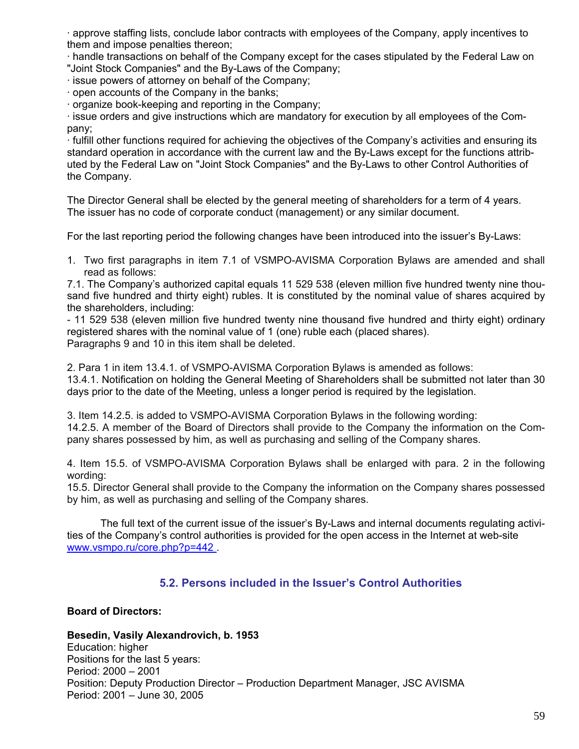· approve staffing lists, conclude labor contracts with employees of the Company, apply incentives to them and impose penalties thereon;

· handle transactions on behalf of the Company except for the cases stipulated by the Federal Law on

"Joint Stock Companies" and the By-Laws of the Company;

· issue powers of attorney on behalf of the Company;

· open accounts of the Company in the banks;

· organize book-keeping and reporting in the Company;

· issue orders and give instructions which are mandatory for execution by all employees of the Company;

· fulfill other functions required for achieving the objectives of the Company's activities and ensuring its standard operation in accordance with the current law and the By-Laws except for the functions attributed by the Federal Law on "Joint Stock Companies" and the By-Laws to other Control Authorities of the Company.

The Director General shall be elected by the general meeting of shareholders for a term of 4 years. The issuer has no code of corporate conduct (management) or any similar document.

For the last reporting period the following changes have been introduced into the issuer's By-Laws:

1. Two first paragraphs in item 7.1 of VSMPO-AVISMA Corporation Bylaws are amended and shall read as follows:

7.1. The Company's authorized capital equals 11 529 538 (eleven million five hundred twenty nine thousand five hundred and thirty eight) rubles. It is constituted by the nominal value of shares acquired by the shareholders, including:

- 11 529 538 (eleven million five hundred twenty nine thousand five hundred and thirty eight) ordinary registered shares with the nominal value of 1 (one) ruble each (placed shares). Paragraphs 9 and 10 in this item shall be deleted.

2. Para 1 in item 13.4.1. of VSMPO-AVISMA Corporation Bylaws is amended as follows:

13.4.1. Notification on holding the General Meeting of Shareholders shall be submitted not later than 30 days prior to the date of the Meeting, unless a longer period is required by the legislation.

3. Item 14.2.5. is added to VSMPO-AVISMA Corporation Bylaws in the following wording: 14.2.5. A member of the Board of Directors shall provide to the Company the information on the Company shares possessed by him, as well as purchasing and selling of the Company shares.

4. Item 15.5. of VSMPO-AVISMA Corporation Bylaws shall be enlarged with para. 2 in the following wording:

15.5. Director General shall provide to the Company the information on the Company shares possessed by him, as well as purchasing and selling of the Company shares.

The full text of the current issue of the issuer's By-Laws and internal documents regulating activities of the Company's control authorities is provided for the open access in the Internet at web-site [www.vsmpo.ru](http://www.vsmpo.ru/)/core.php?p=442 .

# **5.2. Persons included in the Issuer's Control Authorities**

### **Board of Directors:**

#### **Besedin, Vasily Alexandrovich, b. 1953**

Education: higher Positions for the last 5 years: Period: 2000 – 2001 Position: Deputy Production Director – Production Department Manager, JSC AVISMA Period: 2001 – June 30, 2005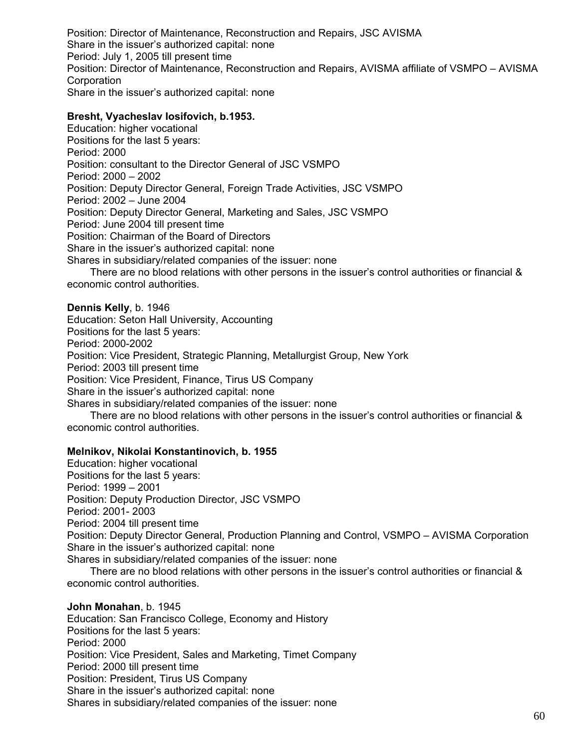Position: Director of Maintenance, Reconstruction and Repairs, JSC AVISMA Share in the issuer's authorized capital: none Period: July 1, 2005 till present time Position: Director of Maintenance, Reconstruction and Repairs, AVISMA affiliate of VSMPO – AVISMA **Corporation** Share in the issuer's authorized capital: none

#### **Bresht, Vyacheslav Iosifovich, b.1953.**

Education: higher vocational Positions for the last 5 years: Period: 2000 Position: consultant to the Director General of JSC VSMPO Period: 2000 – 2002 Position: Deputy Director General, Foreign Trade Activities, JSC VSMPO Period: 2002 – June 2004 Position: Deputy Director General, Marketing and Sales, JSC VSMPO Period: June 2004 till present time Position: Chairman of the Board of Directors Share in the issuer's authorized capital: none Shares in subsidiary/related companies of the issuer: none

 There are no blood relations with other persons in the issuer's control authorities or financial & economic control authorities.

#### **Dennis Kelly**, b. 1946

Education: Seton Hall University, Accounting Positions for the last 5 years: Period: 2000-2002 Position: Vice President, Strategic Planning, Metallurgist Group, New York Period: 2003 till present time Position: Vice President, Finance, Tirus US Company Share in the issuer's authorized capital: none Shares in subsidiary/related companies of the issuer: none There are no blood relations with other persons in the issuer's control authorities or financial &

economic control authorities.

#### **Melnikov, Nikolai Konstantinovich, b. 1955**

Education: higher vocational Positions for the last 5 years: Period: 1999 – 2001 Position: Deputy Production Director, JSC VSMPO Period: 2001- 2003 Period: 2004 till present time Position: Deputy Director General, Production Planning and Control, VSMPO – AVISMA Corporation Share in the issuer's authorized capital: none Shares in subsidiary/related companies of the issuer: none

 There are no blood relations with other persons in the issuer's control authorities or financial & economic control authorities.

#### **John Monahan**, b. 1945

Education: San Francisco College, Economy and History Positions for the last 5 years: Period: 2000 Position: Vice President, Sales and Marketing, Timet Company Period: 2000 till present time Position: President, Tirus US Company Share in the issuer's authorized capital: none Shares in subsidiary/related companies of the issuer: none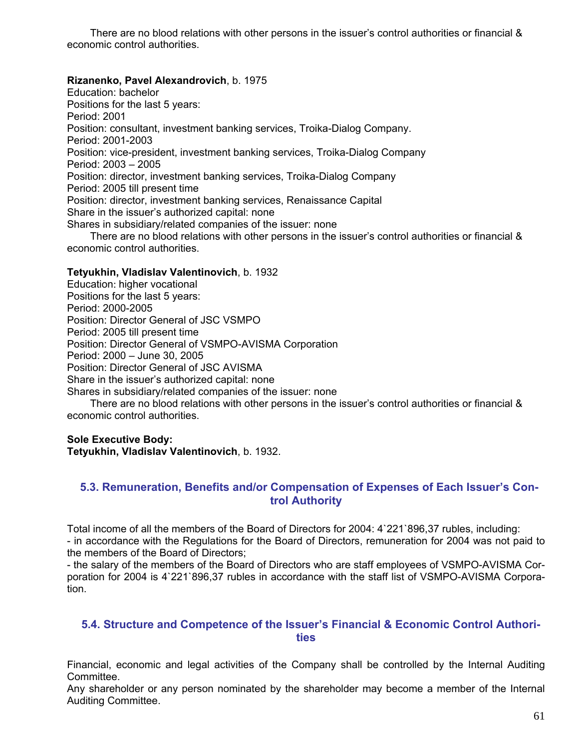There are no blood relations with other persons in the issuer's control authorities or financial & economic control authorities.

### **Rizanenko, Pavel Alexandrovich**, b. 1975

Education: bachelor Positions for the last 5 years: Period: 2001 Position: consultant, investment banking services, Troika-Dialog Company. Period: 2001-2003 Position: vice-president, investment banking services, Troika-Dialog Company Period: 2003 – 2005 Position: director, investment banking services, Troika-Dialog Company Period: 2005 till present time Position: director, investment banking services, Renaissance Capital Share in the issuer's authorized capital: none Shares in subsidiary/related companies of the issuer: none There are no blood relations with other persons in the issuer's control authorities or financial &

economic control authorities.

### **Tetyukhin, Vladislav Valentinovich**, b. 1932

Education: higher vocational Positions for the last 5 years: Period: 2000-2005 Position: Director General of JSC VSMPO Period: 2005 till present time Position: Director General of VSMPO-AVISMA Corporation Period: 2000 – June 30, 2005 Position: Director General of JSC AVISMA Share in the issuer's authorized capital: none Shares in subsidiary/related companies of the issuer: none

 There are no blood relations with other persons in the issuer's control authorities or financial & economic control authorities.

**Sole Executive Body: Tetyukhin, Vladislav Valentinovich**, b. 1932.

# **5.3. Remuneration, Benefits and/or Compensation of Expenses of Each Issuer's Control Authority**

Total income of all the members of the Board of Directors for 2004: 4`221`896,37 rubles, including: - in accordance with the Regulations for the Board of Directors, remuneration for 2004 was not paid to the members of the Board of Directors;

- the salary of the members of the Board of Directors who are staff employees of VSMPO-AVISMA Corporation for 2004 is 4`221`896,37 rubles in accordance with the staff list of VSMPO-AVISMA Corporation.

# **5.4. Structure and Competence of the Issuer's Financial & Economic Control Authorities**

Financial, economic and legal activities of the Company shall be controlled by the Internal Auditing Committee.

Any shareholder or any person nominated by the shareholder may become a member of the Internal Auditing Committee.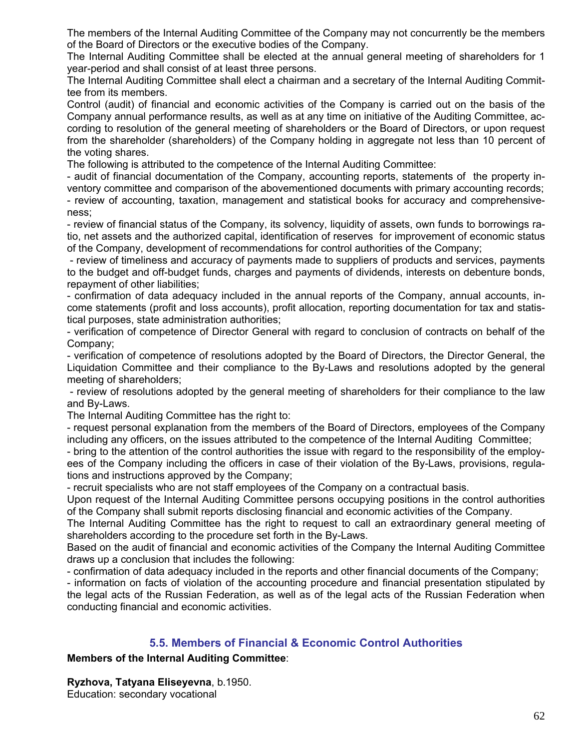The members of the Internal Auditing Committee of the Company may not concurrently be the members of the Board of Directors or the executive bodies of the Company.

The Internal Auditing Committee shall be elected at the annual general meeting of shareholders for 1 year-period and shall consist of at least three persons.

The Internal Auditing Committee shall elect a chairman and a secretary of the Internal Auditing Committee from its members.

Control (audit) of financial and economic activities of the Company is carried out on the basis of the Company annual performance results, as well as at any time on initiative of the Auditing Committee, according to resolution of the general meeting of shareholders or the Board of Directors, or upon request from the shareholder (shareholders) of the Company holding in aggregate not less than 10 percent of the voting shares.

The following is attributed to the competence of the Internal Auditing Committee:

- audit of financial documentation of the Company, accounting reports, statements of the property inventory committee and comparison of the abovementioned documents with primary accounting records; - review of accounting, taxation, management and statistical books for accuracy and comprehensiveness;

- review of financial status of the Company, its solvency, liquidity of assets, own funds to borrowings ratio, net assets and the authorized capital, identification of reserves for improvement of economic status of the Company, development of recommendations for control authorities of the Company;

 - review of timeliness and accuracy of payments made to suppliers of products and services, payments to the budget and off-budget funds, charges and payments of dividends, interests on debenture bonds, repayment of other liabilities;

- confirmation of data adequacy included in the annual reports of the Company, annual accounts, income statements (profit and loss accounts), profit allocation, reporting documentation for tax and statistical purposes, state administration authorities;

- verification of competence of Director General with regard to conclusion of contracts on behalf of the Company;

- verification of competence of resolutions adopted by the Board of Directors, the Director General, the Liquidation Committee and their compliance to the By-Laws and resolutions adopted by the general meeting of shareholders;

 - review of resolutions adopted by the general meeting of shareholders for their compliance to the law and By-Laws.

The Internal Auditing Committee has the right to:

- request personal explanation from the members of the Board of Directors, employees of the Company including any officers, on the issues attributed to the competence of the Internal Auditing Committee;

- bring to the attention of the control authorities the issue with regard to the responsibility of the employees of the Company including the officers in case of their violation of the By-Laws, provisions, regulations and instructions approved by the Company;

- recruit specialists who are not staff employees of the Company on a contractual basis.

Upon request of the Internal Auditing Committee persons occupying positions in the control authorities of the Company shall submit reports disclosing financial and economic activities of the Company.

The Internal Auditing Committee has the right to request to call an extraordinary general meeting of shareholders according to the procedure set forth in the By-Laws.

Based on the audit of financial and economic activities of the Company the Internal Auditing Committee draws up a conclusion that includes the following:

- confirmation of data adequacy included in the reports and other financial documents of the Company;

- information on facts of violation of the accounting procedure and financial presentation stipulated by the legal acts of the Russian Federation, as well as of the legal acts of the Russian Federation when conducting financial and economic activities.

### **5.5. Members of Financial & Economic Control Authorities**

**Members of the Internal Auditing Committee**:

**Ryzhova, Tatyana Eliseyevna**, b.1950.

Education: secondary vocational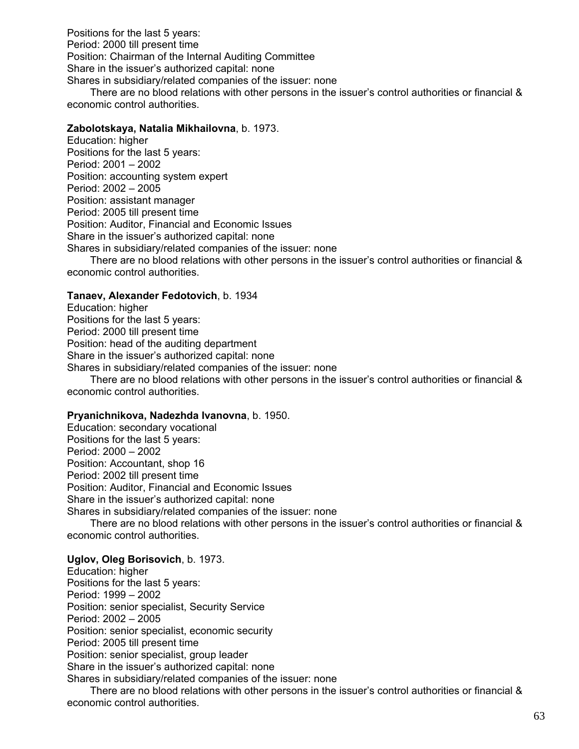Positions for the last 5 years: Period: 2000 till present time Position: Chairman of the Internal Auditing Committee Share in the issuer's authorized capital: none Shares in subsidiary/related companies of the issuer: none

 There are no blood relations with other persons in the issuer's control authorities or financial & economic control authorities.

#### **Zabolotskaya, Natalia Mikhailovna**, b. 1973.

Education: higher Positions for the last 5 years: Period: 2001 – 2002 Position: accounting system expert Period: 2002 – 2005 Position: assistant manager Period: 2005 till present time Position: Auditor, Financial and Economic Issues Share in the issuer's authorized capital: none Shares in subsidiary/related companies of the issuer: none

 There are no blood relations with other persons in the issuer's control authorities or financial & economic control authorities.

#### **Tanaev, Alexander Fedotovich**, b. 1934

Education: higher Positions for the last 5 years: Period: 2000 till present time Position: head of the auditing department Share in the issuer's authorized capital: none Shares in subsidiary/related companies of the issuer: none

 There are no blood relations with other persons in the issuer's control authorities or financial & economic control authorities.

#### **Pryanichnikova, Nadezhda Ivanovna**, b. 1950.

Education: secondary vocational Positions for the last 5 years: Period: 2000 – 2002 Position: Accountant, shop 16 Period: 2002 till present time Position: Auditor, Financial and Economic Issues Share in the issuer's authorized capital: none Shares in subsidiary/related companies of the issuer: none

 There are no blood relations with other persons in the issuer's control authorities or financial & economic control authorities.

#### **Uglov, Oleg Borisovich**, b. 1973.

Education: higher Positions for the last 5 years: Period: 1999 – 2002 Position: senior specialist, Security Service Period: 2002 – 2005 Position: senior specialist, economic security Period: 2005 till present time Position: senior specialist, group leader Share in the issuer's authorized capital: none Shares in subsidiary/related companies of the issuer: none

 There are no blood relations with other persons in the issuer's control authorities or financial & economic control authorities.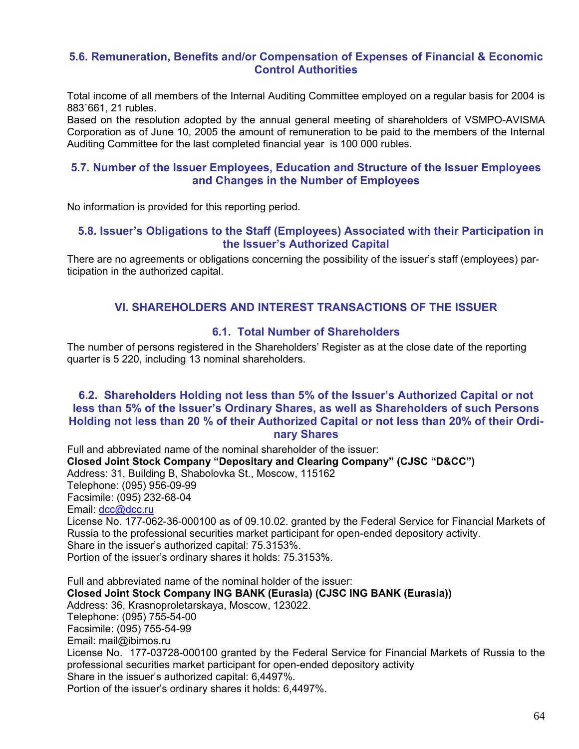## **5.6. Remuneration, Benefits and/or Compensation of Expenses of Financial & Economic Control Authorities**

Total income of all members of the Internal Auditing Committee employed on a regular basis for 2004 is 883`661, 21 rubles.

Based on the resolution adopted by the annual general meeting of shareholders of VSMPO-AVISMA Corporation as of June 10, 2005 the amount of remuneration to be paid to the members of the Internal Auditing Committee for the last completed financial year is 100 000 rubles.

### **5.7. Number of the Issuer Employees, Education and Structure of the Issuer Employees and Changes in the Number of Employees**

No information is provided for this reporting period.

### **5.8. Issuer's Obligations to the Staff (Employees) Associated with their Participation in the Issuer's Authorized Capital**

There are no agreements or obligations concerning the possibility of the issuer's staff (employees) participation in the authorized capital.

# **VI. SHAREHOLDERS AND INTEREST TRANSACTIONS OF THE ISSUER**

### **6.1. Total Number of Shareholders**

The number of persons registered in the Shareholders' Register as at the close date of the reporting quarter is 5 220, including 13 nominal shareholders.

### **6.2. Shareholders Holding not less than 5% of the Issuer's Authorized Capital or not less than 5% of the Issuer's Ordinary Shares, as well as Shareholders of such Persons Holding not less than 20 % of their Authorized Capital or not less than 20% of their Ordinary Shares**

Full and abbreviated name of the nominal shareholder of the issuer: **Closed Joint Stock Company "Depositary and Clearing Company" (CJSC "D&CC")**  Address: 31, Building B, Shabolovka St., Moscow, 115162 Telephone: (095) 956-09-99 Facsimile: (095) 232-68-04 Email: dcc@dcc.ru License No. 177-062-36-000100 as of 09.10.02. granted by the Federal Service for Financial Markets of Russia to the professional securities market participant for open-ended depository activity. Share in the issuer's authorized capital: 75.3153%. Portion of the issuer's ordinary shares it holds: 75.3153%.

Full and abbreviated name of the nominal holder of the issuer: **Closed Joint Stock Company ING BANK (Eurasia) (CJSC ING BANK (Eurasia))**  Address: 36, Krasnoproletarskaya, Moscow, 123022. Telephone: (095) 755-54-00 Facsimile: (095) 755-54-99 Email: mail@ibimos.ru License No. 177-03728-000100 granted by the Federal Service for Financial Markets of Russia to the professional securities market participant for open-ended depository activity Share in the issuer's authorized capital: 6,4497%. Portion of the issuer's ordinary shares it holds: 6,4497%.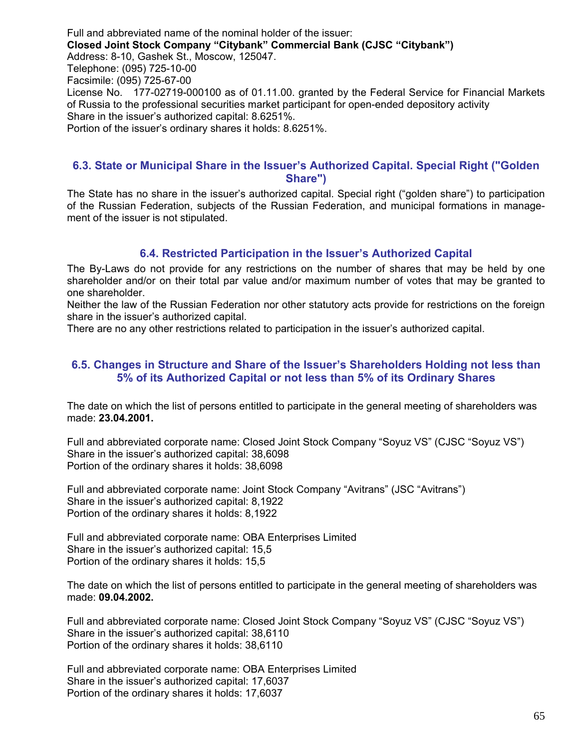Full and abbreviated name of the nominal holder of the issuer: **Closed Joint Stock Company "Citybank" Commercial Bank (CJSC "Citybank")**  Address: 8-10, Gashek St., Moscow, 125047. Telephone: (095) 725-10-00 Facsimile: (095) 725-67-00 License No. 177-02719-000100 as of 01.11.00. granted by the Federal Service for Financial Markets of Russia to the professional securities market participant for open-ended depository activity Share in the issuer's authorized capital: 8.6251%. Portion of the issuer's ordinary shares it holds: 8.6251%.

# **6.3. State or Municipal Share in the Issuer's Authorized Capital. Special Right ("Golden Share")**

The State has no share in the issuer's authorized capital. Special right ("golden share") to participation of the Russian Federation, subjects of the Russian Federation, and municipal formations in management of the issuer is not stipulated.

# **6.4. Restricted Participation in the Issuer's Authorized Capital**

The By-Laws do not provide for any restrictions on the number of shares that may be held by one shareholder and/or on their total par value and/or maximum number of votes that may be granted to one shareholder.

Neither the law of the Russian Federation nor other statutory acts provide for restrictions on the foreign share in the issuer's authorized capital.

There are no any other restrictions related to participation in the issuer's authorized capital.

### **6.5. Changes in Structure and Share of the Issuer's Shareholders Holding not less than 5% of its Authorized Capital or not less than 5% of its Ordinary Shares**

The date on which the list of persons entitled to participate in the general meeting of shareholders was made: **23.04.2001.**

Full and abbreviated corporate name: Closed Joint Stock Company "Soyuz VS" (CJSC "Soyuz VS") Share in the issuer's authorized capital: 38,6098 Portion of the ordinary shares it holds: 38,6098

Full and abbreviated corporate name: Joint Stock Company "Avitrans" (JSC "Avitrans") Share in the issuer's authorized capital: 8,1922 Portion of the ordinary shares it holds: 8,1922

Full and abbreviated corporate name: OBA Enterprises Limited Share in the issuer's authorized capital: 15,5 Portion of the ordinary shares it holds: 15,5

The date on which the list of persons entitled to participate in the general meeting of shareholders was made: **09.04.2002.** 

Full and abbreviated corporate name: Closed Joint Stock Company "Soyuz VS" (CJSC "Soyuz VS") Share in the issuer's authorized capital: 38,6110 Portion of the ordinary shares it holds: 38,6110

Full and abbreviated corporate name: OBA Enterprises Limited Share in the issuer's authorized capital: 17,6037 Portion of the ordinary shares it holds: 17,6037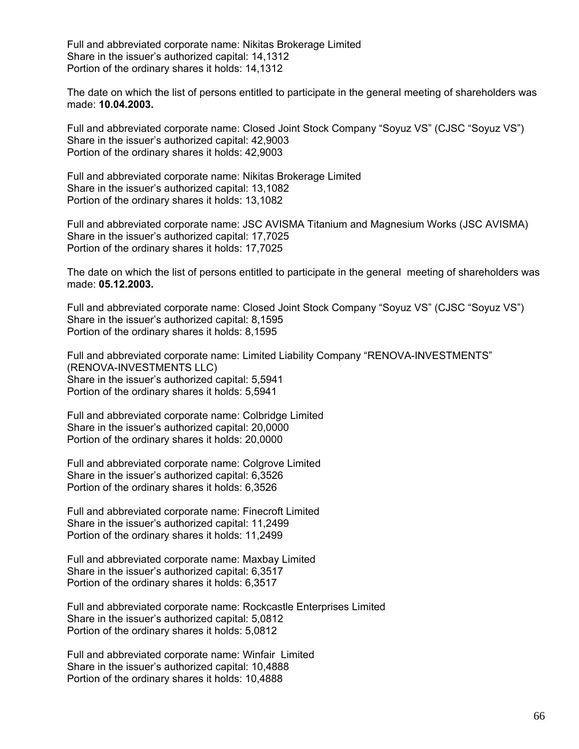Full and abbreviated corporate name: Nikitas Brokerage Limited Share in the issuer's authorized capital: 14,1312 Portion of the ordinary shares it holds: 14,1312

The date on which the list of persons entitled to participate in the general meeting of shareholders was made: **10.04.2003.** 

Full and abbreviated corporate name: Closed Joint Stock Company "Soyuz VS" (CJSC "Soyuz VS") Share in the issuer's authorized capital: 42,9003 Portion of the ordinary shares it holds: 42,9003

Full and abbreviated corporate name: Nikitas Brokerage Limited Share in the issuer's authorized capital: 13,1082 Portion of the ordinary shares it holds: 13,1082

Full and abbreviated corporate name: JSC AVISMA Titanium and Magnesium Works (JSC AVISMA) Share in the issuer's authorized capital: 17,7025 Portion of the ordinary shares it holds: 17,7025

The date on which the list of persons entitled to participate in the general meeting of shareholders was made: **05.12.2003.** 

Full and abbreviated corporate name: Closed Joint Stock Company "Soyuz VS" (CJSC "Soyuz VS") Share in the issuer's authorized capital: 8,1595 Portion of the ordinary shares it holds: 8,1595

Full and abbreviated corporate name: Limited Liability Company "RENOVA-INVESTMENTS" (RENOVA-INVESTMENTS LLC) Share in the issuer's authorized capital: 5,5941 Portion of the ordinary shares it holds: 5,5941

Full and abbreviated corporate name: Colbridge Limited Share in the issuer's authorized capital: 20,0000 Portion of the ordinary shares it holds: 20,0000

Full and abbreviated corporate name: Colgrove Limited Share in the issuer's authorized capital: 6,3526 Portion of the ordinary shares it holds: 6,3526

Full and abbreviated corporate name: Finecroft Limited Share in the issuer's authorized capital: 11,2499 Portion of the ordinary shares it holds: 11,2499

Full and abbreviated corporate name: Maxbay Limited Share in the issuer's authorized capital: 6,3517 Portion of the ordinary shares it holds: 6,3517

Full and abbreviated corporate name: Rockcastle Enterprises Limited Share in the issuer's authorized capital: 5,0812 Portion of the ordinary shares it holds: 5,0812

Full and abbreviated corporate name: Winfair Limited Share in the issuer's authorized capital: 10,4888 Portion of the ordinary shares it holds: 10,4888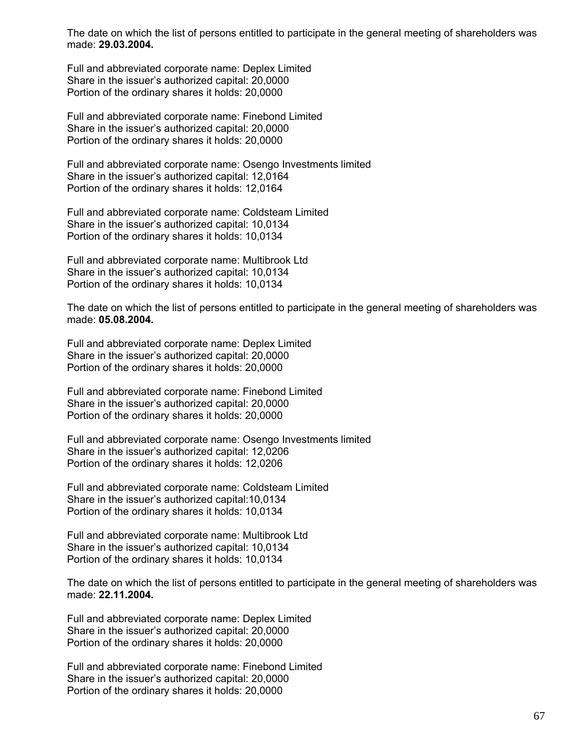The date on which the list of persons entitled to participate in the general meeting of shareholders was made: **29.03.2004.**

Full and abbreviated corporate name: Deplex Limited Share in the issuer's authorized capital: 20,0000 Portion of the ordinary shares it holds: 20,0000

Full and abbreviated corporate name: Finebond Limited Share in the issuer's authorized capital: 20,0000 Portion of the ordinary shares it holds: 20,0000

Full and abbreviated corporate name: Osengo Investments limited Share in the issuer's authorized capital: 12,0164 Portion of the ordinary shares it holds: 12,0164

Full and abbreviated corporate name: Coldsteam Limited Share in the issuer's authorized capital: 10,0134 Portion of the ordinary shares it holds: 10,0134

Full and abbreviated corporate name: Multibrook Ltd Share in the issuer's authorized capital: 10,0134 Portion of the ordinary shares it holds: 10,0134

The date on which the list of persons entitled to participate in the general meeting of shareholders was made: **05.08.2004.**

Full and abbreviated corporate name: Deplex Limited Share in the issuer's authorized capital: 20,0000 Portion of the ordinary shares it holds: 20,0000

Full and abbreviated corporate name: Finebond Limited Share in the issuer's authorized capital: 20,0000 Portion of the ordinary shares it holds: 20,0000

Full and abbreviated corporate name: Osengo Investments limited Share in the issuer's authorized capital: 12,0206 Portion of the ordinary shares it holds: 12,0206

Full and abbreviated corporate name: Coldsteam Limited Share in the issuer's authorized capital:10,0134 Portion of the ordinary shares it holds: 10,0134

Full and abbreviated corporate name: Multibrook Ltd Share in the issuer's authorized capital: 10,0134 Portion of the ordinary shares it holds: 10,0134

The date on which the list of persons entitled to participate in the general meeting of shareholders was made: **22.11.2004.**

Full and abbreviated corporate name: Deplex Limited Share in the issuer's authorized capital: 20,0000 Portion of the ordinary shares it holds: 20,0000

Full and abbreviated corporate name: Finebond Limited Share in the issuer's authorized capital: 20,0000 Portion of the ordinary shares it holds: 20,0000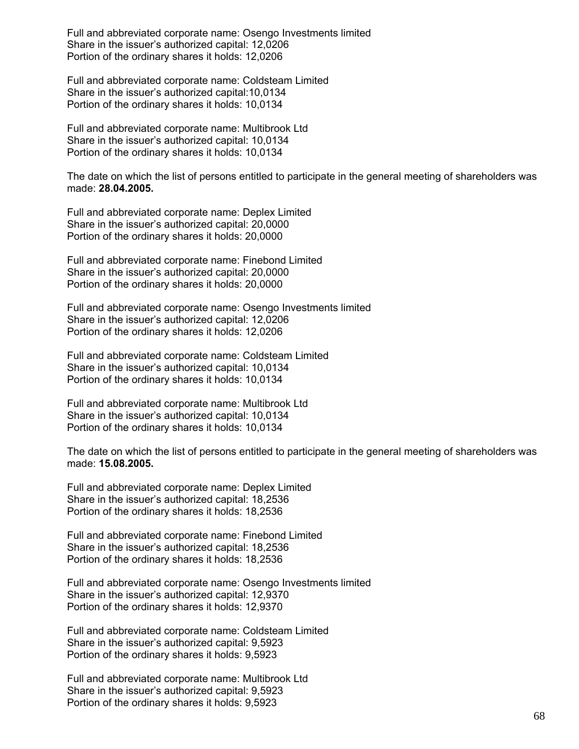Full and abbreviated corporate name: Osengo Investments limited Share in the issuer's authorized capital: 12,0206 Portion of the ordinary shares it holds: 12,0206

Full and abbreviated corporate name: Coldsteam Limited Share in the issuer's authorized capital:10,0134 Portion of the ordinary shares it holds: 10,0134

Full and abbreviated corporate name: Multibrook Ltd Share in the issuer's authorized capital: 10,0134 Portion of the ordinary shares it holds: 10,0134

The date on which the list of persons entitled to participate in the general meeting of shareholders was made: **28.04.2005.**

Full and abbreviated corporate name: Deplex Limited Share in the issuer's authorized capital: 20,0000 Portion of the ordinary shares it holds: 20,0000

Full and abbreviated corporate name: Finebond Limited Share in the issuer's authorized capital: 20,0000 Portion of the ordinary shares it holds: 20,0000

Full and abbreviated corporate name: Osengo Investments limited Share in the issuer's authorized capital: 12,0206 Portion of the ordinary shares it holds: 12,0206

Full and abbreviated corporate name: Coldsteam Limited Share in the issuer's authorized capital: 10,0134 Portion of the ordinary shares it holds: 10,0134

Full and abbreviated corporate name: Multibrook Ltd Share in the issuer's authorized capital: 10,0134 Portion of the ordinary shares it holds: 10,0134

The date on which the list of persons entitled to participate in the general meeting of shareholders was made: **15.08.2005.**

Full and abbreviated corporate name: Deplex Limited Share in the issuer's authorized capital: 18,2536 Portion of the ordinary shares it holds: 18,2536

Full and abbreviated corporate name: Finebond Limited Share in the issuer's authorized capital: 18,2536 Portion of the ordinary shares it holds: 18,2536

Full and abbreviated corporate name: Osengo Investments limited Share in the issuer's authorized capital: 12,9370 Portion of the ordinary shares it holds: 12,9370

Full and abbreviated corporate name: Coldsteam Limited Share in the issuer's authorized capital: 9,5923 Portion of the ordinary shares it holds: 9,5923

Full and abbreviated corporate name: Multibrook Ltd Share in the issuer's authorized capital: 9,5923 Portion of the ordinary shares it holds: 9,5923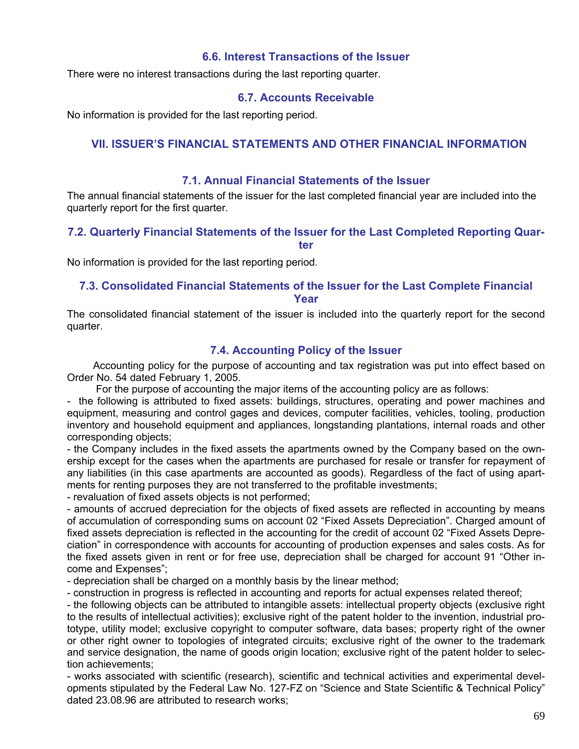# **6.6. Interest Transactions of the Issuer**

There were no interest transactions during the last reporting quarter.

# **6.7. Accounts Receivable**

No information is provided for the last reporting period.

# **VII. ISSUER'S FINANCIAL STATEMENTS AND OTHER FINANCIAL INFORMATION**

# **7.1. Annual Financial Statements of the Issuer**

The annual financial statements of the issuer for the last completed financial year are included into the quarterly report for the first quarter.

#### **7.2. Quarterly Financial Statements of the Issuer for the Last Completed Reporting Quarter**

No information is provided for the last reporting period.

# **7.3. Consolidated Financial Statements of the Issuer for the Last Complete Financial Year**

The consolidated financial statement of the issuer is included into the quarterly report for the second quarter.

# **7.4. Accounting Policy of the Issuer**

 Accounting policy for the purpose of accounting and tax registration was put into effect based on Order No. 54 dated February 1, 2005.

For the purpose of accounting the major items of the accounting policy are as follows:

- the following is attributed to fixed assets: buildings, structures, operating and power machines and equipment, measuring and control gages and devices, computer facilities, vehicles, tooling, production inventory and household equipment and appliances, longstanding plantations, internal roads and other corresponding objects;

- the Company includes in the fixed assets the apartments owned by the Company based on the ownership except for the cases when the apartments are purchased for resale or transfer for repayment of any liabilities (in this case apartments are accounted as goods). Regardless of the fact of using apartments for renting purposes they are not transferred to the profitable investments;

- revaluation of fixed assets objects is not performed;

- amounts of accrued depreciation for the objects of fixed assets are reflected in accounting by means of accumulation of corresponding sums on account 02 "Fixed Assets Depreciation". Charged amount of fixed assets depreciation is reflected in the accounting for the credit of account 02 "Fixed Assets Depreciation" in correspondence with accounts for accounting of production expenses and sales costs. As for the fixed assets given in rent or for free use, depreciation shall be charged for account 91 "Other income and Expenses";

- depreciation shall be charged on a monthly basis by the linear method;

- construction in progress is reflected in accounting and reports for actual expenses related thereof;

- the following objects can be attributed to intangible assets: intellectual property objects (exclusive right to the results of intellectual activities); exclusive right of the patent holder to the invention, industrial prototype, utility model; exclusive copyright to computer software, data bases; property right of the owner or other right owner to topologies of integrated circuits; exclusive right of the owner to the trademark and service designation, the name of goods origin location; exclusive right of the patent holder to selection achievements;

- works associated with scientific (research), scientific and technical activities and experimental developments stipulated by the Federal Law No. 127-FZ on "Science and State Scientific & Technical Policy" dated 23.08.96 are attributed to research works;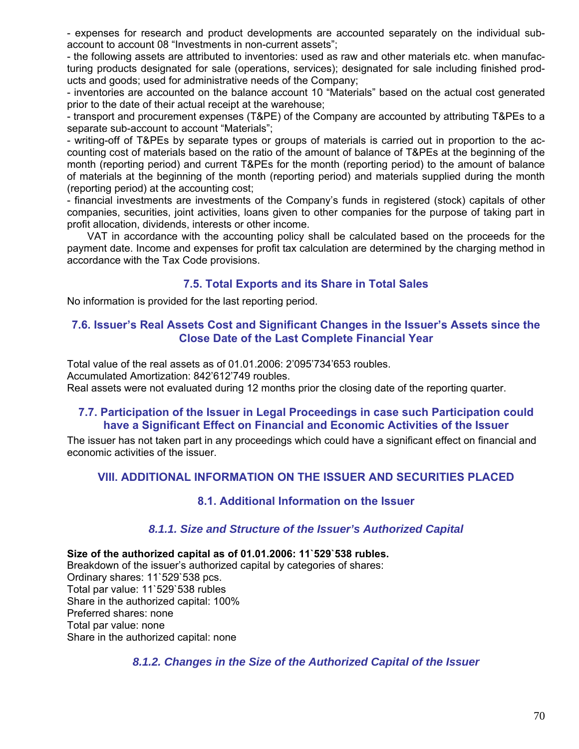- expenses for research and product developments are accounted separately on the individual subaccount to account 08 "Investments in non-current assets";

- the following assets are attributed to inventories: used as raw and other materials etc. when manufacturing products designated for sale (operations, services); designated for sale including finished products and goods; used for administrative needs of the Company;

- inventories are accounted on the balance account 10 "Materials" based on the actual cost generated prior to the date of their actual receipt at the warehouse;

- transport and procurement expenses (T&PE) of the Company are accounted by attributing T&PEs to a separate sub-account to account "Materials";

- writing-off of T&PEs by separate types or groups of materials is carried out in proportion to the accounting cost of materials based on the ratio of the amount of balance of T&PEs at the beginning of the month (reporting period) and current T&PEs for the month (reporting period) to the amount of balance of materials at the beginning of the month (reporting period) and materials supplied during the month (reporting period) at the accounting cost;

- financial investments are investments of the Company's funds in registered (stock) capitals of other companies, securities, joint activities, loans given to other companies for the purpose of taking part in profit allocation, dividends, interests or other income.

 VAT in accordance with the accounting policy shall be calculated based on the proceeds for the payment date. Income and expenses for profit tax calculation are determined by the charging method in accordance with the Tax Code provisions.

# **7.5. Total Exports and its Share in Total Sales**

No information is provided for the last reporting period.

# **7.6. Issuer's Real Assets Cost and Significant Changes in the Issuer's Assets since the Close Date of the Last Complete Financial Year**

Total value of the real assets as of 01.01.2006: 2'095'734'653 roubles.

Accumulated Amortization: 842'612'749 roubles.

Real assets were not evaluated during 12 months prior the closing date of the reporting quarter.

# **7.7. Participation of the Issuer in Legal Proceedings in case such Participation could have a Significant Effect on Financial and Economic Activities of the Issuer**

The issuer has not taken part in any proceedings which could have a significant effect on financial and economic activities of the issuer.

# **VIII. ADDITIONAL INFORMATION ON THE ISSUER AND SECURITIES PLACED**

# **8.1. Additional Information on the Issuer**

# *8.1.1. Size and Structure of the Issuer's Authorized Capital*

### **Size of the authorized capital as of 01.01.2006: 11`529`538 rubles.**

Breakdown of the issuer's authorized capital by categories of shares: Ordinary shares: 11`529`538 pcs. Total par value: 11`529`538 rubles Share in the authorized capital: 100% Preferred shares: none Total par value: none Share in the authorized capital: none

# *8.1.2. Changes in the Size of the Authorized Capital of the Issuer*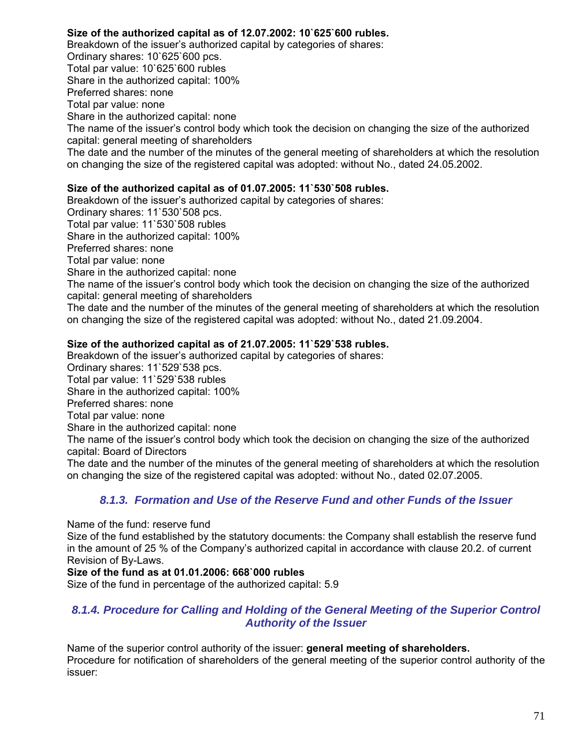### **Size of the authorized capital as of 12.07.2002: 10`625`600 rubles.**

Breakdown of the issuer's authorized capital by categories of shares: Ordinary shares: 10`625`600 pcs. Total par value: 10`625`600 rubles Share in the authorized capital: 100% Preferred shares: none Total par value: none Share in the authorized capital: none The name of the issuer's control body which took the decision on changing the size of the authorized capital: general meeting of shareholders The date and the number of the minutes of the general meeting of shareholders at which the resolution on changing the size of the registered capital was adopted: without No., dated 24.05.2002. **Size of the authorized capital as of 01.07.2005: 11`530`508 rubles.**  Breakdown of the issuer's authorized capital by categories of shares: Ordinary shares: 11`530`508 pcs.

Total par value: 11`530`508 rubles

Share in the authorized capital: 100%

Preferred shares: none

Total par value: none

Share in the authorized capital: none

The name of the issuer's control body which took the decision on changing the size of the authorized capital: general meeting of shareholders

The date and the number of the minutes of the general meeting of shareholders at which the resolution on changing the size of the registered capital was adopted: without No., dated 21.09.2004.

### **Size of the authorized capital as of 21.07.2005: 11`529`538 rubles.**

Breakdown of the issuer's authorized capital by categories of shares:

Ordinary shares: 11`529`538 pcs.

Total par value: 11`529`538 rubles

Share in the authorized capital: 100%

Preferred shares: none

Total par value: none

Share in the authorized capital: none

The name of the issuer's control body which took the decision on changing the size of the authorized capital: Board of Directors

The date and the number of the minutes of the general meeting of shareholders at which the resolution on changing the size of the registered capital was adopted: without No., dated 02.07.2005.

# *8.1.3. Formation and Use of the Reserve Fund and other Funds of the Issuer*

Name of the fund: reserve fund

Size of the fund established by the statutory documents: the Company shall establish the reserve fund in the amount of 25 % of the Company's authorized capital in accordance with clause 20.2. of current Revision of By-Laws.

**Size of the fund as at 01.01.2006: 668`000 rubles** 

Size of the fund in percentage of the authorized capital: 5.9

# *8.1.4. Procedure for Calling and Holding of the General Meeting of the Superior Control Authority of the Issuer*

Name of the superior control authority of the issuer: **general meeting of shareholders.**  Procedure for notification of shareholders of the general meeting of the superior control authority of the issuer: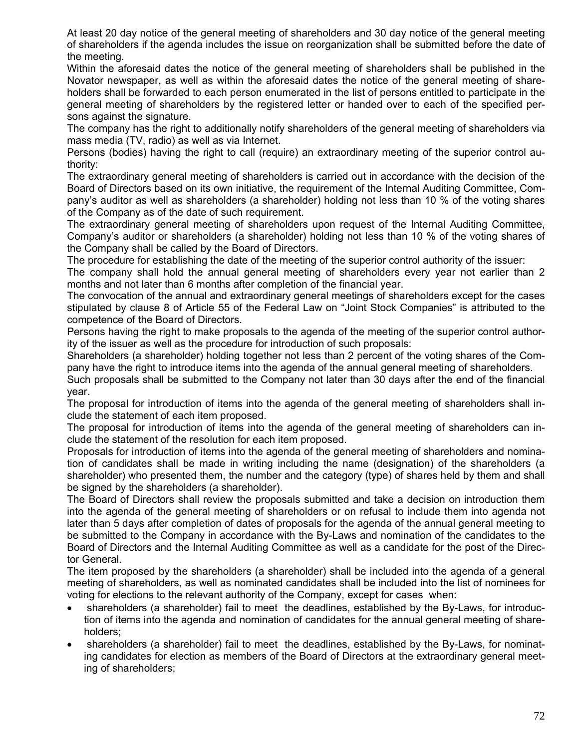At least 20 day notice of the general meeting of shareholders and 30 day notice of the general meeting of shareholders if the agenda includes the issue on reorganization shall be submitted before the date of the meeting.

Within the aforesaid dates the notice of the general meeting of shareholders shall be published in the Novator newspaper, as well as within the aforesaid dates the notice of the general meeting of shareholders shall be forwarded to each person enumerated in the list of persons entitled to participate in the general meeting of shareholders by the registered letter or handed over to each of the specified persons against the signature.

The company has the right to additionally notify shareholders of the general meeting of shareholders via mass media (TV, radio) as well as via Internet.

Persons (bodies) having the right to call (require) an extraordinary meeting of the superior control authority:

The extraordinary general meeting of shareholders is carried out in accordance with the decision of the Board of Directors based on its own initiative, the requirement of the Internal Auditing Committee, Company's auditor as well as shareholders (a shareholder) holding not less than 10 % of the voting shares of the Company as of the date of such requirement.

The extraordinary general meeting of shareholders upon request of the Internal Auditing Committee, Company's auditor or shareholders (a shareholder) holding not less than 10 % of the voting shares of the Company shall be called by the Board of Directors.

The procedure for establishing the date of the meeting of the superior control authority of the issuer:

The company shall hold the annual general meeting of shareholders every year not earlier than 2 months and not later than 6 months after completion of the financial year.

The convocation of the annual and extraordinary general meetings of shareholders except for the cases stipulated by clause 8 of Article 55 of the Federal Law on "Joint Stock Companies" is attributed to the competence of the Board of Directors.

Persons having the right to make proposals to the agenda of the meeting of the superior control authority of the issuer as well as the procedure for introduction of such proposals:

Shareholders (a shareholder) holding together not less than 2 percent of the voting shares of the Company have the right to introduce items into the agenda of the annual general meeting of shareholders.

Such proposals shall be submitted to the Company not later than 30 days after the end of the financial year.

The proposal for introduction of items into the agenda of the general meeting of shareholders shall include the statement of each item proposed.

The proposal for introduction of items into the agenda of the general meeting of shareholders can include the statement of the resolution for each item proposed.

Proposals for introduction of items into the agenda of the general meeting of shareholders and nomination of candidates shall be made in writing including the name (designation) of the shareholders (a shareholder) who presented them, the number and the category (type) of shares held by them and shall be signed by the shareholders (a shareholder).

The Board of Directors shall review the proposals submitted and take a decision on introduction them into the agenda of the general meeting of shareholders or on refusal to include them into agenda not later than 5 days after completion of dates of proposals for the agenda of the annual general meeting to be submitted to the Company in accordance with the By-Laws and nomination of the candidates to the Board of Directors and the Internal Auditing Committee as well as a candidate for the post of the Director General.

The item proposed by the shareholders (a shareholder) shall be included into the agenda of a general meeting of shareholders, as well as nominated candidates shall be included into the list of nominees for voting for elections to the relevant authority of the Company, except for cases when:

- shareholders (a shareholder) fail to meet the deadlines, established by the By-Laws, for introduction of items into the agenda and nomination of candidates for the annual general meeting of shareholders;
- shareholders (a shareholder) fail to meet the deadlines, established by the By-Laws, for nominating candidates for election as members of the Board of Directors at the extraordinary general meeting of shareholders;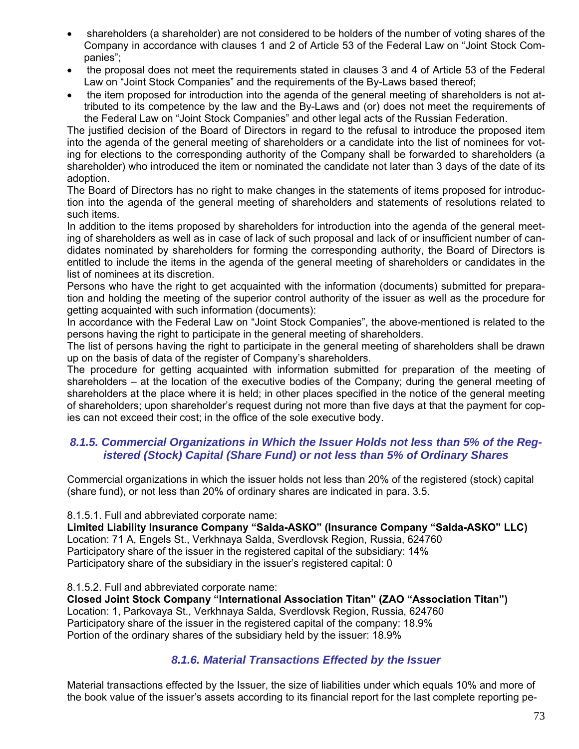- shareholders (a shareholder) are not considered to be holders of the number of voting shares of the Company in accordance with clauses 1 and 2 of Article 53 of the Federal Law on "Joint Stock Companies";
- the proposal does not meet the requirements stated in clauses 3 and 4 of Article 53 of the Federal Law on "Joint Stock Companies" and the requirements of the By-Laws based thereof;
- the item proposed for introduction into the agenda of the general meeting of shareholders is not attributed to its competence by the law and the By-Laws and (or) does not meet the requirements of the Federal Law on "Joint Stock Companies" and other legal acts of the Russian Federation.

The justified decision of the Board of Directors in regard to the refusal to introduce the proposed item into the agenda of the general meeting of shareholders or a candidate into the list of nominees for voting for elections to the corresponding authority of the Company shall be forwarded to shareholders (a shareholder) who introduced the item or nominated the candidate not later than 3 days of the date of its adoption.

The Board of Directors has no right to make changes in the statements of items proposed for introduction into the agenda of the general meeting of shareholders and statements of resolutions related to such items.

In addition to the items proposed by shareholders for introduction into the agenda of the general meeting of shareholders as well as in case of lack of such proposal and lack of or insufficient number of candidates nominated by shareholders for forming the corresponding authority, the Board of Directors is entitled to include the items in the agenda of the general meeting of shareholders or candidates in the list of nominees at its discretion.

Persons who have the right to get acquainted with the information (documents) submitted for preparation and holding the meeting of the superior control authority of the issuer as well as the procedure for getting acquainted with such information (documents):

In accordance with the Federal Law on "Joint Stock Companies", the above-mentioned is related to the persons having the right to participate in the general meeting of shareholders.

The list of persons having the right to participate in the general meeting of shareholders shall be drawn up on the basis of data of the register of Company's shareholders.

The procedure for getting acquainted with information submitted for preparation of the meeting of shareholders – at the location of the executive bodies of the Company; during the general meeting of shareholders at the place where it is held; in other places specified in the notice of the general meeting of shareholders; upon shareholder's request during not more than five days at that the payment for copies can not exceed their cost; in the office of the sole executive body.

## *8.1.5. Commercial Organizations in Which the Issuer Holds not less than 5% of the Registered (Stock) Capital (Share Fund) or not less than 5% of Ordinary Shares*

Commercial organizations in which the issuer holds not less than 20% of the registered (stock) capital (share fund), or not less than 20% of ordinary shares are indicated in para. 3.5.

8.1.5.1. Full and abbreviated corporate name:

**Limited Liability Insurance Company "Salda-АSКО" (Insurance Company "Salda-АSКО" LLC)**  Location: 71 A, Engels St., Verkhnaya Salda, Sverdlovsk Region, Russia, 624760 Participatory share of the issuer in the registered capital of the subsidiary: 14% Participatory share of the subsidiary in the issuer's registered capital: 0

8.1.5.2. Full and abbreviated corporate name:

**Closed Joint Stock Company "International Association Titan" (ZAO "Association Titan")**  Location: 1, Parkovaya St., Verkhnaya Salda, Sverdlovsk Region, Russia, 624760 Participatory share of the issuer in the registered capital of the company: 18.9% Portion of the ordinary shares of the subsidiary held by the issuer: 18.9%

## *8.1.6. Material Transactions Effected by the Issuer*

Material transactions effected by the Issuer, the size of liabilities under which equals 10% and more of the book value of the issuer's assets according to its financial report for the last complete reporting pe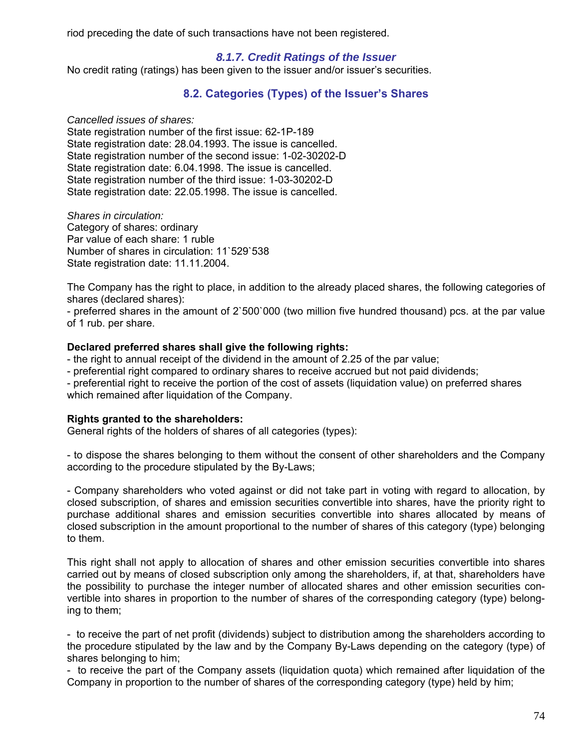riod preceding the date of such transactions have not been registered.

### *8.1.7. Credit Ratings of the Issuer*

No credit rating (ratings) has been given to the issuer and/or issuer's securities.

## **8.2. Categories (Types) of the Issuer's Shares**

#### *Cancelled issues of shares:*

State registration number of the first issue: 62-1P-189 State registration date: 28.04.1993. The issue is cancelled. State registration number of the second issue: 1-02-30202-D State registration date: 6.04.1998. The issue is cancelled. State registration number of the third issue: 1-03-30202-D State registration date: 22.05.1998. The issue is cancelled.

*Shares in circulation:*  Category of shares: ordinary Par value of each share: 1 ruble Number of shares in circulation: 11`529`538 State registration date: 11.11.2004.

The Company has the right to place, in addition to the already placed shares, the following categories of shares (declared shares):

- preferred shares in the amount of 2`500`000 (two million five hundred thousand) pcs. at the par value of 1 rub. per share.

#### **Declared preferred shares shall give the following rights:**

- the right to annual receipt of the dividend in the amount of 2.25 of the par value;

- preferential right compared to ordinary shares to receive accrued but not paid dividends;

- preferential right to receive the portion of the cost of assets (liquidation value) on preferred shares which remained after liquidation of the Company.

#### **Rights granted to the shareholders:**

General rights of the holders of shares of all categories (types):

- to dispose the shares belonging to them without the consent of other shareholders and the Company according to the procedure stipulated by the By-Laws;

- Company shareholders who voted against or did not take part in voting with regard to allocation, by closed subscription, of shares and emission securities convertible into shares, have the priority right to purchase additional shares and emission securities convertible into shares allocated by means of closed subscription in the amount proportional to the number of shares of this category (type) belonging to them.

This right shall not apply to allocation of shares and other emission securities convertible into shares carried out by means of closed subscription only among the shareholders, if, at that, shareholders have the possibility to purchase the integer number of allocated shares and other emission securities convertible into shares in proportion to the number of shares of the corresponding category (type) belonging to them;

- to receive the part of net profit (dividends) subject to distribution among the shareholders according to the procedure stipulated by the law and by the Company By-Laws depending on the category (type) of shares belonging to him;

- to receive the part of the Company assets (liquidation quota) which remained after liquidation of the Company in proportion to the number of shares of the corresponding category (type) held by him;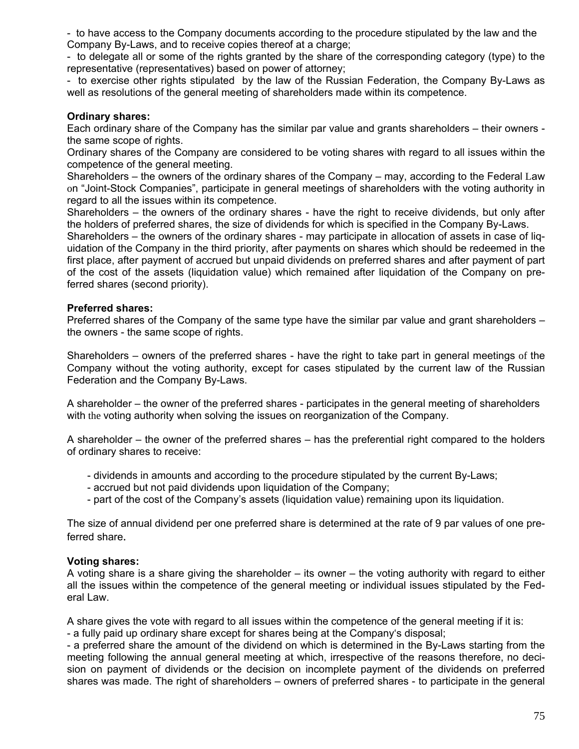- to have access to the Company documents according to the procedure stipulated by the law and the Company By-Laws, and to receive copies thereof at a charge;

- to delegate all or some of the rights granted by the share of the corresponding category (type) to the representative (representatives) based on power of attorney;

- to exercise other rights stipulated by the law of the Russian Federation, the Company By-Laws as well as resolutions of the general meeting of shareholders made within its competence.

#### **Ordinary shares:**

Each ordinary share of the Company has the similar par value and grants shareholders – their owners the same scope of rights.

Ordinary shares of the Company are considered to be voting shares with regard to all issues within the competence of the general meeting.

Shareholders – the owners of the ordinary shares of the Company – may, according to the Federal Law on "Joint-Stock Companies", participate in general meetings of shareholders with the voting authority in regard to all the issues within its competence.

Shareholders – the owners of the ordinary shares - have the right to receive dividends, but only after the holders of preferred shares, the size of dividends for which is specified in the Company By-Laws.

Shareholders – the owners of the ordinary shares - may participate in allocation of assets in case of liquidation of the Company in the third priority, after payments on shares which should be redeemed in the first place, after payment of accrued but unpaid dividends on preferred shares and after payment of part of the cost of the assets (liquidation value) which remained after liquidation of the Company on preferred shares (second priority).

#### **Preferred shares:**

Preferred shares of the Company of the same type have the similar par value and grant shareholders – the owners - the same scope of rights.

Shareholders – owners of the preferred shares - have the right to take part in general meetings of the Company without the voting authority, except for cases stipulated by the current law of the Russian Federation and the Company By-Laws.

A shareholder – the owner of the preferred shares - participates in the general meeting of shareholders with the voting authority when solving the issues on reorganization of the Company.

A shareholder – the owner of the preferred shares – has the preferential right compared to the holders of ordinary shares to receive:

- dividends in amounts and according to the procedure stipulated by the current By-Laws;
- accrued but not paid dividends upon liquidation of the Company;
- part of the cost of the Company's assets (liquidation value) remaining upon its liquidation.

The size of annual dividend per one preferred share is determined at the rate of 9 par values of one preferred share.

#### **Voting shares:**

A voting share is a share giving the shareholder – its owner – the voting authority with regard to either all the issues within the competence of the general meeting or individual issues stipulated by the Federal Law.

A share gives the vote with regard to all issues within the competence of the general meeting if it is: - a fully paid up ordinary share except for shares being at the Company's disposal;

- a preferred share the amount of the dividend on which is determined in the By-Laws starting from the meeting following the annual general meeting at which, irrespective of the reasons therefore, no decision on payment of dividends or the decision on incomplete payment of the dividends on preferred shares was made. The right of shareholders – owners of preferred shares - to participate in the general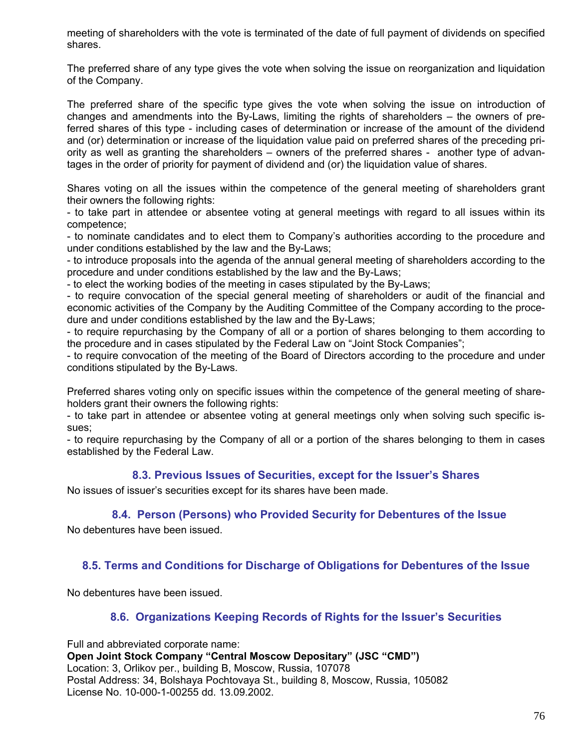meeting of shareholders with the vote is terminated of the date of full payment of dividends on specified shares.

The preferred share of any type gives the vote when solving the issue on reorganization and liquidation of the Company.

The preferred share of the specific type gives the vote when solving the issue on introduction of changes and amendments into the By-Laws, limiting the rights of shareholders – the owners of preferred shares of this type - including cases of determination or increase of the amount of the dividend and (or) determination or increase of the liquidation value paid on preferred shares of the preceding priority as well as granting the shareholders – owners of the preferred shares - another type of advantages in the order of priority for payment of dividend and (or) the liquidation value of shares.

Shares voting on all the issues within the competence of the general meeting of shareholders grant their owners the following rights:

- to take part in attendee or absentee voting at general meetings with regard to all issues within its competence;

- to nominate candidates and to elect them to Company's authorities according to the procedure and under conditions established by the law and the By-Laws;

- to introduce proposals into the agenda of the annual general meeting of shareholders according to the procedure and under conditions established by the law and the By-Laws;

- to elect the working bodies of the meeting in cases stipulated by the By-Laws;

- to require convocation of the special general meeting of shareholders or audit of the financial and economic activities of the Company by the Auditing Committee of the Company according to the procedure and under conditions established by the law and the By-Laws;

- to require repurchasing by the Company of all or a portion of shares belonging to them according to the procedure and in cases stipulated by the Federal Law on "Joint Stock Companies";

- to require convocation of the meeting of the Board of Directors according to the procedure and under conditions stipulated by the By-Laws.

Preferred shares voting only on specific issues within the competence of the general meeting of shareholders grant their owners the following rights:

- to take part in attendee or absentee voting at general meetings only when solving such specific issues;

- to require repurchasing by the Company of all or a portion of the shares belonging to them in cases established by the Federal Law.

### **8.3. Previous Issues of Securities, except for the Issuer's Shares**

No issues of issuer's securities except for its shares have been made.

### **8.4. Person (Persons) who Provided Security for Debentures of the Issue**

No debentures have been issued.

## **8.5. Terms and Conditions for Discharge of Obligations for Debentures of the Issue**

No debentures have been issued.

## **8.6. Organizations Keeping Records of Rights for the Issuer's Securities**

Full and abbreviated corporate name:

**Open Joint Stock Company "Central Moscow Depositary" (JSC "CMD")**  Location: 3, Orlikov per., building B, Moscow, Russia, 107078 Postal Address: 34, Bolshaya Pochtovaya St., building 8, Moscow, Russia, 105082 License No. 10-000-1-00255 dd. 13.09.2002.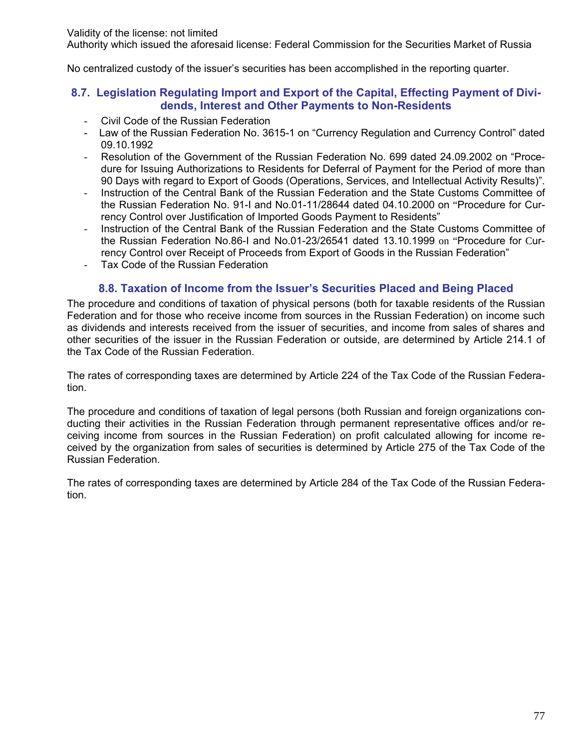Validity of the license: not limited

Authority which issued the aforesaid license: Federal Commission for the Securities Market of Russia

No centralized custody of the issuer's securities has been accomplished in the reporting quarter.

## **8.7. Legislation Regulating Import and Export of the Capital, Effecting Payment of Dividends, Interest and Other Payments to Non-Residents**

- Civil Code of the Russian Federation
- Law of the Russian Federation No. 3615-1 on "Currency Regulation and Currency Control" dated 09.10.1992
- Resolution of the Government of the Russian Federation No. 699 dated 24.09.2002 on "Procedure for Issuing Authorizations to Residents for Deferral of Payment for the Period of more than 90 Days with regard to Export of Goods (Operations, Services, and Intellectual Activity Results)".
- Instruction of the Central Bank of the Russian Federation and the State Customs Committee of the Russian Federation No. 91-I and No.01-11/28644 dated 04.10.2000 on "Procedure for Currency Control over Justification of Imported Goods Payment to Residents"
- Instruction of the Central Bank of the Russian Federation and the State Customs Committee of the Russian Federation No.86-I and No.01-23/26541 dated 13.10.1999 on "Procedure for Currency Control over Receipt of Proceeds from Export of Goods in the Russian Federation"
- Tax Code of the Russian Federation

## **8.8. Taxation of Income from the Issuer's Securities Placed and Being Placed**

The procedure and conditions of taxation of physical persons (both for taxable residents of the Russian Federation and for those who receive income from sources in the Russian Federation) on income such as dividends and interests received from the issuer of securities, and income from sales of shares and other securities of the issuer in the Russian Federation or outside, are determined by Article 214.1 of the Tax Code of the Russian Federation.

The rates of corresponding taxes are determined by Article 224 of the Tax Code of the Russian Federation.

The procedure and conditions of taxation of legal persons (both Russian and foreign organizations conducting their activities in the Russian Federation through permanent representative offices and/or receiving income from sources in the Russian Federation) on profit calculated allowing for income received by the organization from sales of securities is determined by Article 275 of the Tax Code of the Russian Federation.

The rates of corresponding taxes are determined by Article 284 of the Tax Code of the Russian Federation.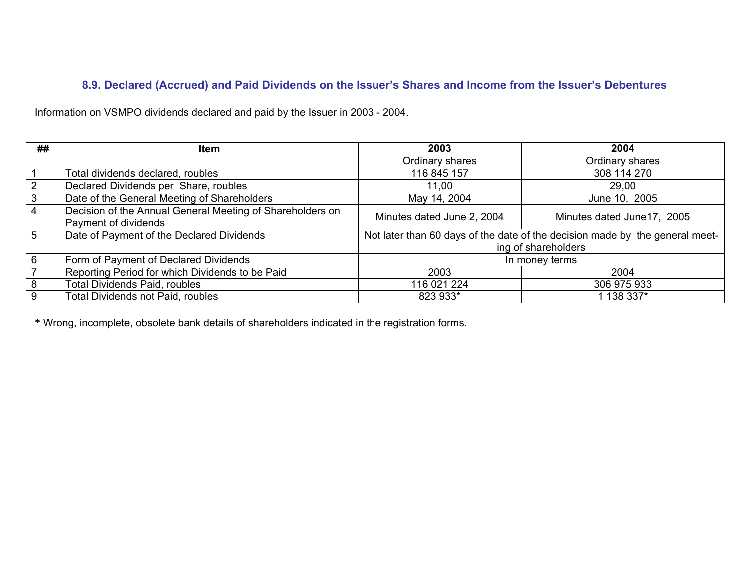# **8.9. Declared (Accrued) and Paid Dividends on the Issuer's Shares and Income from the Issuer's Debentures**

Information on VSMPO dividends declared and paid by the Issuer in 2003 - 2004.

| ## | <b>Item</b>                                                                       | 2003                       | 2004                                                                                                |  |  |  |
|----|-----------------------------------------------------------------------------------|----------------------------|-----------------------------------------------------------------------------------------------------|--|--|--|
|    |                                                                                   | Ordinary shares            | Ordinary shares                                                                                     |  |  |  |
|    | Total dividends declared, roubles                                                 | 116 845 157                | 308 114 270                                                                                         |  |  |  |
|    | Declared Dividends per Share, roubles                                             | 11,00                      | 29,00                                                                                               |  |  |  |
| 3  | Date of the General Meeting of Shareholders                                       | May 14, 2004               | June 10, 2005                                                                                       |  |  |  |
| 4  | Decision of the Annual General Meeting of Shareholders on<br>Payment of dividends | Minutes dated June 2, 2004 | Minutes dated June 17, 2005                                                                         |  |  |  |
| 5  | Date of Payment of the Declared Dividends                                         |                            | Not later than 60 days of the date of the decision made by the general meet-<br>ing of shareholders |  |  |  |
| 6  | Form of Payment of Declared Dividends                                             | In money terms             |                                                                                                     |  |  |  |
|    | Reporting Period for which Dividends to be Paid                                   | 2003                       | 2004                                                                                                |  |  |  |
| 8  | Total Dividends Paid, roubles                                                     | 116 021 224                | 306 975 933                                                                                         |  |  |  |
| 9  | <b>Total Dividends not Paid, roubles</b>                                          | 823 933*                   | 1 138 337*                                                                                          |  |  |  |

\* Wrong, incomplete, obsolete bank details of shareholders indicated in the registration forms.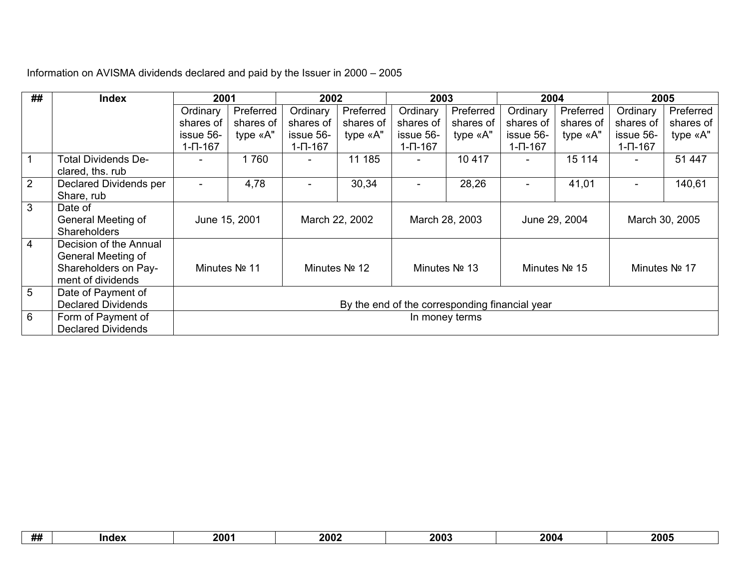Information on AVISMA dividends declared and paid by the Issuer in 2000 – 2005

| ##              | <b>Index</b>               | 2001                                           |           | 2002            |           | 2003                     |           | 2004                     |           | 2005                     |           |
|-----------------|----------------------------|------------------------------------------------|-----------|-----------------|-----------|--------------------------|-----------|--------------------------|-----------|--------------------------|-----------|
|                 |                            | Ordinary                                       | Preferred | Ordinary        | Preferred | Ordinary                 | Preferred | Ordinary                 | Preferred | Ordinary                 | Preferred |
|                 |                            | shares of                                      | shares of | shares of       | shares of | shares of                | shares of | shares of                | shares of | shares of                | shares of |
|                 |                            | issue 56-                                      | type «A"  | issue 56-       | type «A"  | issue 56-                | type «A"  | issue 56-                | type «A"  | issue 56-                | type «A"  |
|                 |                            | $1 - \Pi - 167$                                |           | $1 - \Pi - 167$ |           | $1 - \Pi - 167$          |           | $1 - \Pi - 167$          |           | $1 - \Pi - 167$          |           |
| -1              | <b>Total Dividends De-</b> |                                                | 1760      |                 | 11 185    |                          | 10 4 17   |                          | 15 114    |                          | 51 447    |
|                 | clared, ths. rub           |                                                |           |                 |           |                          |           |                          |           |                          |           |
| 2               | Declared Dividends per     |                                                | 4,78      |                 | 30,34     | $\overline{\phantom{a}}$ | 28,26     | $\overline{\phantom{a}}$ | 41,01     | $\overline{\phantom{a}}$ | 140,61    |
|                 | Share, rub                 |                                                |           |                 |           |                          |           |                          |           |                          |           |
| $\mathbf{3}$    | Date of                    |                                                |           |                 |           |                          |           |                          |           |                          |           |
|                 | General Meeting of         | June 15, 2001                                  |           | March 22, 2002  |           | March 28, 2003           |           | June 29, 2004            |           | March 30, 2005           |           |
|                 | <b>Shareholders</b>        |                                                |           |                 |           |                          |           |                          |           |                          |           |
| $\overline{4}$  | Decision of the Annual     |                                                |           |                 |           |                          |           |                          |           |                          |           |
|                 | General Meeting of         |                                                |           |                 |           |                          |           |                          |           |                          |           |
|                 | Shareholders on Pay-       | Minutes Nº 11                                  |           | Minutes № 12    |           | Minutes № 13             |           | Minutes № 15             |           | Minutes Nº 17            |           |
|                 | ment of dividends          |                                                |           |                 |           |                          |           |                          |           |                          |           |
| $5\phantom{.0}$ | Date of Payment of         |                                                |           |                 |           |                          |           |                          |           |                          |           |
|                 | <b>Declared Dividends</b>  | By the end of the corresponding financial year |           |                 |           |                          |           |                          |           |                          |           |
| $6\phantom{1}$  | Form of Payment of         | In money terms                                 |           |                 |           |                          |           |                          |           |                          |           |
|                 | <b>Declared Dividends</b>  |                                                |           |                 |           |                          |           |                          |           |                          |           |

| ,,,,,<br><b>TTTT</b> | Index | 2001 | 2002 | 2003 | 2004 | 200 |
|----------------------|-------|------|------|------|------|-----|
| $\bm{\pi}$           |       |      |      |      |      |     |